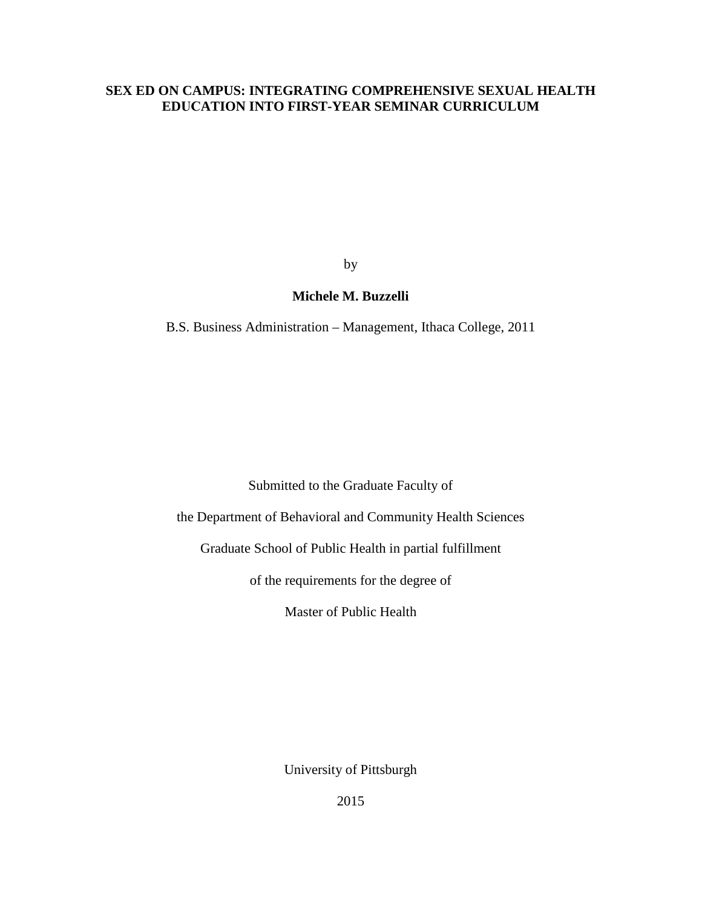# **SEX ED ON CAMPUS: INTEGRATING COMPREHENSIVE SEXUAL HEALTH EDUCATION INTO FIRST-YEAR SEMINAR CURRICULUM**

by

# **Michele M. Buzzelli**

B.S. Business Administration – Management, Ithaca College, 2011

Submitted to the Graduate Faculty of

the Department of Behavioral and Community Health Sciences

Graduate School of Public Health in partial fulfillment

of the requirements for the degree of

Master of Public Health

University of Pittsburgh

2015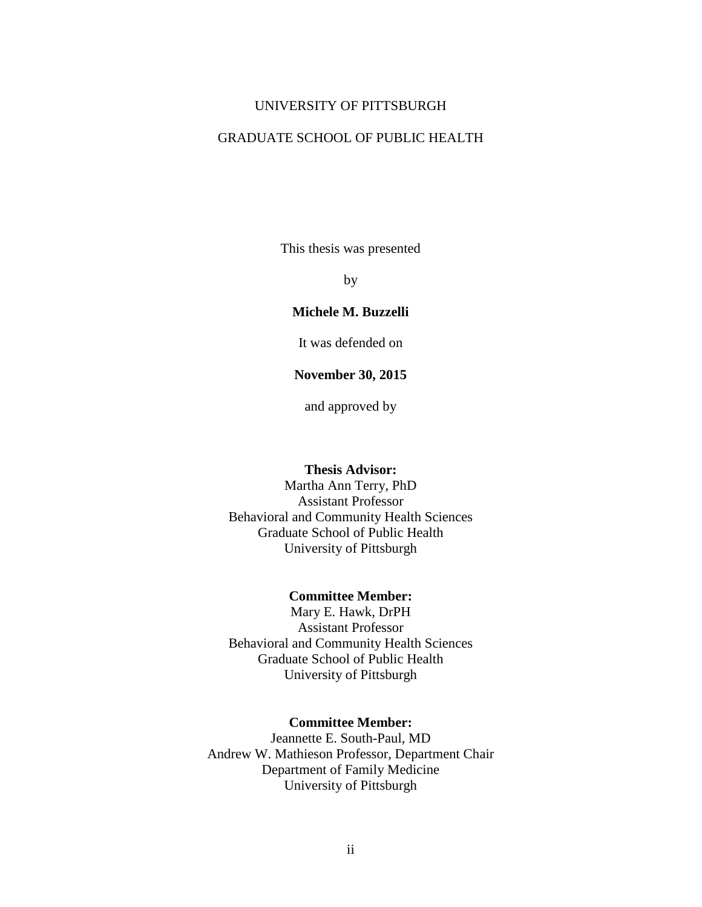#### UNIVERSITY OF PITTSBURGH

## GRADUATE SCHOOL OF PUBLIC HEALTH

This thesis was presented

by

## **Michele M. Buzzelli**

It was defended on

### **November 30, 2015**

and approved by

#### **Thesis Advisor:**

Martha Ann Terry, PhD Assistant Professor Behavioral and Community Health Sciences Graduate School of Public Health University of Pittsburgh

#### **Committee Member:**

Mary E. Hawk, DrPH Assistant Professor Behavioral and Community Health Sciences Graduate School of Public Health University of Pittsburgh

#### **Committee Member:**

Jeannette E. South-Paul, MD Andrew W. Mathieson Professor, Department Chair Department of Family Medicine University of Pittsburgh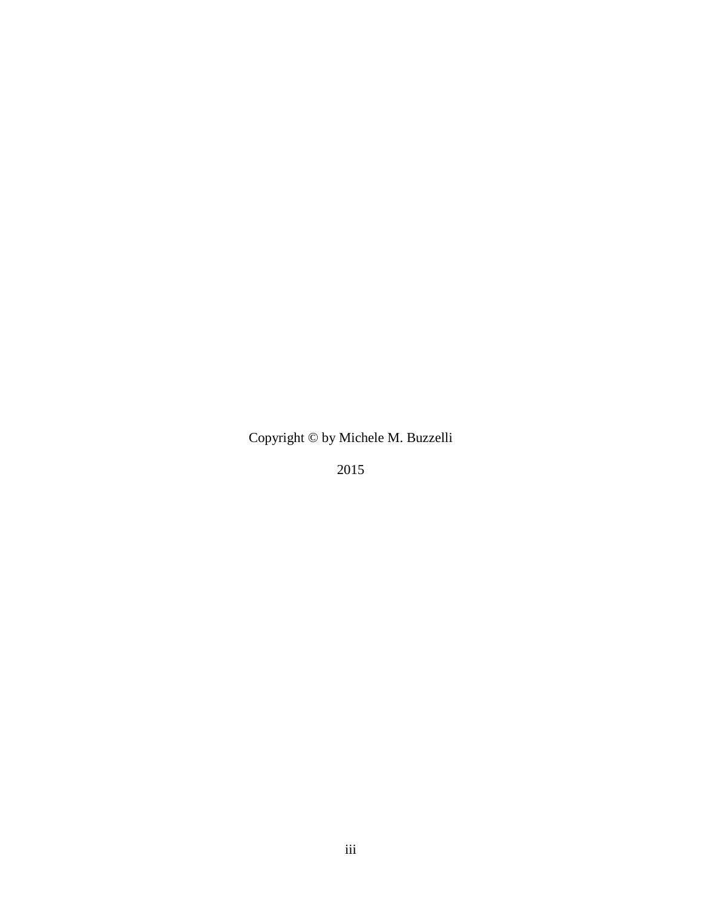Copyright © by Michele M. Buzzelli

2015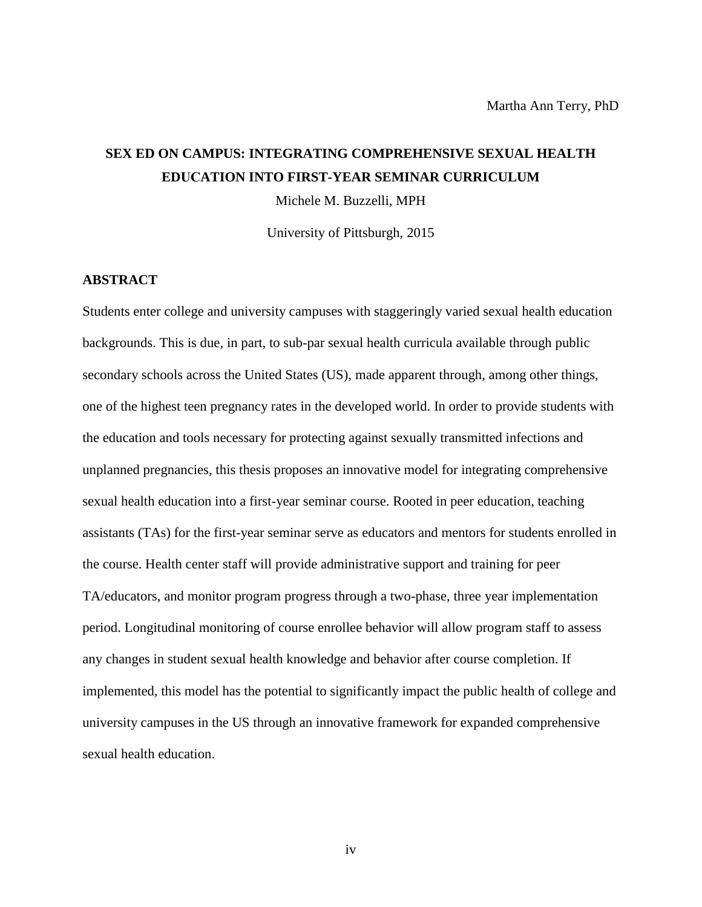# **SEX ED ON CAMPUS: INTEGRATING COMPREHENSIVE SEXUAL HEALTH EDUCATION INTO FIRST-YEAR SEMINAR CURRICULUM**

Michele M. Buzzelli, MPH

University of Pittsburgh, 2015

#### **ABSTRACT**

Students enter college and university campuses with staggeringly varied sexual health education backgrounds. This is due, in part, to sub-par sexual health curricula available through public secondary schools across the United States (US), made apparent through, among other things, one of the highest teen pregnancy rates in the developed world. In order to provide students with the education and tools necessary for protecting against sexually transmitted infections and unplanned pregnancies, this thesis proposes an innovative model for integrating comprehensive sexual health education into a first-year seminar course. Rooted in peer education, teaching assistants (TAs) for the first-year seminar serve as educators and mentors for students enrolled in the course. Health center staff will provide administrative support and training for peer TA/educators, and monitor program progress through a two-phase, three year implementation period. Longitudinal monitoring of course enrollee behavior will allow program staff to assess any changes in student sexual health knowledge and behavior after course completion. If implemented, this model has the potential to significantly impact the public health of college and university campuses in the US through an innovative framework for expanded comprehensive sexual health education.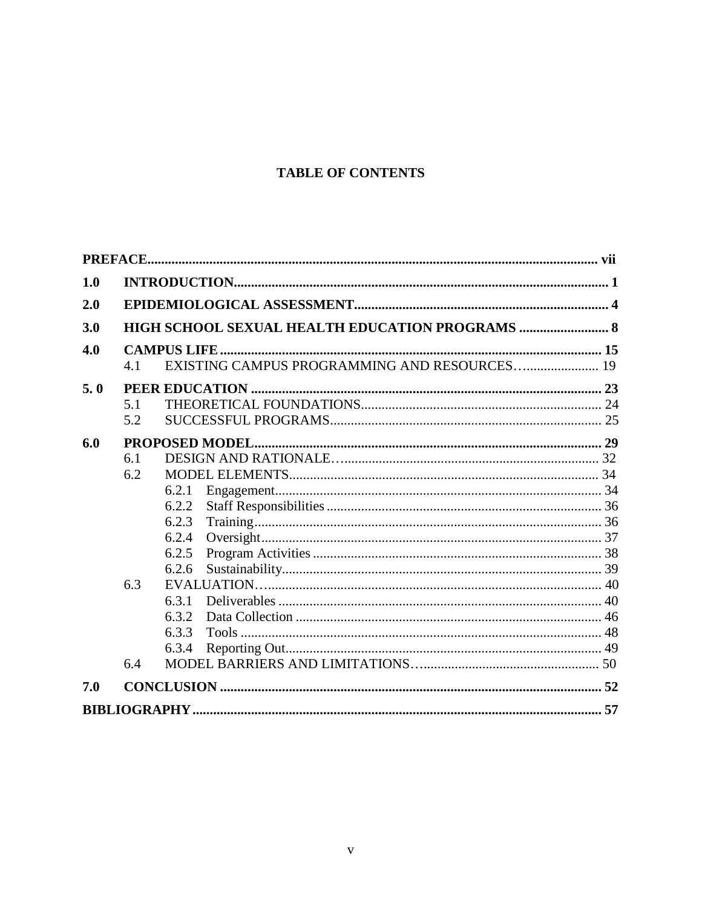# **TABLE OF CONTENTS**

| 1.0 |     |                                                 |  |
|-----|-----|-------------------------------------------------|--|
| 2.0 |     |                                                 |  |
| 3.0 |     | HIGH SCHOOL SEXUAL HEALTH EDUCATION PROGRAMS  8 |  |
| 4.0 |     |                                                 |  |
|     | 4.1 | EXISTING CAMPUS PROGRAMMING AND RESOURCES 19    |  |
| 5.0 |     |                                                 |  |
|     | 5.1 |                                                 |  |
|     | 5.2 |                                                 |  |
| 6.0 |     |                                                 |  |
|     | 6.1 |                                                 |  |
|     | 6.2 |                                                 |  |
|     |     | 6.2.1                                           |  |
|     |     | 6.2.2                                           |  |
|     |     | 6.2.3                                           |  |
|     |     | 6.2.4                                           |  |
|     |     | 6.2.5                                           |  |
|     |     | 6.2.6                                           |  |
|     | 6.3 |                                                 |  |
|     |     | 6.3.1                                           |  |
|     |     | 6.3.2                                           |  |
|     |     | 6.3.3                                           |  |
|     |     | 6.3.4                                           |  |
|     | 6.4 |                                                 |  |
| 7.0 |     |                                                 |  |
|     |     |                                                 |  |
|     |     |                                                 |  |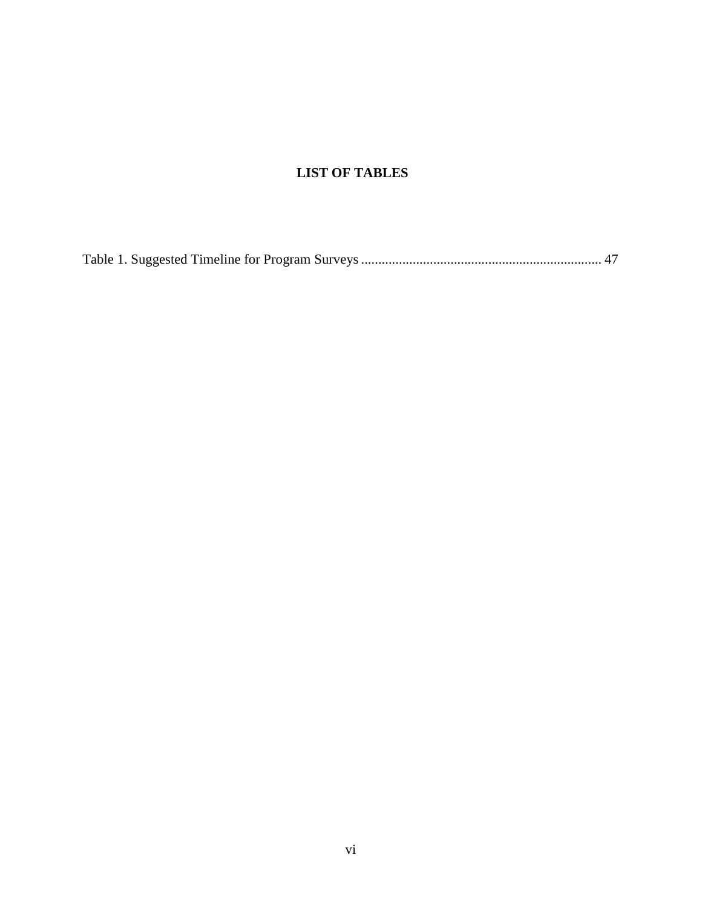# **LIST OF TABLES**

[Table 1. Suggested Timeline for Program Surveys......................................................................](#page-54-0) 47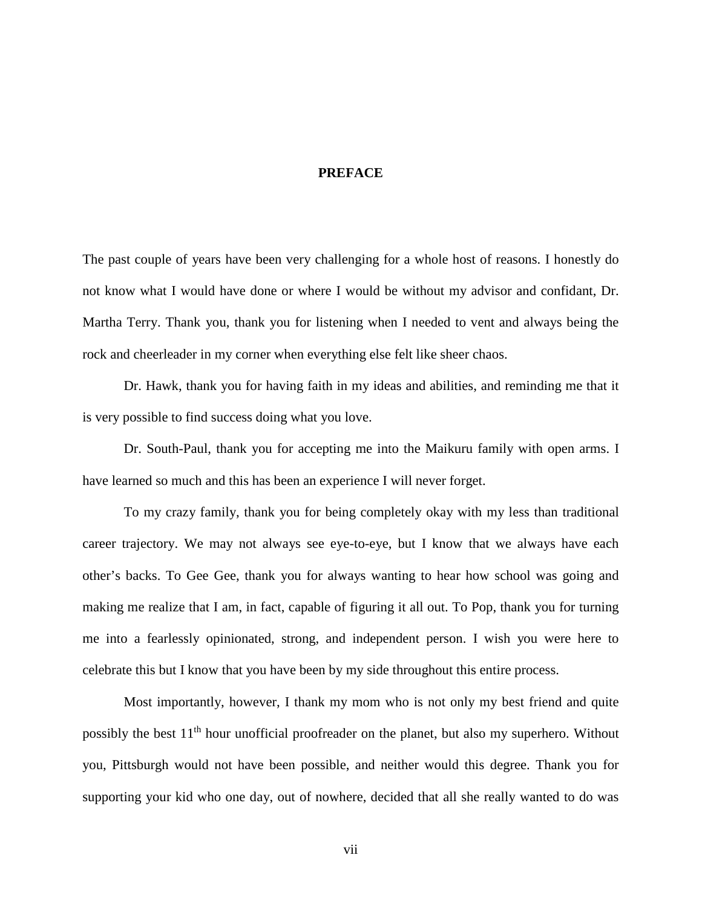### **PREFACE**

<span id="page-6-0"></span>The past couple of years have been very challenging for a whole host of reasons. I honestly do not know what I would have done or where I would be without my advisor and confidant, Dr. Martha Terry. Thank you, thank you for listening when I needed to vent and always being the rock and cheerleader in my corner when everything else felt like sheer chaos.

Dr. Hawk, thank you for having faith in my ideas and abilities, and reminding me that it is very possible to find success doing what you love.

Dr. South-Paul, thank you for accepting me into the Maikuru family with open arms. I have learned so much and this has been an experience I will never forget.

To my crazy family, thank you for being completely okay with my less than traditional career trajectory. We may not always see eye-to-eye, but I know that we always have each other's backs. To Gee Gee, thank you for always wanting to hear how school was going and making me realize that I am, in fact, capable of figuring it all out. To Pop, thank you for turning me into a fearlessly opinionated, strong, and independent person. I wish you were here to celebrate this but I know that you have been by my side throughout this entire process.

Most importantly, however, I thank my mom who is not only my best friend and quite possibly the best 11<sup>th</sup> hour unofficial proofreader on the planet, but also my superhero. Without you, Pittsburgh would not have been possible, and neither would this degree. Thank you for supporting your kid who one day, out of nowhere, decided that all she really wanted to do was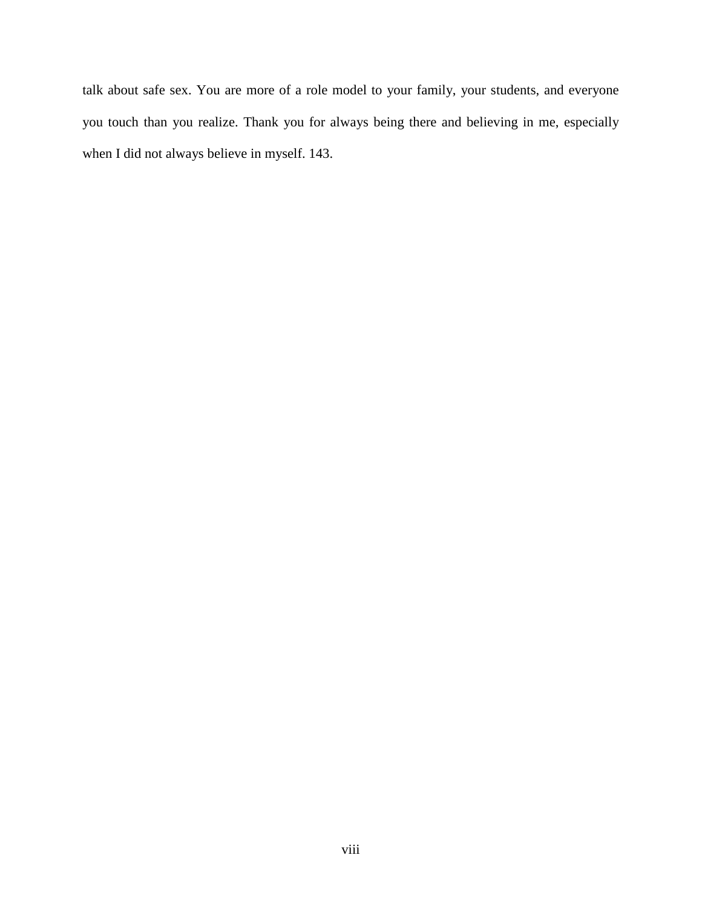talk about safe sex. You are more of a role model to your family, your students, and everyone you touch than you realize. Thank you for always being there and believing in me, especially when I did not always believe in myself. 143.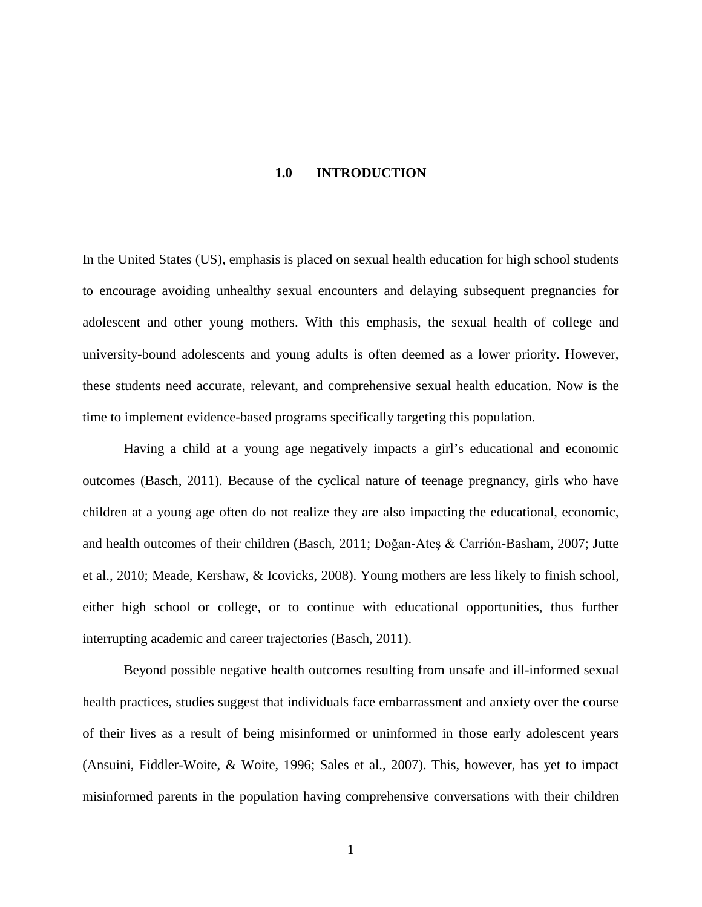#### **1.0 INTRODUCTION**

<span id="page-8-0"></span>In the United States (US), emphasis is placed on sexual health education for high school students to encourage avoiding unhealthy sexual encounters and delaying subsequent pregnancies for adolescent and other young mothers. With this emphasis, the sexual health of college and university-bound adolescents and young adults is often deemed as a lower priority. However, these students need accurate, relevant, and comprehensive sexual health education. Now is the time to implement evidence-based programs specifically targeting this population.

Having a child at a young age negatively impacts a girl's educational and economic outcomes (Basch, 2011). Because of the cyclical nature of teenage pregnancy, girls who have children at a young age often do not realize they are also impacting the educational, economic, and health outcomes of their children (Basch, 2011; Doğan-Ateş & Carrión-Basham, 2007; Jutte et al., 2010; Meade, Kershaw, & Icovicks, 2008). Young mothers are less likely to finish school, either high school or college, or to continue with educational opportunities, thus further interrupting academic and career trajectories (Basch, 2011).

Beyond possible negative health outcomes resulting from unsafe and ill-informed sexual health practices, studies suggest that individuals face embarrassment and anxiety over the course of their lives as a result of being misinformed or uninformed in those early adolescent years (Ansuini, Fiddler-Woite, & Woite, 1996; Sales et al., 2007). This, however, has yet to impact misinformed parents in the population having comprehensive conversations with their children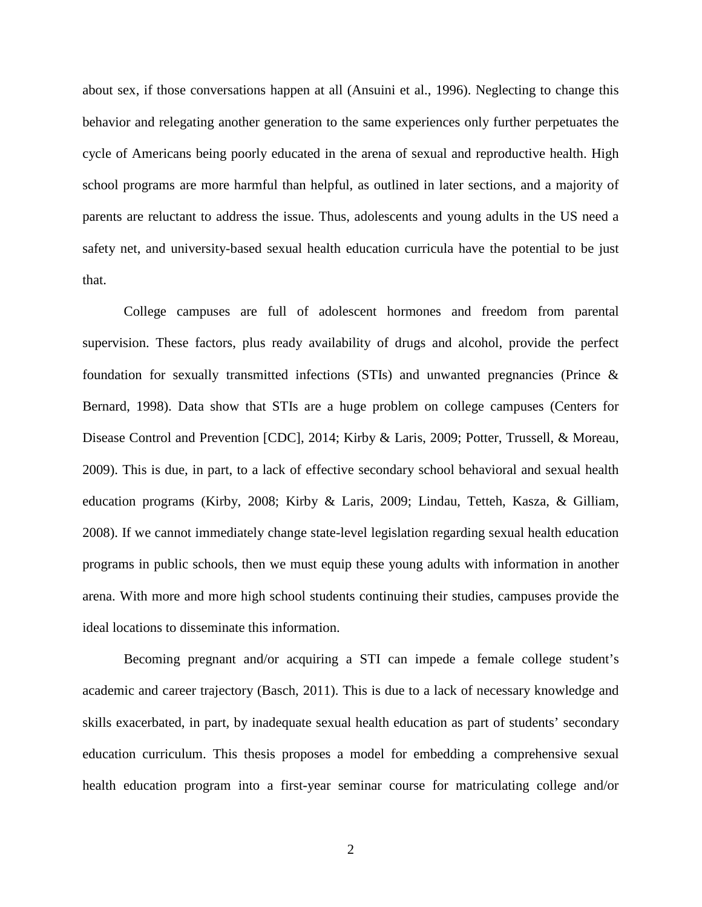about sex, if those conversations happen at all (Ansuini et al., 1996). Neglecting to change this behavior and relegating another generation to the same experiences only further perpetuates the cycle of Americans being poorly educated in the arena of sexual and reproductive health. High school programs are more harmful than helpful, as outlined in later sections, and a majority of parents are reluctant to address the issue. Thus, adolescents and young adults in the US need a safety net, and university-based sexual health education curricula have the potential to be just that.

College campuses are full of adolescent hormones and freedom from parental supervision. These factors, plus ready availability of drugs and alcohol, provide the perfect foundation for sexually transmitted infections (STIs) and unwanted pregnancies (Prince & Bernard, 1998). Data show that STIs are a huge problem on college campuses (Centers for Disease Control and Prevention [CDC], 2014; Kirby & Laris, 2009; Potter, Trussell, & Moreau, 2009). This is due, in part, to a lack of effective secondary school behavioral and sexual health education programs (Kirby, 2008; Kirby & Laris, 2009; Lindau, Tetteh, Kasza, & Gilliam, 2008). If we cannot immediately change state-level legislation regarding sexual health education programs in public schools, then we must equip these young adults with information in another arena. With more and more high school students continuing their studies, campuses provide the ideal locations to disseminate this information.

Becoming pregnant and/or acquiring a STI can impede a female college student's academic and career trajectory (Basch, 2011). This is due to a lack of necessary knowledge and skills exacerbated, in part, by inadequate sexual health education as part of students' secondary education curriculum. This thesis proposes a model for embedding a comprehensive sexual health education program into a first-year seminar course for matriculating college and/or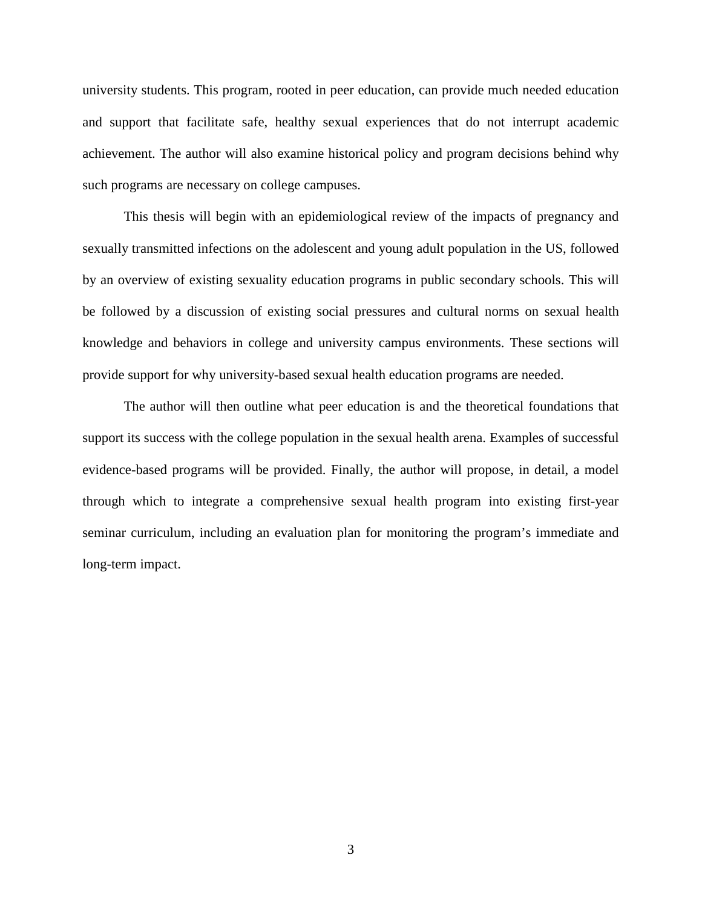university students. This program, rooted in peer education, can provide much needed education and support that facilitate safe, healthy sexual experiences that do not interrupt academic achievement. The author will also examine historical policy and program decisions behind why such programs are necessary on college campuses.

This thesis will begin with an epidemiological review of the impacts of pregnancy and sexually transmitted infections on the adolescent and young adult population in the US, followed by an overview of existing sexuality education programs in public secondary schools. This will be followed by a discussion of existing social pressures and cultural norms on sexual health knowledge and behaviors in college and university campus environments. These sections will provide support for why university-based sexual health education programs are needed.

The author will then outline what peer education is and the theoretical foundations that support its success with the college population in the sexual health arena. Examples of successful evidence-based programs will be provided. Finally, the author will propose, in detail, a model through which to integrate a comprehensive sexual health program into existing first-year seminar curriculum, including an evaluation plan for monitoring the program's immediate and long-term impact.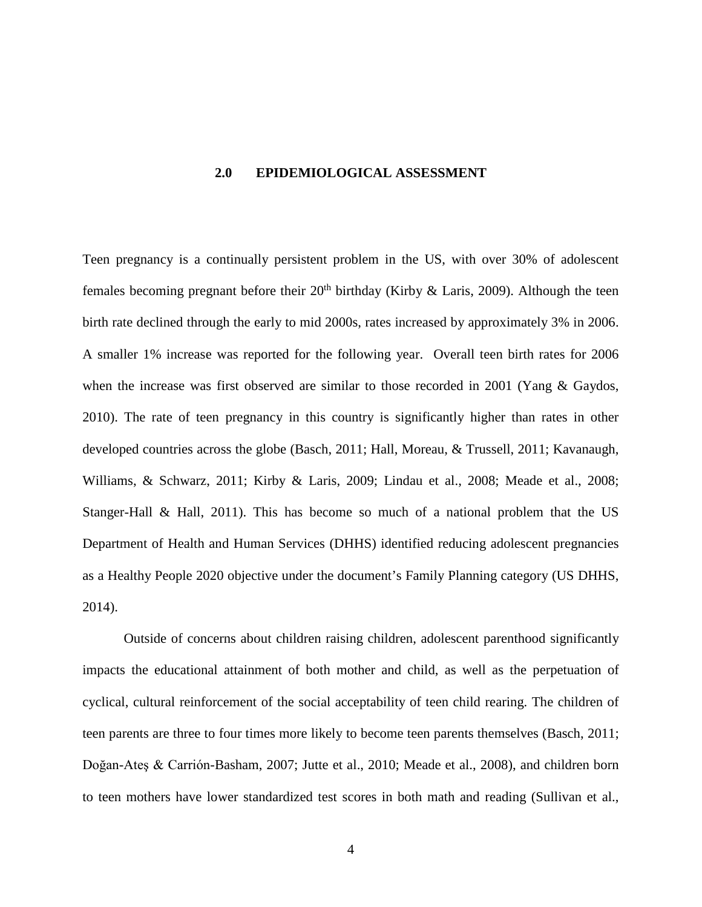#### <span id="page-11-0"></span>**2.0 EPIDEMIOLOGICAL ASSESSMENT**

Teen pregnancy is a continually persistent problem in the US, with over 30% of adolescent females becoming pregnant before their  $20<sup>th</sup>$  birthday (Kirby & Laris, 2009). Although the teen birth rate declined through the early to mid 2000s, rates increased by approximately 3% in 2006. A smaller 1% increase was reported for the following year. Overall teen birth rates for 2006 when the increase was first observed are similar to those recorded in 2001 (Yang & Gaydos, 2010). The rate of teen pregnancy in this country is significantly higher than rates in other developed countries across the globe (Basch, 2011; Hall, Moreau, & Trussell, 2011; Kavanaugh, Williams, & Schwarz, 2011; Kirby & Laris, 2009; Lindau et al., 2008; Meade et al., 2008; Stanger-Hall & Hall, 2011). This has become so much of a national problem that the US Department of Health and Human Services (DHHS) identified reducing adolescent pregnancies as a Healthy People 2020 objective under the document's Family Planning category (US DHHS, 2014).

Outside of concerns about children raising children, adolescent parenthood significantly impacts the educational attainment of both mother and child, as well as the perpetuation of cyclical, cultural reinforcement of the social acceptability of teen child rearing. The children of teen parents are three to four times more likely to become teen parents themselves (Basch, 2011; Doğan-Ateş & Carrión-Basham, 2007; Jutte et al., 2010; Meade et al., 2008), and children born to teen mothers have lower standardized test scores in both math and reading (Sullivan et al.,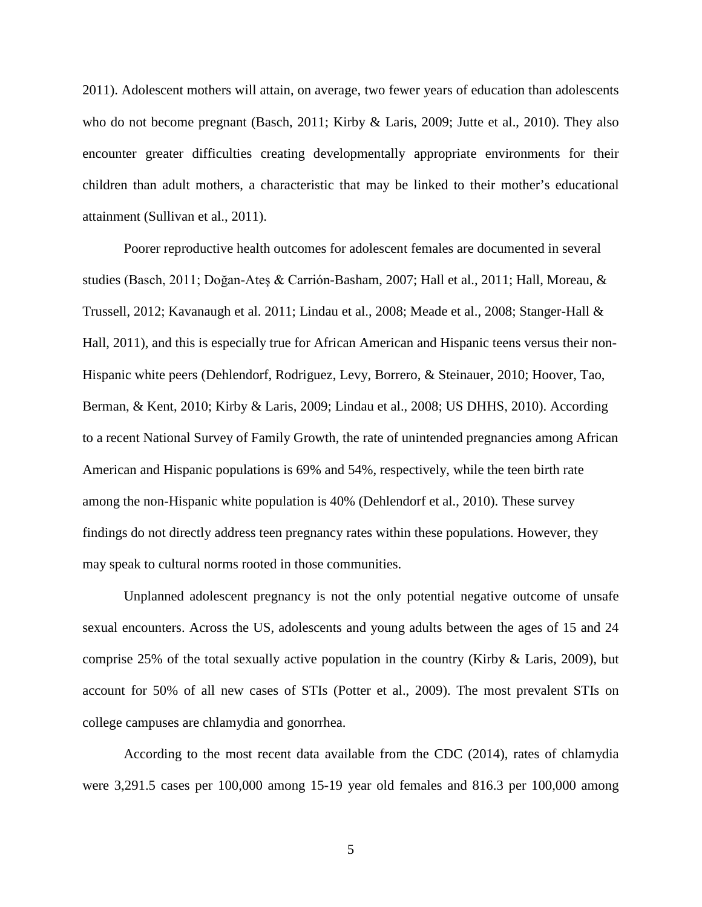2011). Adolescent mothers will attain, on average, two fewer years of education than adolescents who do not become pregnant (Basch, 2011; Kirby & Laris, 2009; Jutte et al., 2010). They also encounter greater difficulties creating developmentally appropriate environments for their children than adult mothers, a characteristic that may be linked to their mother's educational attainment (Sullivan et al., 2011).

Poorer reproductive health outcomes for adolescent females are documented in several studies (Basch, 2011; Doğan-Ateş & Carrión-Basham, 2007; Hall et al., 2011; Hall, Moreau, & Trussell, 2012; Kavanaugh et al. 2011; Lindau et al., 2008; Meade et al., 2008; Stanger-Hall & Hall, 2011), and this is especially true for African American and Hispanic teens versus their non-Hispanic white peers (Dehlendorf, Rodriguez, Levy, Borrero, & Steinauer, 2010; Hoover, Tao, Berman, & Kent, 2010; Kirby & Laris, 2009; Lindau et al., 2008; US DHHS, 2010). According to a recent National Survey of Family Growth, the rate of unintended pregnancies among African American and Hispanic populations is 69% and 54%, respectively, while the teen birth rate among the non-Hispanic white population is 40% (Dehlendorf et al., 2010). These survey findings do not directly address teen pregnancy rates within these populations. However, they may speak to cultural norms rooted in those communities.

Unplanned adolescent pregnancy is not the only potential negative outcome of unsafe sexual encounters. Across the US, adolescents and young adults between the ages of 15 and 24 comprise 25% of the total sexually active population in the country (Kirby & Laris, 2009), but account for 50% of all new cases of STIs (Potter et al., 2009). The most prevalent STIs on college campuses are chlamydia and gonorrhea.

According to the most recent data available from the CDC (2014), rates of chlamydia were 3,291.5 cases per 100,000 among 15-19 year old females and 816.3 per 100,000 among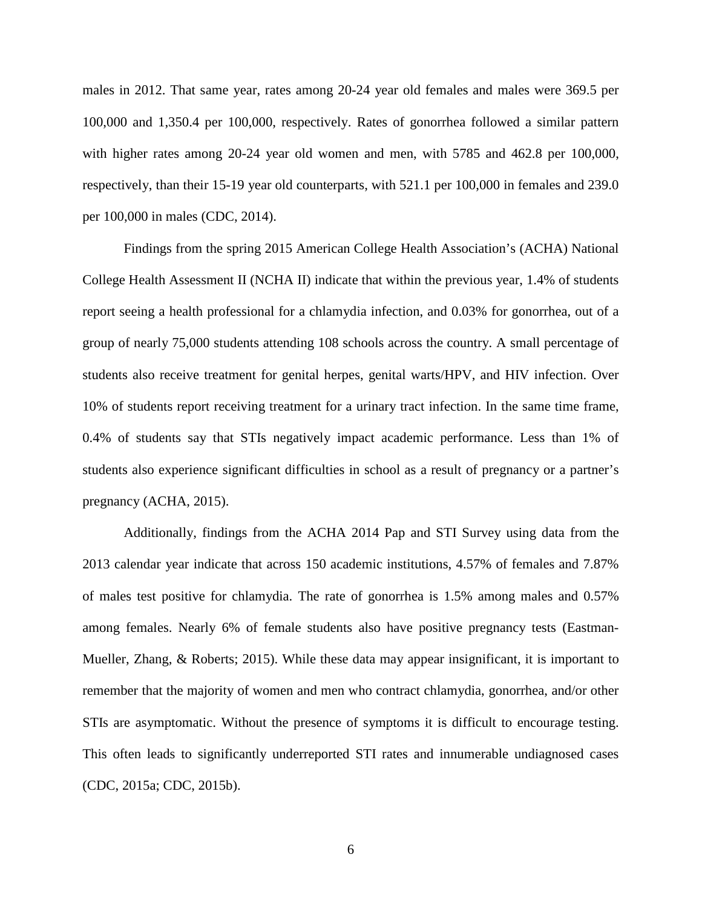males in 2012. That same year, rates among 20-24 year old females and males were 369.5 per 100,000 and 1,350.4 per 100,000, respectively. Rates of gonorrhea followed a similar pattern with higher rates among 20-24 year old women and men, with 5785 and 462.8 per 100,000, respectively, than their 15-19 year old counterparts, with 521.1 per 100,000 in females and 239.0 per 100,000 in males (CDC, 2014).

Findings from the spring 2015 American College Health Association's (ACHA) National College Health Assessment II (NCHA II) indicate that within the previous year, 1.4% of students report seeing a health professional for a chlamydia infection, and 0.03% for gonorrhea, out of a group of nearly 75,000 students attending 108 schools across the country. A small percentage of students also receive treatment for genital herpes, genital warts/HPV, and HIV infection. Over 10% of students report receiving treatment for a urinary tract infection. In the same time frame, 0.4% of students say that STIs negatively impact academic performance. Less than 1% of students also experience significant difficulties in school as a result of pregnancy or a partner's pregnancy (ACHA, 2015).

Additionally, findings from the ACHA 2014 Pap and STI Survey using data from the 2013 calendar year indicate that across 150 academic institutions, 4.57% of females and 7.87% of males test positive for chlamydia. The rate of gonorrhea is 1.5% among males and 0.57% among females. Nearly 6% of female students also have positive pregnancy tests (Eastman-Mueller, Zhang, & Roberts; 2015). While these data may appear insignificant, it is important to remember that the majority of women and men who contract chlamydia, gonorrhea, and/or other STIs are asymptomatic. Without the presence of symptoms it is difficult to encourage testing. This often leads to significantly underreported STI rates and innumerable undiagnosed cases (CDC, 2015a; CDC, 2015b).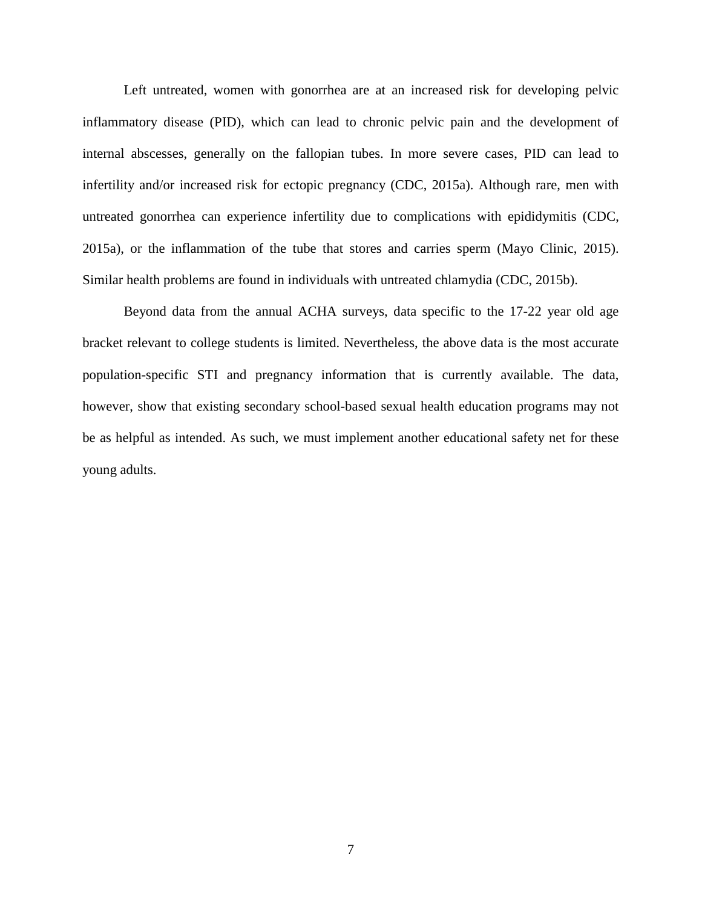Left untreated, women with gonorrhea are at an increased risk for developing pelvic inflammatory disease (PID), which can lead to chronic pelvic pain and the development of internal abscesses, generally on the fallopian tubes. In more severe cases, PID can lead to infertility and/or increased risk for ectopic pregnancy (CDC, 2015a). Although rare, men with untreated gonorrhea can experience infertility due to complications with epididymitis (CDC, 2015a), or the inflammation of the tube that stores and carries sperm (Mayo Clinic, 2015). Similar health problems are found in individuals with untreated chlamydia (CDC, 2015b).

Beyond data from the annual ACHA surveys, data specific to the 17-22 year old age bracket relevant to college students is limited. Nevertheless, the above data is the most accurate population-specific STI and pregnancy information that is currently available. The data, however, show that existing secondary school-based sexual health education programs may not be as helpful as intended. As such, we must implement another educational safety net for these young adults.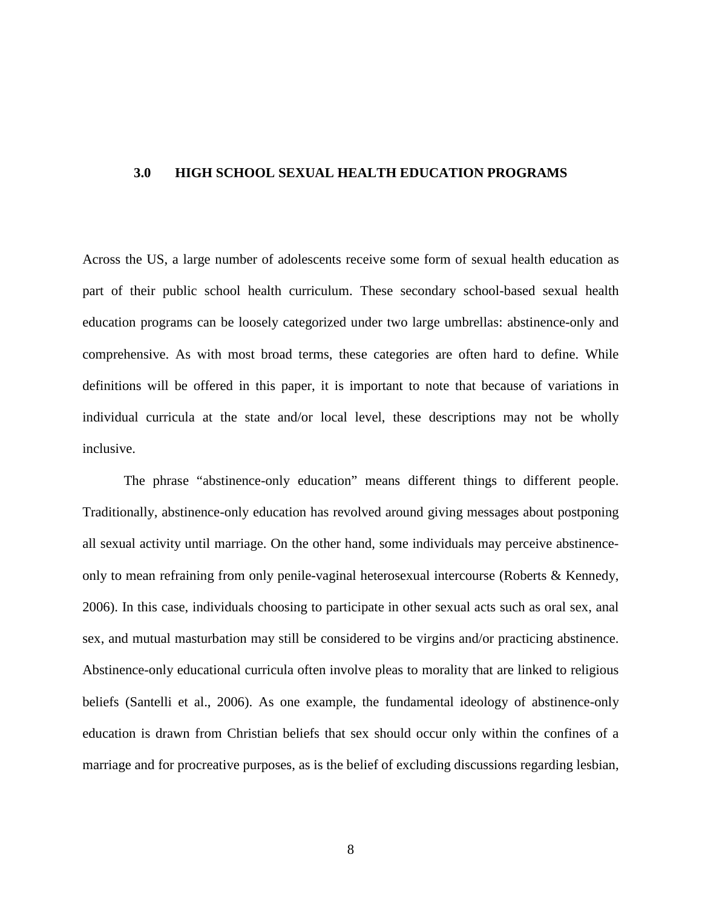#### <span id="page-15-0"></span>**3.0 HIGH SCHOOL SEXUAL HEALTH EDUCATION PROGRAMS**

Across the US, a large number of adolescents receive some form of sexual health education as part of their public school health curriculum. These secondary school-based sexual health education programs can be loosely categorized under two large umbrellas: abstinence-only and comprehensive. As with most broad terms, these categories are often hard to define. While definitions will be offered in this paper, it is important to note that because of variations in individual curricula at the state and/or local level, these descriptions may not be wholly inclusive.

The phrase "abstinence-only education" means different things to different people. Traditionally, abstinence-only education has revolved around giving messages about postponing all sexual activity until marriage. On the other hand, some individuals may perceive abstinenceonly to mean refraining from only penile-vaginal heterosexual intercourse (Roberts & Kennedy, 2006). In this case, individuals choosing to participate in other sexual acts such as oral sex, anal sex, and mutual masturbation may still be considered to be virgins and/or practicing abstinence. Abstinence-only educational curricula often involve pleas to morality that are linked to religious beliefs (Santelli et al., 2006). As one example, the fundamental ideology of abstinence-only education is drawn from Christian beliefs that sex should occur only within the confines of a marriage and for procreative purposes, as is the belief of excluding discussions regarding lesbian,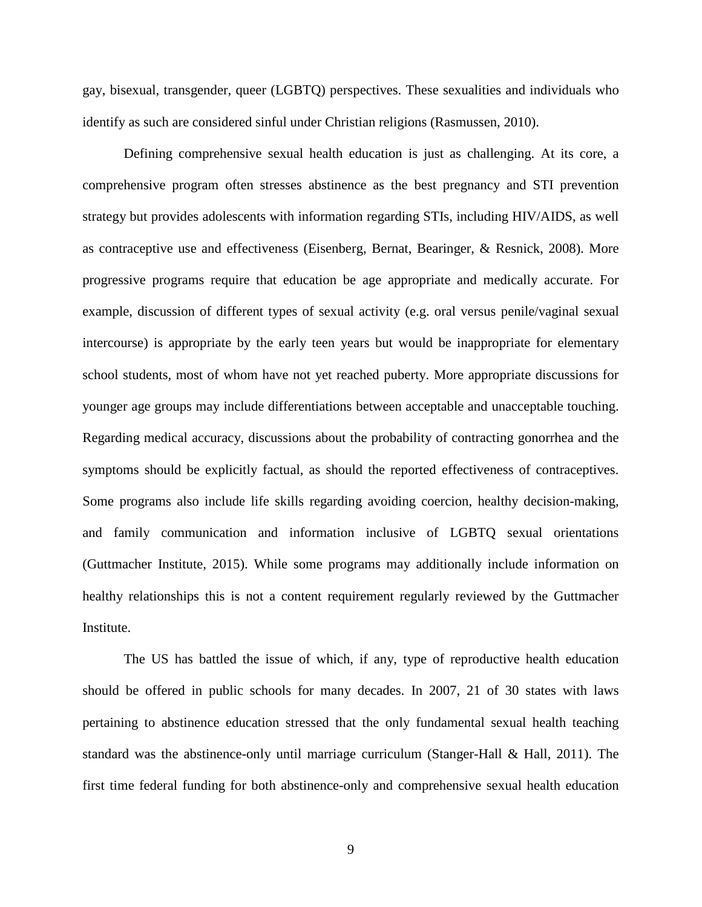gay, bisexual, transgender, queer (LGBTQ) perspectives. These sexualities and individuals who identify as such are considered sinful under Christian religions (Rasmussen, 2010).

Defining comprehensive sexual health education is just as challenging. At its core, a comprehensive program often stresses abstinence as the best pregnancy and STI prevention strategy but provides adolescents with information regarding STIs, including HIV/AIDS, as well as contraceptive use and effectiveness (Eisenberg, Bernat, Bearinger, & Resnick, 2008). More progressive programs require that education be age appropriate and medically accurate. For example, discussion of different types of sexual activity (e.g. oral versus penile/vaginal sexual intercourse) is appropriate by the early teen years but would be inappropriate for elementary school students, most of whom have not yet reached puberty. More appropriate discussions for younger age groups may include differentiations between acceptable and unacceptable touching. Regarding medical accuracy, discussions about the probability of contracting gonorrhea and the symptoms should be explicitly factual, as should the reported effectiveness of contraceptives. Some programs also include life skills regarding avoiding coercion, healthy decision-making, and family communication and information inclusive of LGBTQ sexual orientations (Guttmacher Institute, 2015). While some programs may additionally include information on healthy relationships this is not a content requirement regularly reviewed by the Guttmacher Institute.

The US has battled the issue of which, if any, type of reproductive health education should be offered in public schools for many decades. In 2007, 21 of 30 states with laws pertaining to abstinence education stressed that the only fundamental sexual health teaching standard was the abstinence-only until marriage curriculum (Stanger-Hall & Hall, 2011). The first time federal funding for both abstinence-only and comprehensive sexual health education

9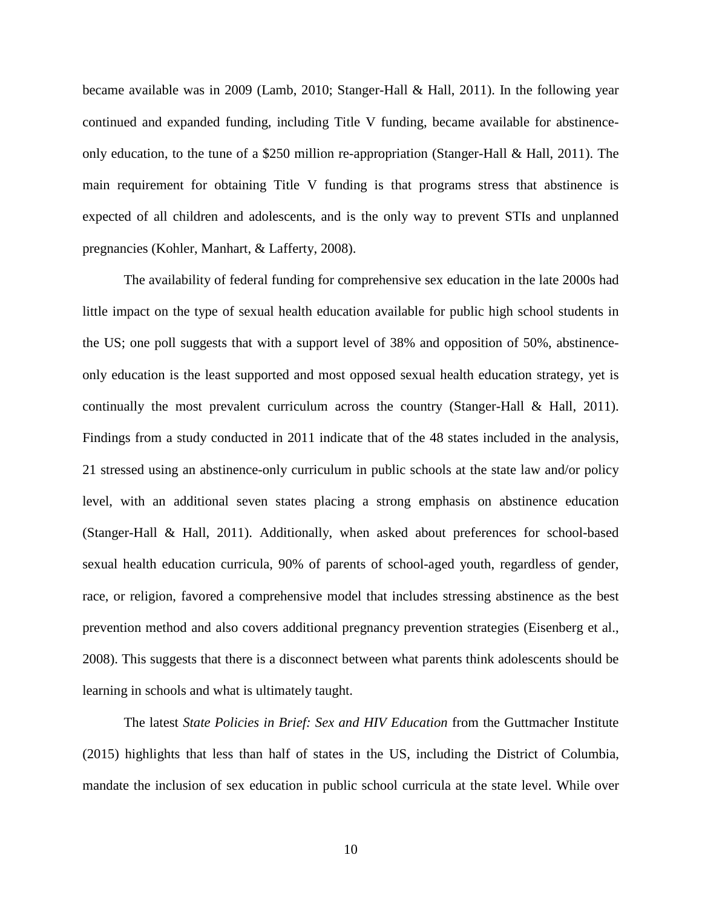became available was in 2009 (Lamb, 2010; Stanger-Hall & Hall, 2011). In the following year continued and expanded funding, including Title V funding, became available for abstinenceonly education, to the tune of a \$250 million re-appropriation (Stanger-Hall  $\&$  Hall, 2011). The main requirement for obtaining Title V funding is that programs stress that abstinence is expected of all children and adolescents, and is the only way to prevent STIs and unplanned pregnancies (Kohler, Manhart, & Lafferty, 2008).

The availability of federal funding for comprehensive sex education in the late 2000s had little impact on the type of sexual health education available for public high school students in the US; one poll suggests that with a support level of 38% and opposition of 50%, abstinenceonly education is the least supported and most opposed sexual health education strategy, yet is continually the most prevalent curriculum across the country (Stanger-Hall & Hall, 2011). Findings from a study conducted in 2011 indicate that of the 48 states included in the analysis, 21 stressed using an abstinence-only curriculum in public schools at the state law and/or policy level, with an additional seven states placing a strong emphasis on abstinence education (Stanger-Hall & Hall, 2011). Additionally, when asked about preferences for school-based sexual health education curricula, 90% of parents of school-aged youth, regardless of gender, race, or religion, favored a comprehensive model that includes stressing abstinence as the best prevention method and also covers additional pregnancy prevention strategies (Eisenberg et al., 2008). This suggests that there is a disconnect between what parents think adolescents should be learning in schools and what is ultimately taught.

The latest *State Policies in Brief: Sex and HIV Education* from the Guttmacher Institute (2015) highlights that less than half of states in the US, including the District of Columbia, mandate the inclusion of sex education in public school curricula at the state level. While over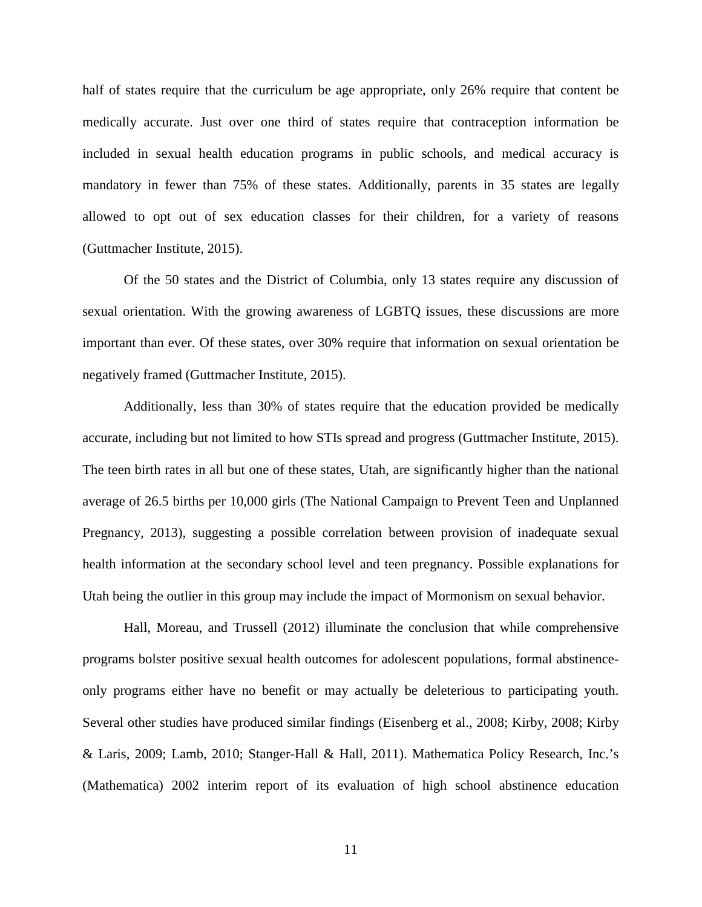half of states require that the curriculum be age appropriate, only 26% require that content be medically accurate. Just over one third of states require that contraception information be included in sexual health education programs in public schools, and medical accuracy is mandatory in fewer than 75% of these states. Additionally, parents in 35 states are legally allowed to opt out of sex education classes for their children, for a variety of reasons (Guttmacher Institute, 2015).

Of the 50 states and the District of Columbia, only 13 states require any discussion of sexual orientation. With the growing awareness of LGBTQ issues, these discussions are more important than ever. Of these states, over 30% require that information on sexual orientation be negatively framed (Guttmacher Institute, 2015).

Additionally, less than 30% of states require that the education provided be medically accurate, including but not limited to how STIs spread and progress (Guttmacher Institute, 2015). The teen birth rates in all but one of these states, Utah, are significantly higher than the national average of 26.5 births per 10,000 girls (The National Campaign to Prevent Teen and Unplanned Pregnancy, 2013), suggesting a possible correlation between provision of inadequate sexual health information at the secondary school level and teen pregnancy. Possible explanations for Utah being the outlier in this group may include the impact of Mormonism on sexual behavior.

Hall, Moreau, and Trussell (2012) illuminate the conclusion that while comprehensive programs bolster positive sexual health outcomes for adolescent populations, formal abstinenceonly programs either have no benefit or may actually be deleterious to participating youth. Several other studies have produced similar findings (Eisenberg et al., 2008; Kirby, 2008; Kirby & Laris, 2009; Lamb, 2010; Stanger-Hall & Hall, 2011). Mathematica Policy Research, Inc.'s (Mathematica) 2002 interim report of its evaluation of high school abstinence education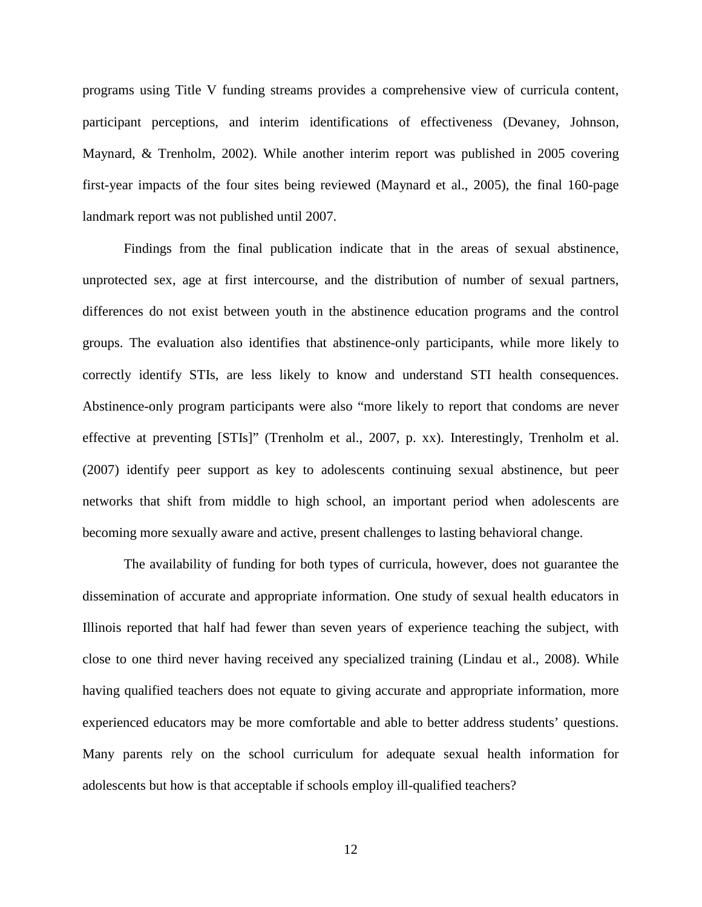programs using Title V funding streams provides a comprehensive view of curricula content, participant perceptions, and interim identifications of effectiveness (Devaney, Johnson, Maynard, & Trenholm, 2002). While another interim report was published in 2005 covering first-year impacts of the four sites being reviewed (Maynard et al., 2005), the final 160-page landmark report was not published until 2007.

Findings from the final publication indicate that in the areas of sexual abstinence, unprotected sex, age at first intercourse, and the distribution of number of sexual partners, differences do not exist between youth in the abstinence education programs and the control groups. The evaluation also identifies that abstinence-only participants, while more likely to correctly identify STIs, are less likely to know and understand STI health consequences. Abstinence-only program participants were also "more likely to report that condoms are never effective at preventing [STIs]" (Trenholm et al., 2007, p. xx). Interestingly, Trenholm et al. (2007) identify peer support as key to adolescents continuing sexual abstinence, but peer networks that shift from middle to high school, an important period when adolescents are becoming more sexually aware and active, present challenges to lasting behavioral change.

The availability of funding for both types of curricula, however, does not guarantee the dissemination of accurate and appropriate information. One study of sexual health educators in Illinois reported that half had fewer than seven years of experience teaching the subject, with close to one third never having received any specialized training (Lindau et al., 2008). While having qualified teachers does not equate to giving accurate and appropriate information, more experienced educators may be more comfortable and able to better address students' questions. Many parents rely on the school curriculum for adequate sexual health information for adolescents but how is that acceptable if schools employ ill-qualified teachers?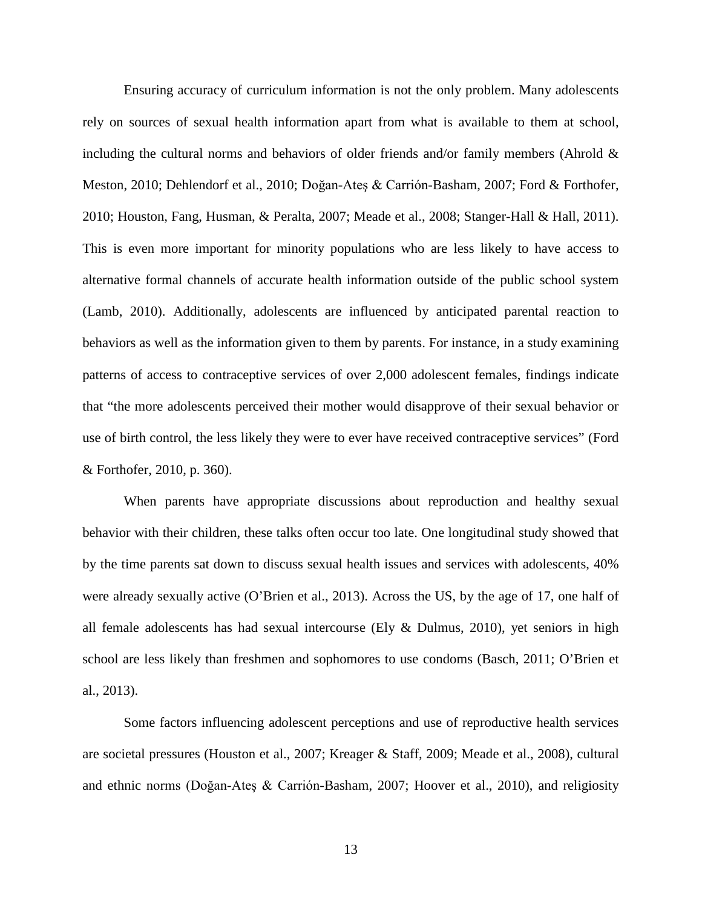Ensuring accuracy of curriculum information is not the only problem. Many adolescents rely on sources of sexual health information apart from what is available to them at school, including the cultural norms and behaviors of older friends and/or family members (Ahrold  $\&$ Meston, 2010; Dehlendorf et al., 2010; Doğan-Ateş & Carrión-Basham, 2007; Ford & Forthofer, 2010; Houston, Fang, Husman, & Peralta, 2007; Meade et al., 2008; Stanger-Hall & Hall, 2011). This is even more important for minority populations who are less likely to have access to alternative formal channels of accurate health information outside of the public school system (Lamb, 2010). Additionally, adolescents are influenced by anticipated parental reaction to behaviors as well as the information given to them by parents. For instance, in a study examining patterns of access to contraceptive services of over 2,000 adolescent females, findings indicate that "the more adolescents perceived their mother would disapprove of their sexual behavior or use of birth control, the less likely they were to ever have received contraceptive services" (Ford & Forthofer, 2010, p. 360).

When parents have appropriate discussions about reproduction and healthy sexual behavior with their children, these talks often occur too late. One longitudinal study showed that by the time parents sat down to discuss sexual health issues and services with adolescents, 40% were already sexually active (O'Brien et al., 2013). Across the US, by the age of 17, one half of all female adolescents has had sexual intercourse (Ely  $\&$  Dulmus, 2010), yet seniors in high school are less likely than freshmen and sophomores to use condoms (Basch, 2011; O'Brien et al., 2013).

Some factors influencing adolescent perceptions and use of reproductive health services are societal pressures (Houston et al., 2007; Kreager & Staff, 2009; Meade et al., 2008), cultural and ethnic norms (Doğan-Ateş & Carrión-Basham, 2007; Hoover et al., 2010), and religiosity

13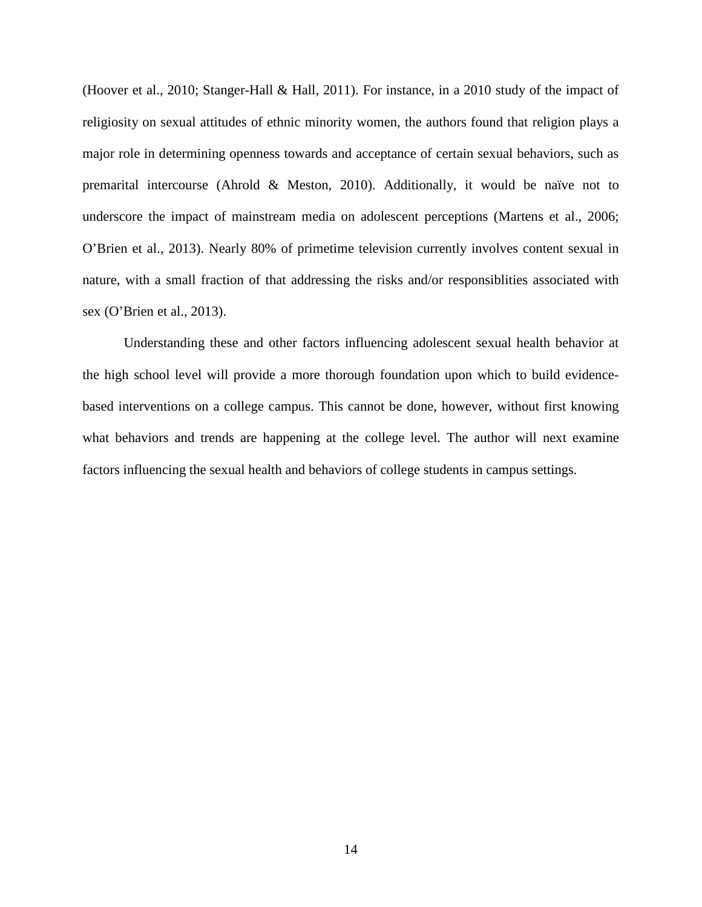(Hoover et al., 2010; Stanger-Hall & Hall, 2011). For instance, in a 2010 study of the impact of religiosity on sexual attitudes of ethnic minority women, the authors found that religion plays a major role in determining openness towards and acceptance of certain sexual behaviors, such as premarital intercourse (Ahrold & Meston, 2010). Additionally, it would be naïve not to underscore the impact of mainstream media on adolescent perceptions (Martens et al., 2006; O'Brien et al., 2013). Nearly 80% of primetime television currently involves content sexual in nature, with a small fraction of that addressing the risks and/or responsiblities associated with sex (O'Brien et al., 2013).

Understanding these and other factors influencing adolescent sexual health behavior at the high school level will provide a more thorough foundation upon which to build evidencebased interventions on a college campus. This cannot be done, however, without first knowing what behaviors and trends are happening at the college level. The author will next examine factors influencing the sexual health and behaviors of college students in campus settings.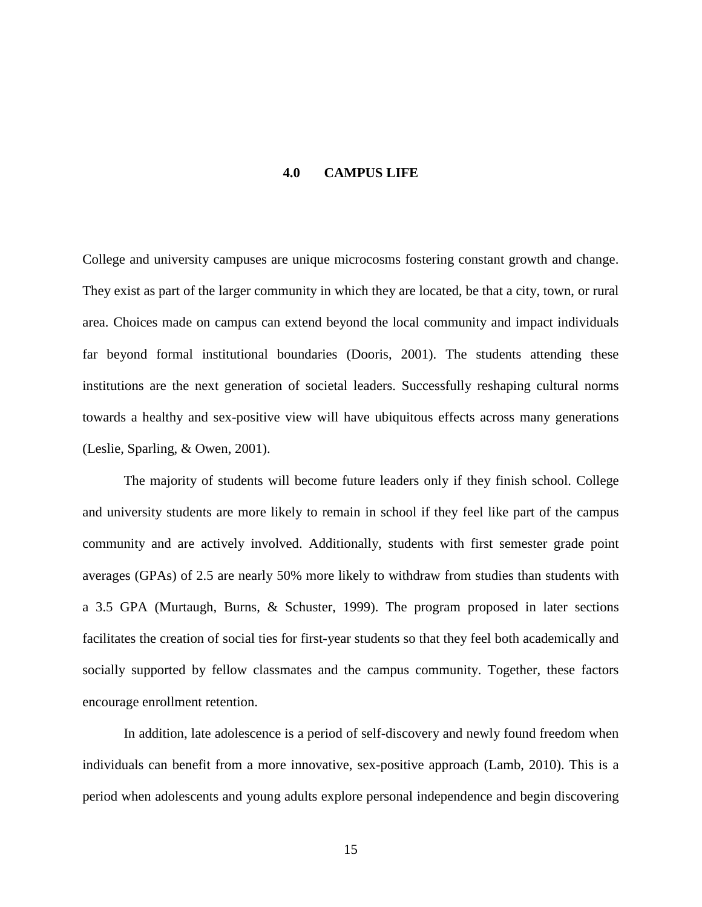#### **4.0 CAMPUS LIFE**

<span id="page-22-0"></span>College and university campuses are unique microcosms fostering constant growth and change. They exist as part of the larger community in which they are located, be that a city, town, or rural area. Choices made on campus can extend beyond the local community and impact individuals far beyond formal institutional boundaries (Dooris, 2001). The students attending these institutions are the next generation of societal leaders. Successfully reshaping cultural norms towards a healthy and sex-positive view will have ubiquitous effects across many generations (Leslie, Sparling, & Owen, 2001).

The majority of students will become future leaders only if they finish school. College and university students are more likely to remain in school if they feel like part of the campus community and are actively involved. Additionally, students with first semester grade point averages (GPAs) of 2.5 are nearly 50% more likely to withdraw from studies than students with a 3.5 GPA (Murtaugh, Burns, & Schuster, 1999). The program proposed in later sections facilitates the creation of social ties for first-year students so that they feel both academically and socially supported by fellow classmates and the campus community. Together, these factors encourage enrollment retention.

In addition, late adolescence is a period of self-discovery and newly found freedom when individuals can benefit from a more innovative, sex-positive approach (Lamb, 2010). This is a period when adolescents and young adults explore personal independence and begin discovering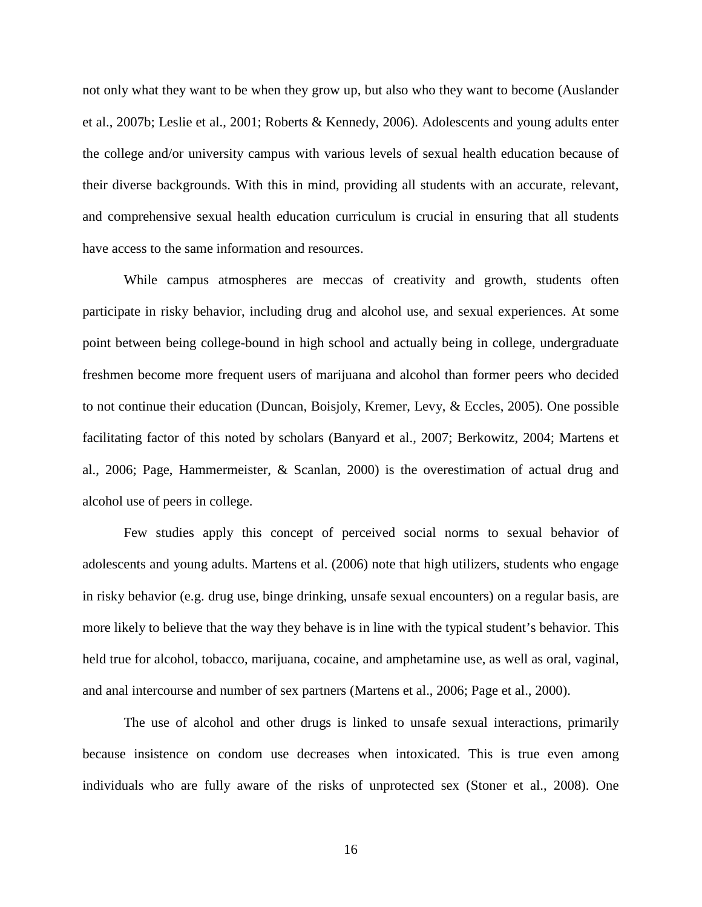not only what they want to be when they grow up, but also who they want to become (Auslander et al., 2007b; Leslie et al., 2001; Roberts & Kennedy, 2006). Adolescents and young adults enter the college and/or university campus with various levels of sexual health education because of their diverse backgrounds. With this in mind, providing all students with an accurate, relevant, and comprehensive sexual health education curriculum is crucial in ensuring that all students have access to the same information and resources.

While campus atmospheres are meccas of creativity and growth, students often participate in risky behavior, including drug and alcohol use, and sexual experiences. At some point between being college-bound in high school and actually being in college, undergraduate freshmen become more frequent users of marijuana and alcohol than former peers who decided to not continue their education (Duncan, Boisjoly, Kremer, Levy, & Eccles, 2005). One possible facilitating factor of this noted by scholars (Banyard et al., 2007; Berkowitz, 2004; Martens et al., 2006; Page, Hammermeister, & Scanlan, 2000) is the overestimation of actual drug and alcohol use of peers in college.

Few studies apply this concept of perceived social norms to sexual behavior of adolescents and young adults. Martens et al. (2006) note that high utilizers, students who engage in risky behavior (e.g. drug use, binge drinking, unsafe sexual encounters) on a regular basis, are more likely to believe that the way they behave is in line with the typical student's behavior. This held true for alcohol, tobacco, marijuana, cocaine, and amphetamine use, as well as oral, vaginal, and anal intercourse and number of sex partners (Martens et al., 2006; Page et al., 2000).

The use of alcohol and other drugs is linked to unsafe sexual interactions, primarily because insistence on condom use decreases when intoxicated. This is true even among individuals who are fully aware of the risks of unprotected sex (Stoner et al., 2008). One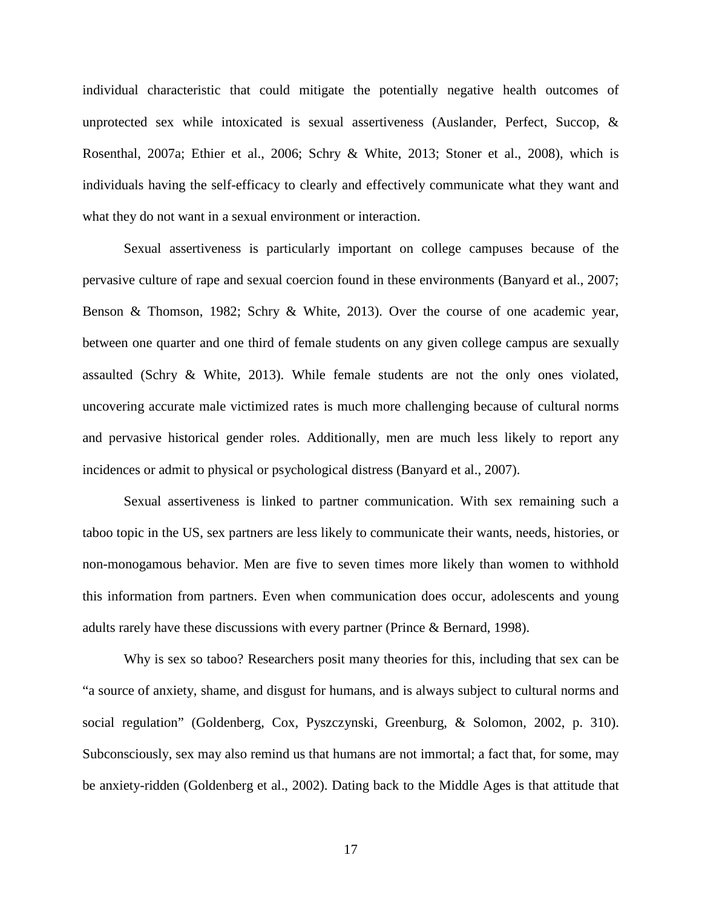individual characteristic that could mitigate the potentially negative health outcomes of unprotected sex while intoxicated is sexual assertiveness (Auslander, Perfect, Succop, & Rosenthal, 2007a; Ethier et al., 2006; Schry & White, 2013; Stoner et al., 2008), which is individuals having the self-efficacy to clearly and effectively communicate what they want and what they do not want in a sexual environment or interaction.

Sexual assertiveness is particularly important on college campuses because of the pervasive culture of rape and sexual coercion found in these environments (Banyard et al., 2007; Benson & Thomson, 1982; Schry & White, 2013). Over the course of one academic year, between one quarter and one third of female students on any given college campus are sexually assaulted (Schry & White, 2013). While female students are not the only ones violated, uncovering accurate male victimized rates is much more challenging because of cultural norms and pervasive historical gender roles. Additionally, men are much less likely to report any incidences or admit to physical or psychological distress (Banyard et al., 2007).

Sexual assertiveness is linked to partner communication. With sex remaining such a taboo topic in the US, sex partners are less likely to communicate their wants, needs, histories, or non-monogamous behavior. Men are five to seven times more likely than women to withhold this information from partners. Even when communication does occur, adolescents and young adults rarely have these discussions with every partner (Prince & Bernard, 1998).

Why is sex so taboo? Researchers posit many theories for this, including that sex can be "a source of anxiety, shame, and disgust for humans, and is always subject to cultural norms and social regulation" (Goldenberg, Cox, Pyszczynski, Greenburg, & Solomon, 2002, p. 310). Subconsciously, sex may also remind us that humans are not immortal; a fact that, for some, may be anxiety-ridden (Goldenberg et al., 2002). Dating back to the Middle Ages is that attitude that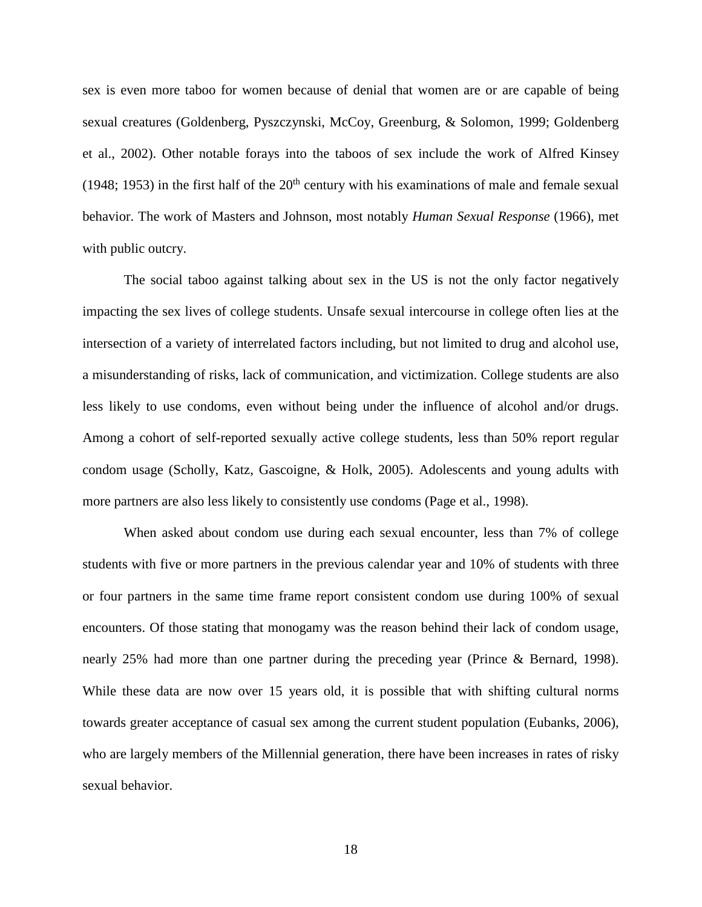sex is even more taboo for women because of denial that women are or are capable of being sexual creatures (Goldenberg, Pyszczynski, McCoy, Greenburg, & Solomon, 1999; Goldenberg et al., 2002). Other notable forays into the taboos of sex include the work of Alfred Kinsey (1948; 1953) in the first half of the  $20<sup>th</sup>$  century with his examinations of male and female sexual behavior. The work of Masters and Johnson, most notably *Human Sexual Response* (1966), met with public outcry.

The social taboo against talking about sex in the US is not the only factor negatively impacting the sex lives of college students. Unsafe sexual intercourse in college often lies at the intersection of a variety of interrelated factors including, but not limited to drug and alcohol use, a misunderstanding of risks, lack of communication, and victimization. College students are also less likely to use condoms, even without being under the influence of alcohol and/or drugs. Among a cohort of self-reported sexually active college students, less than 50% report regular condom usage (Scholly, Katz, Gascoigne, & Holk, 2005). Adolescents and young adults with more partners are also less likely to consistently use condoms (Page et al., 1998).

When asked about condom use during each sexual encounter, less than 7% of college students with five or more partners in the previous calendar year and 10% of students with three or four partners in the same time frame report consistent condom use during 100% of sexual encounters. Of those stating that monogamy was the reason behind their lack of condom usage, nearly 25% had more than one partner during the preceding year (Prince & Bernard, 1998). While these data are now over 15 years old, it is possible that with shifting cultural norms towards greater acceptance of casual sex among the current student population (Eubanks, 2006), who are largely members of the Millennial generation, there have been increases in rates of risky sexual behavior.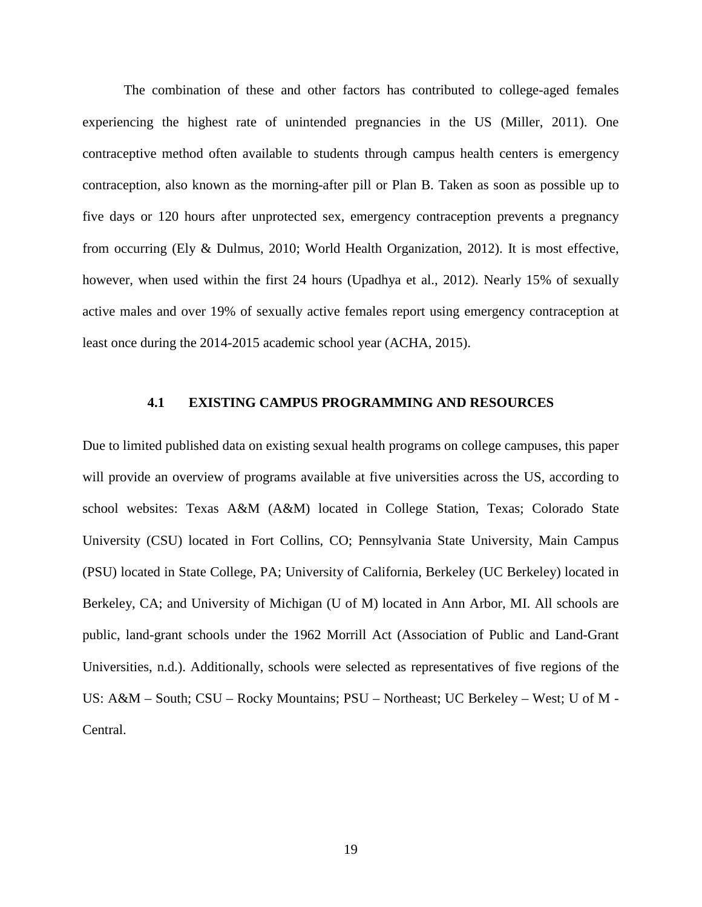The combination of these and other factors has contributed to college-aged females experiencing the highest rate of unintended pregnancies in the US (Miller, 2011). One contraceptive method often available to students through campus health centers is emergency contraception, also known as the morning-after pill or Plan B. Taken as soon as possible up to five days or 120 hours after unprotected sex, emergency contraception prevents a pregnancy from occurring (Ely & Dulmus, 2010; World Health Organization, 2012). It is most effective, however, when used within the first 24 hours (Upadhya et al., 2012). Nearly 15% of sexually active males and over 19% of sexually active females report using emergency contraception at least once during the 2014-2015 academic school year (ACHA, 2015).

#### <span id="page-26-0"></span>**4.1 EXISTING CAMPUS PROGRAMMING AND RESOURCES**

Due to limited published data on existing sexual health programs on college campuses, this paper will provide an overview of programs available at five universities across the US, according to school websites: Texas A&M (A&M) located in College Station, Texas; Colorado State University (CSU) located in Fort Collins, CO; Pennsylvania State University, Main Campus (PSU) located in State College, PA; University of California, Berkeley (UC Berkeley) located in Berkeley, CA; and University of Michigan (U of M) located in Ann Arbor, MI. All schools are public, land-grant schools under the 1962 Morrill Act (Association of Public and Land-Grant Universities, n.d.). Additionally, schools were selected as representatives of five regions of the US: A&M – South; CSU – Rocky Mountains; PSU – Northeast; UC Berkeley – West; U of M - Central.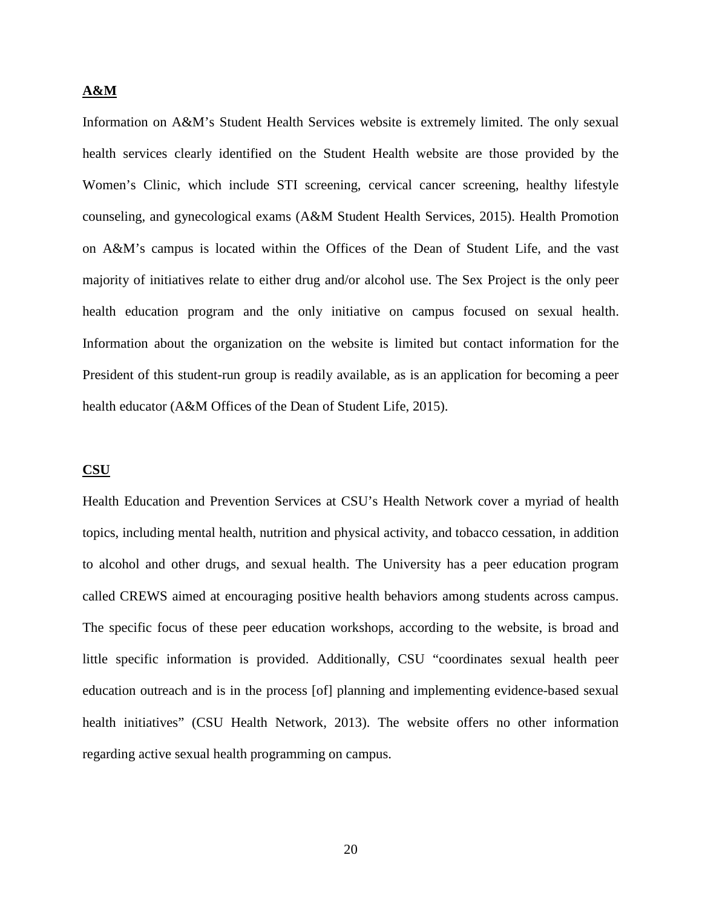#### **A&M**

Information on A&M's Student Health Services website is extremely limited. The only sexual health services clearly identified on the Student Health website are those provided by the Women's Clinic, which include STI screening, cervical cancer screening, healthy lifestyle counseling, and gynecological exams (A&M Student Health Services, 2015). Health Promotion on A&M's campus is located within the Offices of the Dean of Student Life, and the vast majority of initiatives relate to either drug and/or alcohol use. The Sex Project is the only peer health education program and the only initiative on campus focused on sexual health. Information about the organization on the website is limited but contact information for the President of this student-run group is readily available, as is an application for becoming a peer health educator (A&M Offices of the Dean of Student Life, 2015).

#### **CSU**

Health Education and Prevention Services at CSU's Health Network cover a myriad of health topics, including mental health, nutrition and physical activity, and tobacco cessation, in addition to alcohol and other drugs, and sexual health. The University has a peer education program called CREWS aimed at encouraging positive health behaviors among students across campus. The specific focus of these peer education workshops, according to the website, is broad and little specific information is provided. Additionally, CSU "coordinates sexual health peer education outreach and is in the process [of] planning and implementing evidence-based sexual health initiatives" (CSU Health Network, 2013). The website offers no other information regarding active sexual health programming on campus.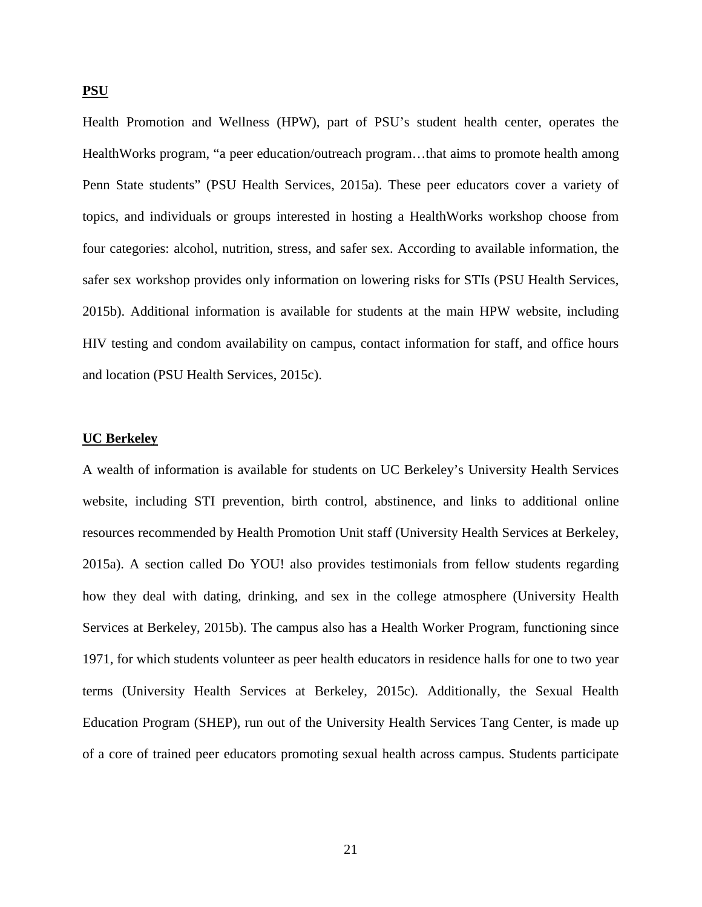**PSU**

Health Promotion and Wellness (HPW), part of PSU's student health center, operates the HealthWorks program, "a peer education/outreach program…that aims to promote health among Penn State students" (PSU Health Services, 2015a). These peer educators cover a variety of topics, and individuals or groups interested in hosting a HealthWorks workshop choose from four categories: alcohol, nutrition, stress, and safer sex. According to available information, the safer sex workshop provides only information on lowering risks for STIs (PSU Health Services, 2015b). Additional information is available for students at the main HPW website, including HIV testing and condom availability on campus, contact information for staff, and office hours and location (PSU Health Services, 2015c).

#### **UC Berkeley**

A wealth of information is available for students on UC Berkeley's University Health Services website, including STI prevention, birth control, abstinence, and links to additional online resources recommended by Health Promotion Unit staff (University Health Services at Berkeley, 2015a). A section called Do YOU! also provides testimonials from fellow students regarding how they deal with dating, drinking, and sex in the college atmosphere (University Health Services at Berkeley, 2015b). The campus also has a Health Worker Program, functioning since 1971, for which students volunteer as peer health educators in residence halls for one to two year terms (University Health Services at Berkeley, 2015c). Additionally, the Sexual Health Education Program (SHEP), run out of the University Health Services Tang Center, is made up of a core of trained peer educators promoting sexual health across campus. Students participate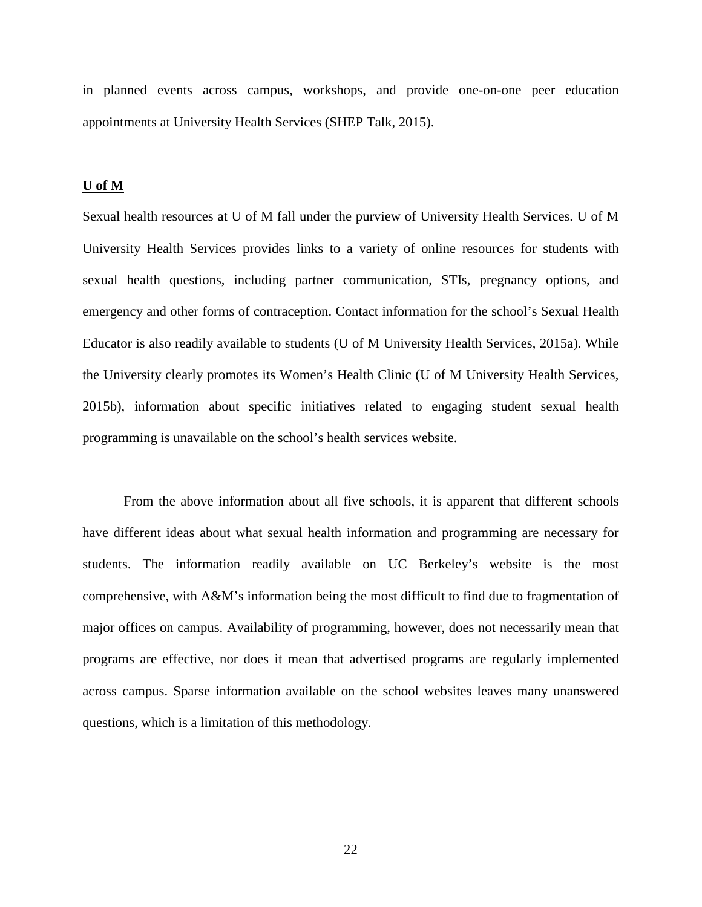in planned events across campus, workshops, and provide one-on-one peer education appointments at University Health Services (SHEP Talk, 2015).

#### **U of M**

Sexual health resources at U of M fall under the purview of University Health Services. U of M University Health Services provides links to a variety of online resources for students with sexual health questions, including partner communication, STIs, pregnancy options, and emergency and other forms of contraception. Contact information for the school's Sexual Health Educator is also readily available to students (U of M University Health Services, 2015a). While the University clearly promotes its Women's Health Clinic (U of M University Health Services, 2015b), information about specific initiatives related to engaging student sexual health programming is unavailable on the school's health services website.

From the above information about all five schools, it is apparent that different schools have different ideas about what sexual health information and programming are necessary for students. The information readily available on UC Berkeley's website is the most comprehensive, with A&M's information being the most difficult to find due to fragmentation of major offices on campus. Availability of programming, however, does not necessarily mean that programs are effective, nor does it mean that advertised programs are regularly implemented across campus. Sparse information available on the school websites leaves many unanswered questions, which is a limitation of this methodology.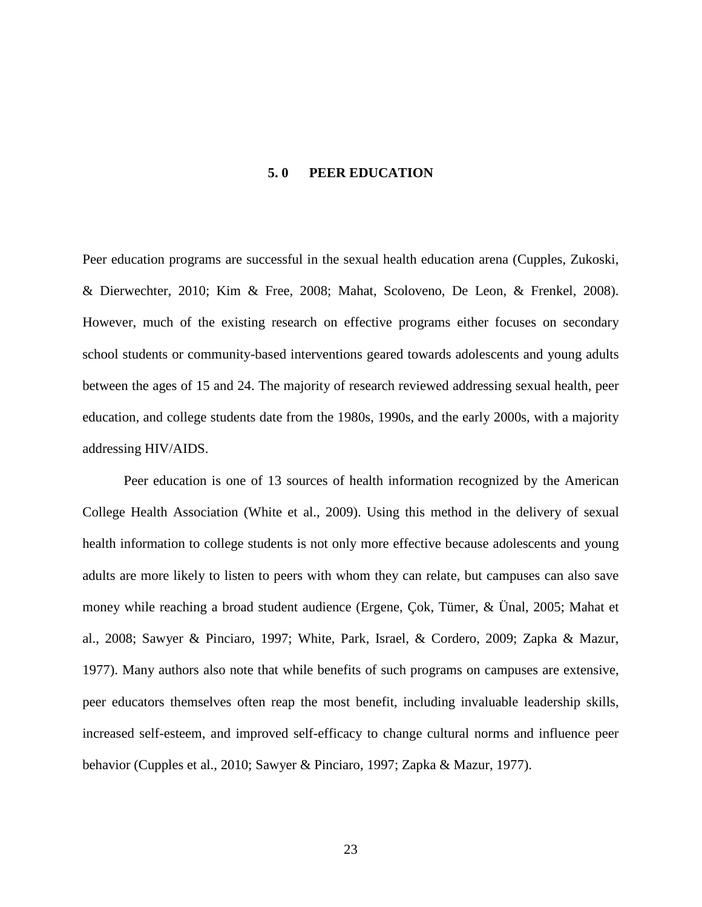#### **5. 0 PEER EDUCATION**

<span id="page-30-0"></span>Peer education programs are successful in the sexual health education arena (Cupples, Zukoski, & Dierwechter, 2010; Kim & Free, 2008; Mahat, Scoloveno, De Leon, & Frenkel, 2008). However, much of the existing research on effective programs either focuses on secondary school students or community-based interventions geared towards adolescents and young adults between the ages of 15 and 24. The majority of research reviewed addressing sexual health, peer education, and college students date from the 1980s, 1990s, and the early 2000s, with a majority addressing HIV/AIDS.

Peer education is one of 13 sources of health information recognized by the American College Health Association (White et al., 2009). Using this method in the delivery of sexual health information to college students is not only more effective because adolescents and young adults are more likely to listen to peers with whom they can relate, but campuses can also save money while reaching a broad student audience (Ergene, Çok, Tümer, & Ünal, 2005; Mahat et al., 2008; Sawyer & Pinciaro, 1997; White, Park, Israel, & Cordero, 2009; Zapka & Mazur, 1977). Many authors also note that while benefits of such programs on campuses are extensive, peer educators themselves often reap the most benefit, including invaluable leadership skills, increased self-esteem, and improved self-efficacy to change cultural norms and influence peer behavior (Cupples et al., 2010; Sawyer & Pinciaro, 1997; Zapka & Mazur, 1977).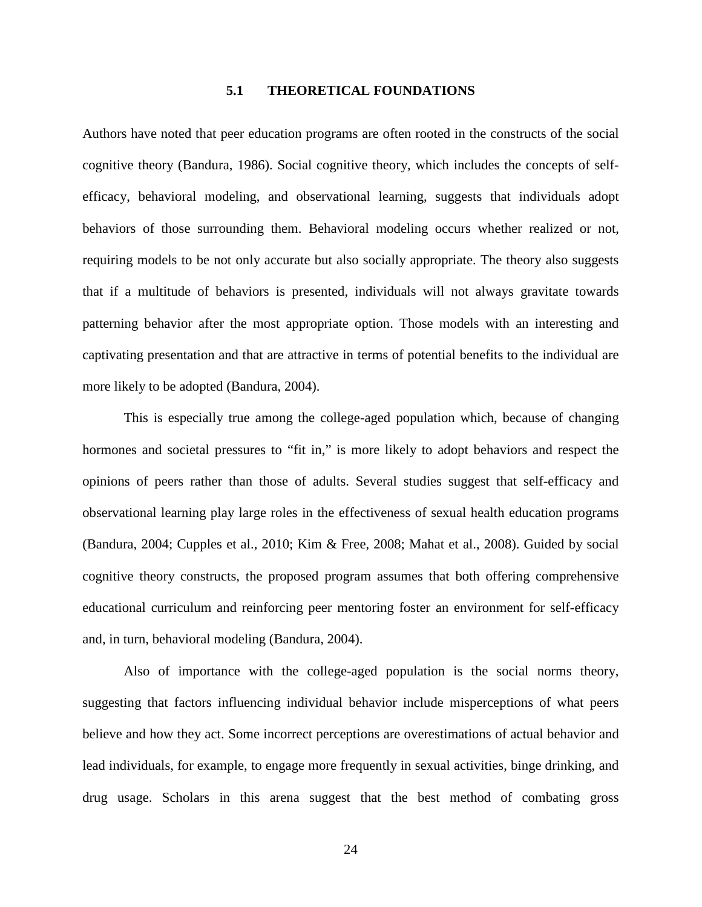#### **5.1 THEORETICAL FOUNDATIONS**

<span id="page-31-0"></span>Authors have noted that peer education programs are often rooted in the constructs of the social cognitive theory (Bandura, 1986). Social cognitive theory, which includes the concepts of selfefficacy, behavioral modeling, and observational learning, suggests that individuals adopt behaviors of those surrounding them. Behavioral modeling occurs whether realized or not, requiring models to be not only accurate but also socially appropriate. The theory also suggests that if a multitude of behaviors is presented, individuals will not always gravitate towards patterning behavior after the most appropriate option. Those models with an interesting and captivating presentation and that are attractive in terms of potential benefits to the individual are more likely to be adopted (Bandura, 2004).

This is especially true among the college-aged population which, because of changing hormones and societal pressures to "fit in," is more likely to adopt behaviors and respect the opinions of peers rather than those of adults. Several studies suggest that self-efficacy and observational learning play large roles in the effectiveness of sexual health education programs (Bandura, 2004; Cupples et al., 2010; Kim & Free, 2008; Mahat et al., 2008). Guided by social cognitive theory constructs, the proposed program assumes that both offering comprehensive educational curriculum and reinforcing peer mentoring foster an environment for self-efficacy and, in turn, behavioral modeling (Bandura, 2004).

Also of importance with the college-aged population is the social norms theory, suggesting that factors influencing individual behavior include misperceptions of what peers believe and how they act. Some incorrect perceptions are overestimations of actual behavior and lead individuals, for example, to engage more frequently in sexual activities, binge drinking, and drug usage. Scholars in this arena suggest that the best method of combating gross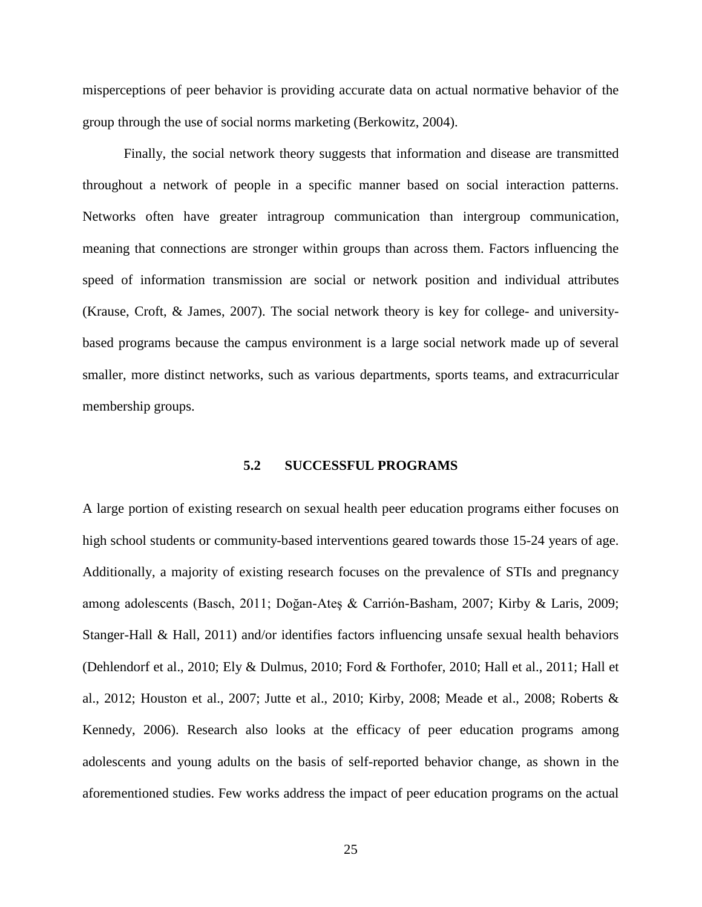misperceptions of peer behavior is providing accurate data on actual normative behavior of the group through the use of social norms marketing (Berkowitz, 2004).

Finally, the social network theory suggests that information and disease are transmitted throughout a network of people in a specific manner based on social interaction patterns. Networks often have greater intragroup communication than intergroup communication, meaning that connections are stronger within groups than across them. Factors influencing the speed of information transmission are social or network position and individual attributes (Krause, Croft, & James, 2007). The social network theory is key for college- and universitybased programs because the campus environment is a large social network made up of several smaller, more distinct networks, such as various departments, sports teams, and extracurricular membership groups.

### **5.2 SUCCESSFUL PROGRAMS**

<span id="page-32-0"></span>A large portion of existing research on sexual health peer education programs either focuses on high school students or community-based interventions geared towards those 15-24 years of age. Additionally, a majority of existing research focuses on the prevalence of STIs and pregnancy among adolescents (Basch, 2011; Doğan-Ateş & Carrión-Basham, 2007; Kirby & Laris, 2009; Stanger-Hall & Hall, 2011) and/or identifies factors influencing unsafe sexual health behaviors (Dehlendorf et al., 2010; Ely & Dulmus, 2010; Ford & Forthofer, 2010; Hall et al., 2011; Hall et al., 2012; Houston et al., 2007; Jutte et al., 2010; Kirby, 2008; Meade et al., 2008; Roberts & Kennedy, 2006). Research also looks at the efficacy of peer education programs among adolescents and young adults on the basis of self-reported behavior change, as shown in the aforementioned studies. Few works address the impact of peer education programs on the actual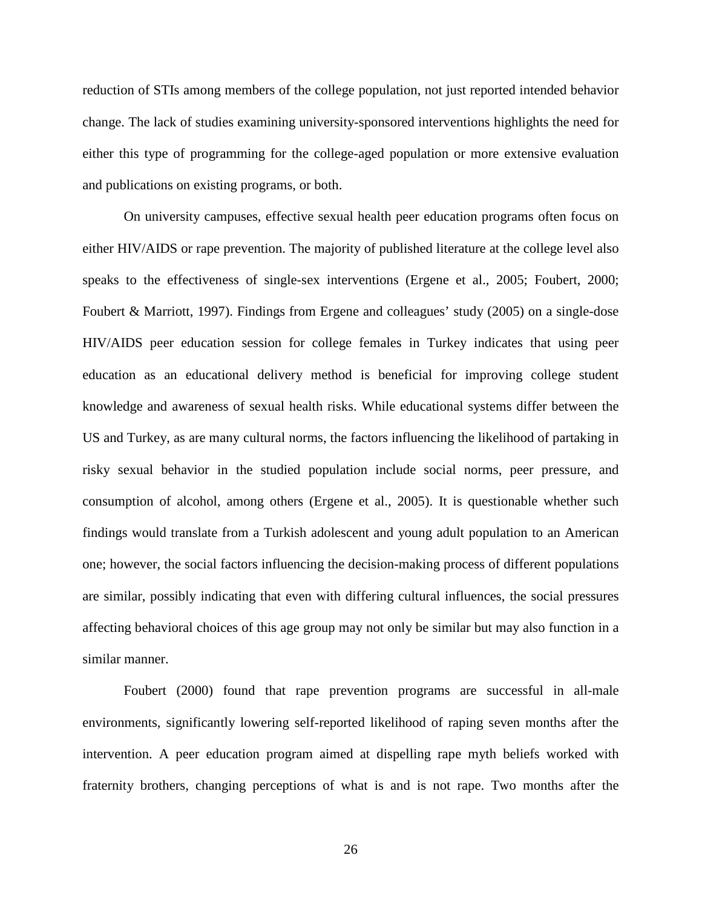reduction of STIs among members of the college population, not just reported intended behavior change. The lack of studies examining university-sponsored interventions highlights the need for either this type of programming for the college-aged population or more extensive evaluation and publications on existing programs, or both.

On university campuses, effective sexual health peer education programs often focus on either HIV/AIDS or rape prevention. The majority of published literature at the college level also speaks to the effectiveness of single-sex interventions (Ergene et al., 2005; Foubert, 2000; Foubert & Marriott, 1997). Findings from Ergene and colleagues' study (2005) on a single-dose HIV/AIDS peer education session for college females in Turkey indicates that using peer education as an educational delivery method is beneficial for improving college student knowledge and awareness of sexual health risks. While educational systems differ between the US and Turkey, as are many cultural norms, the factors influencing the likelihood of partaking in risky sexual behavior in the studied population include social norms, peer pressure, and consumption of alcohol, among others (Ergene et al., 2005). It is questionable whether such findings would translate from a Turkish adolescent and young adult population to an American one; however, the social factors influencing the decision-making process of different populations are similar, possibly indicating that even with differing cultural influences, the social pressures affecting behavioral choices of this age group may not only be similar but may also function in a similar manner.

Foubert (2000) found that rape prevention programs are successful in all-male environments, significantly lowering self-reported likelihood of raping seven months after the intervention. A peer education program aimed at dispelling rape myth beliefs worked with fraternity brothers, changing perceptions of what is and is not rape. Two months after the

26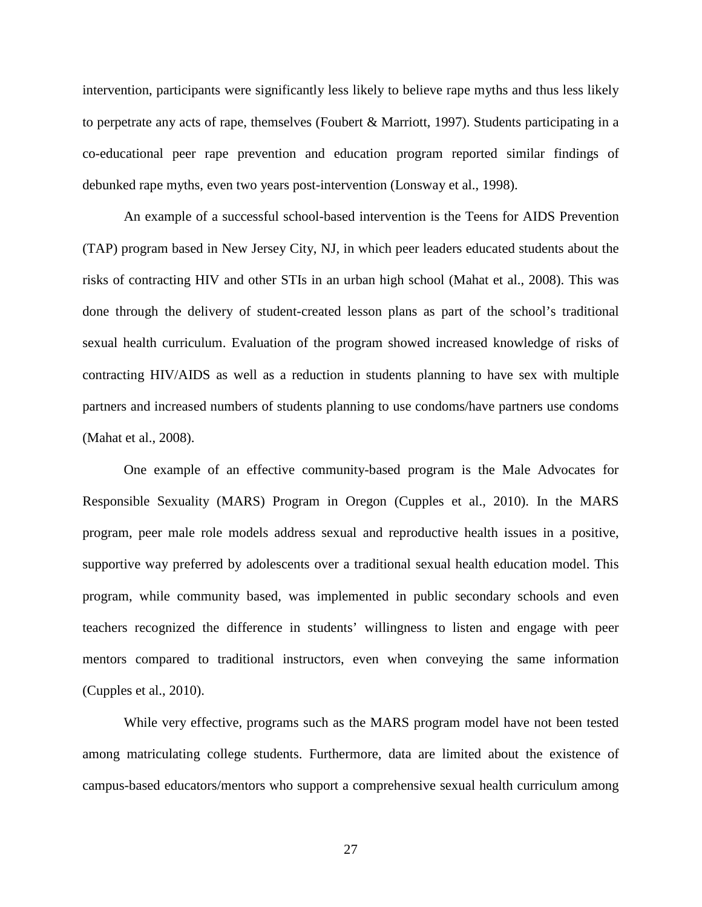intervention, participants were significantly less likely to believe rape myths and thus less likely to perpetrate any acts of rape, themselves (Foubert & Marriott, 1997). Students participating in a co-educational peer rape prevention and education program reported similar findings of debunked rape myths, even two years post-intervention (Lonsway et al., 1998).

An example of a successful school-based intervention is the Teens for AIDS Prevention (TAP) program based in New Jersey City, NJ, in which peer leaders educated students about the risks of contracting HIV and other STIs in an urban high school (Mahat et al., 2008). This was done through the delivery of student-created lesson plans as part of the school's traditional sexual health curriculum. Evaluation of the program showed increased knowledge of risks of contracting HIV/AIDS as well as a reduction in students planning to have sex with multiple partners and increased numbers of students planning to use condoms/have partners use condoms (Mahat et al., 2008).

One example of an effective community-based program is the Male Advocates for Responsible Sexuality (MARS) Program in Oregon (Cupples et al., 2010). In the MARS program, peer male role models address sexual and reproductive health issues in a positive, supportive way preferred by adolescents over a traditional sexual health education model. This program, while community based, was implemented in public secondary schools and even teachers recognized the difference in students' willingness to listen and engage with peer mentors compared to traditional instructors, even when conveying the same information (Cupples et al., 2010).

While very effective, programs such as the MARS program model have not been tested among matriculating college students. Furthermore, data are limited about the existence of campus-based educators/mentors who support a comprehensive sexual health curriculum among

27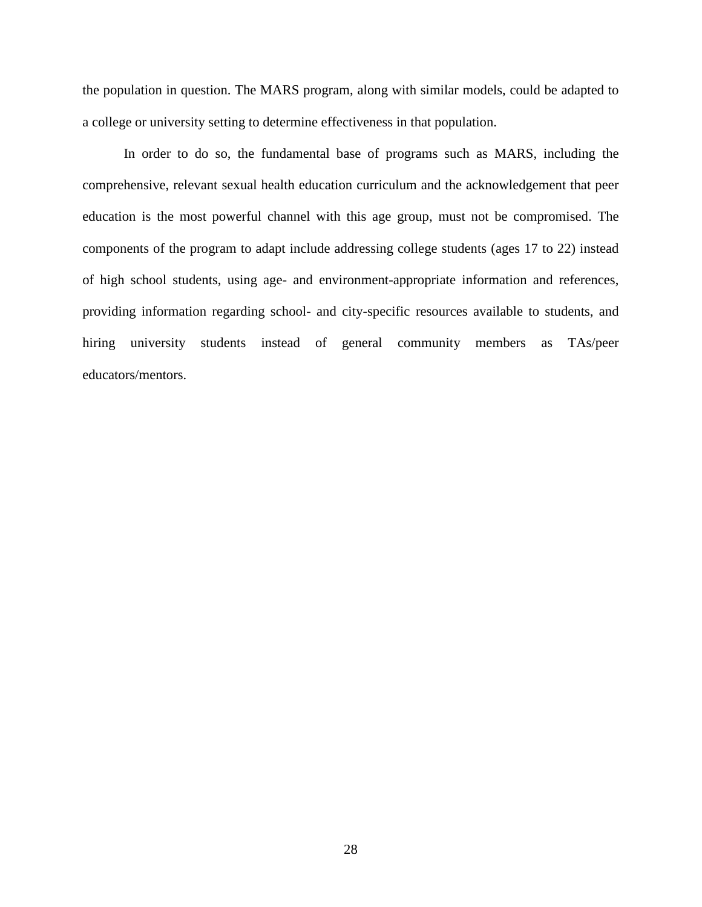the population in question. The MARS program, along with similar models, could be adapted to a college or university setting to determine effectiveness in that population.

In order to do so, the fundamental base of programs such as MARS, including the comprehensive, relevant sexual health education curriculum and the acknowledgement that peer education is the most powerful channel with this age group, must not be compromised. The components of the program to adapt include addressing college students (ages 17 to 22) instead of high school students, using age- and environment-appropriate information and references, providing information regarding school- and city-specific resources available to students, and hiring university students instead of general community members as TAs/peer educators/mentors.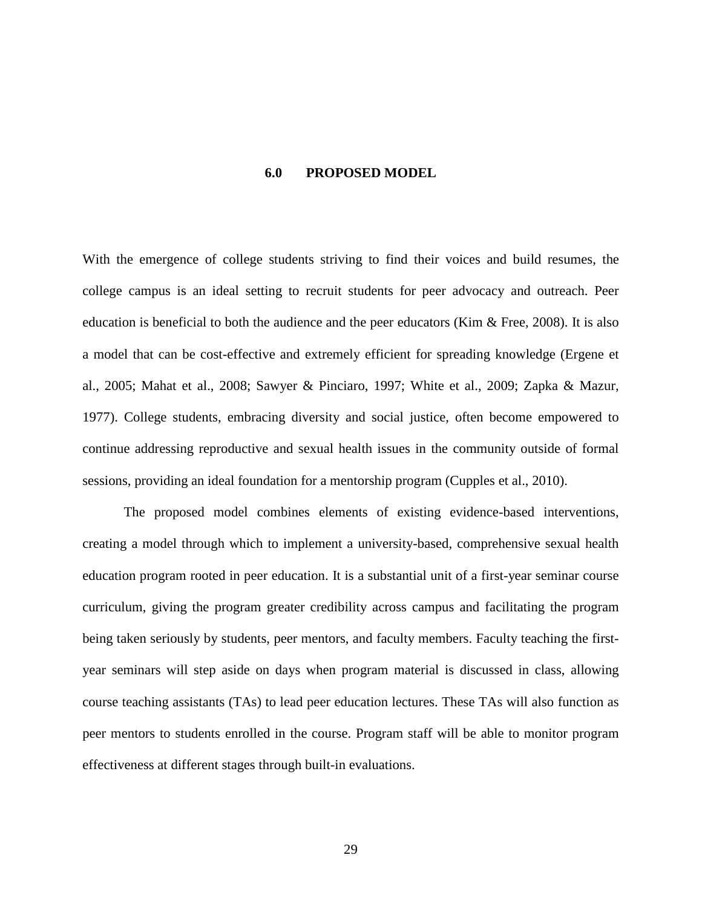### **6.0 PROPOSED MODEL**

With the emergence of college students striving to find their voices and build resumes, the college campus is an ideal setting to recruit students for peer advocacy and outreach. Peer education is beneficial to both the audience and the peer educators (Kim & Free, 2008). It is also a model that can be cost-effective and extremely efficient for spreading knowledge (Ergene et al., 2005; Mahat et al., 2008; Sawyer & Pinciaro, 1997; White et al., 2009; Zapka & Mazur, 1977). College students, embracing diversity and social justice, often become empowered to continue addressing reproductive and sexual health issues in the community outside of formal sessions, providing an ideal foundation for a mentorship program (Cupples et al., 2010).

The proposed model combines elements of existing evidence-based interventions, creating a model through which to implement a university-based, comprehensive sexual health education program rooted in peer education. It is a substantial unit of a first-year seminar course curriculum, giving the program greater credibility across campus and facilitating the program being taken seriously by students, peer mentors, and faculty members. Faculty teaching the firstyear seminars will step aside on days when program material is discussed in class, allowing course teaching assistants (TAs) to lead peer education lectures. These TAs will also function as peer mentors to students enrolled in the course. Program staff will be able to monitor program effectiveness at different stages through built-in evaluations.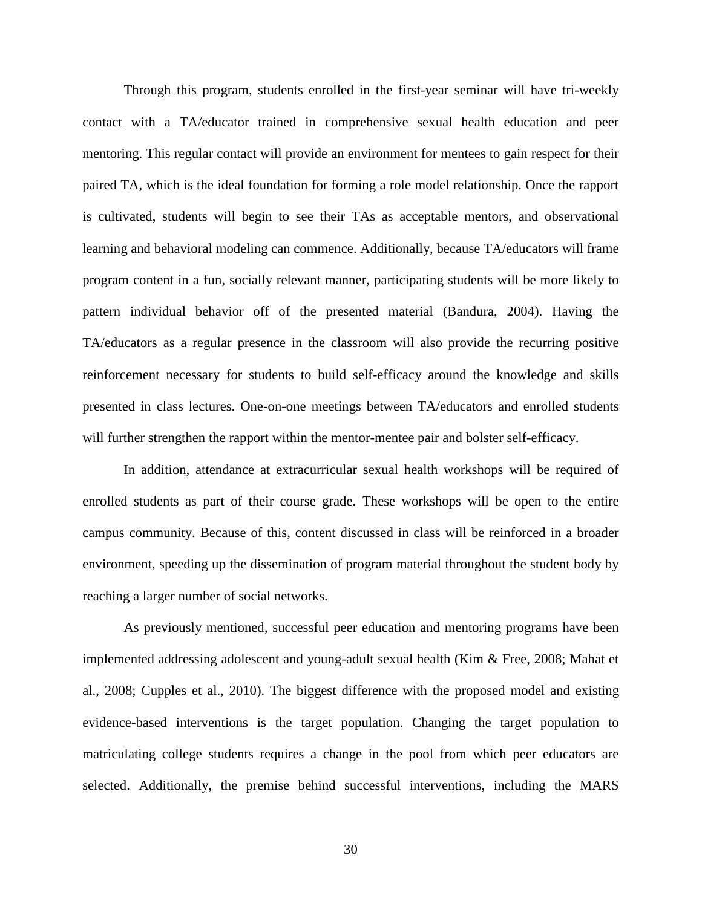Through this program, students enrolled in the first-year seminar will have tri-weekly contact with a TA/educator trained in comprehensive sexual health education and peer mentoring. This regular contact will provide an environment for mentees to gain respect for their paired TA, which is the ideal foundation for forming a role model relationship. Once the rapport is cultivated, students will begin to see their TAs as acceptable mentors, and observational learning and behavioral modeling can commence. Additionally, because TA/educators will frame program content in a fun, socially relevant manner, participating students will be more likely to pattern individual behavior off of the presented material (Bandura, 2004). Having the TA/educators as a regular presence in the classroom will also provide the recurring positive reinforcement necessary for students to build self-efficacy around the knowledge and skills presented in class lectures. One-on-one meetings between TA/educators and enrolled students will further strengthen the rapport within the mentor-mentee pair and bolster self-efficacy.

In addition, attendance at extracurricular sexual health workshops will be required of enrolled students as part of their course grade. These workshops will be open to the entire campus community. Because of this, content discussed in class will be reinforced in a broader environment, speeding up the dissemination of program material throughout the student body by reaching a larger number of social networks.

As previously mentioned, successful peer education and mentoring programs have been implemented addressing adolescent and young-adult sexual health (Kim & Free, 2008; Mahat et al., 2008; Cupples et al., 2010). The biggest difference with the proposed model and existing evidence-based interventions is the target population. Changing the target population to matriculating college students requires a change in the pool from which peer educators are selected. Additionally, the premise behind successful interventions, including the MARS

30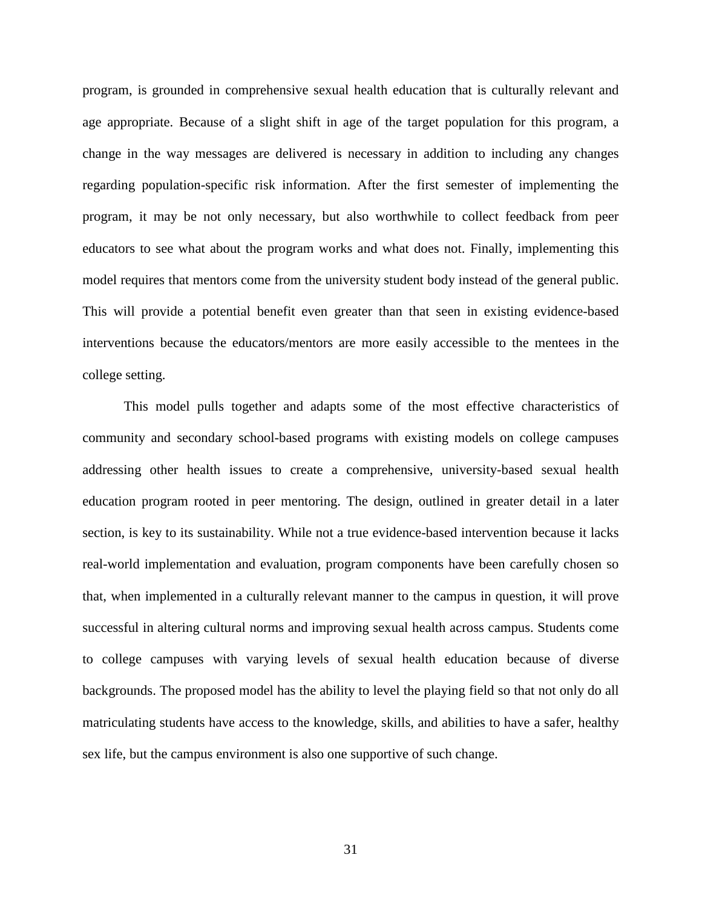program, is grounded in comprehensive sexual health education that is culturally relevant and age appropriate. Because of a slight shift in age of the target population for this program, a change in the way messages are delivered is necessary in addition to including any changes regarding population-specific risk information. After the first semester of implementing the program, it may be not only necessary, but also worthwhile to collect feedback from peer educators to see what about the program works and what does not. Finally, implementing this model requires that mentors come from the university student body instead of the general public. This will provide a potential benefit even greater than that seen in existing evidence-based interventions because the educators/mentors are more easily accessible to the mentees in the college setting.

This model pulls together and adapts some of the most effective characteristics of community and secondary school-based programs with existing models on college campuses addressing other health issues to create a comprehensive, university-based sexual health education program rooted in peer mentoring. The design, outlined in greater detail in a later section, is key to its sustainability. While not a true evidence-based intervention because it lacks real-world implementation and evaluation, program components have been carefully chosen so that, when implemented in a culturally relevant manner to the campus in question, it will prove successful in altering cultural norms and improving sexual health across campus. Students come to college campuses with varying levels of sexual health education because of diverse backgrounds. The proposed model has the ability to level the playing field so that not only do all matriculating students have access to the knowledge, skills, and abilities to have a safer, healthy sex life, but the campus environment is also one supportive of such change.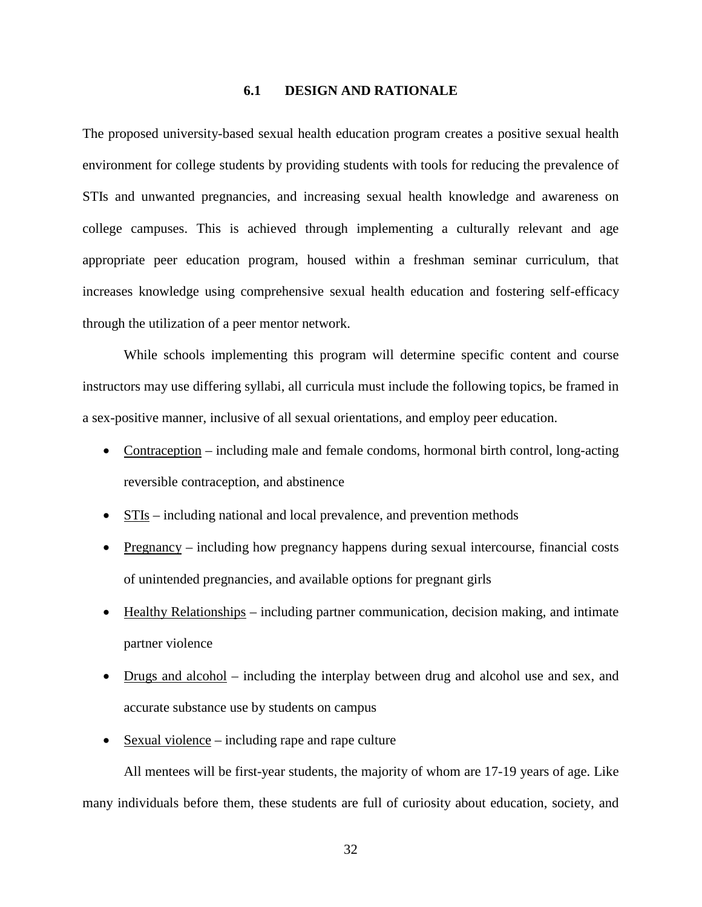### **6.1 DESIGN AND RATIONALE**

The proposed university-based sexual health education program creates a positive sexual health environment for college students by providing students with tools for reducing the prevalence of STIs and unwanted pregnancies, and increasing sexual health knowledge and awareness on college campuses. This is achieved through implementing a culturally relevant and age appropriate peer education program, housed within a freshman seminar curriculum, that increases knowledge using comprehensive sexual health education and fostering self-efficacy through the utilization of a peer mentor network.

While schools implementing this program will determine specific content and course instructors may use differing syllabi, all curricula must include the following topics, be framed in a sex-positive manner, inclusive of all sexual orientations, and employ peer education.

- Contraception including male and female condoms, hormonal birth control, long-acting reversible contraception, and abstinence
- STIs including national and local prevalence, and prevention methods
- Pregnancy including how pregnancy happens during sexual intercourse, financial costs of unintended pregnancies, and available options for pregnant girls
- Healthy Relationships including partner communication, decision making, and intimate partner violence
- Drugs and alcohol including the interplay between drug and alcohol use and sex, and accurate substance use by students on campus
- Sexual violence including rape and rape culture

All mentees will be first-year students, the majority of whom are 17-19 years of age. Like many individuals before them, these students are full of curiosity about education, society, and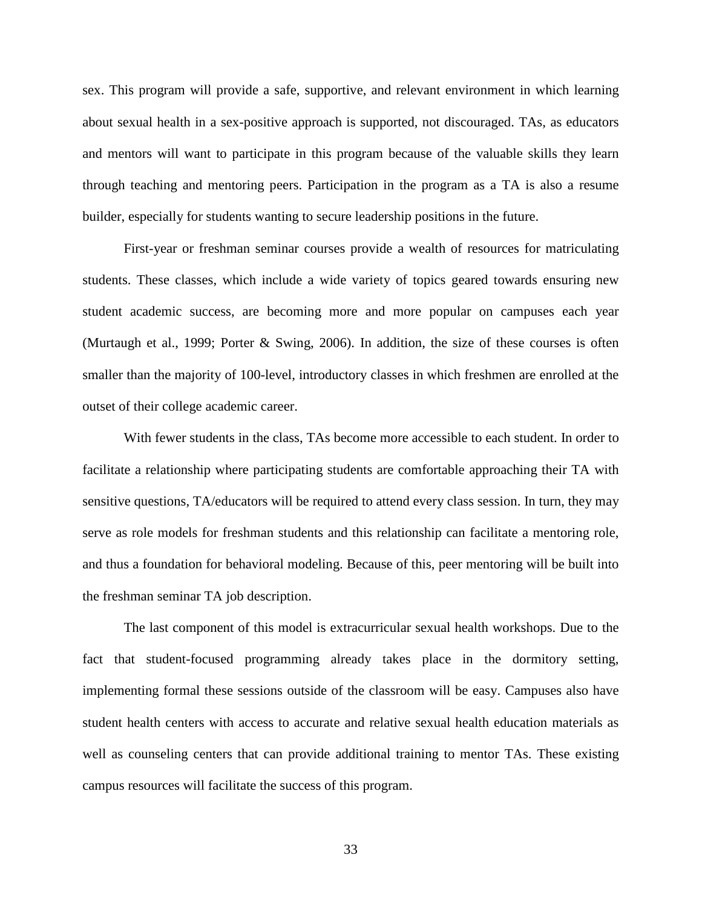sex. This program will provide a safe, supportive, and relevant environment in which learning about sexual health in a sex-positive approach is supported, not discouraged. TAs, as educators and mentors will want to participate in this program because of the valuable skills they learn through teaching and mentoring peers. Participation in the program as a TA is also a resume builder, especially for students wanting to secure leadership positions in the future.

First-year or freshman seminar courses provide a wealth of resources for matriculating students. These classes, which include a wide variety of topics geared towards ensuring new student academic success, are becoming more and more popular on campuses each year (Murtaugh et al., 1999; Porter & Swing, 2006). In addition, the size of these courses is often smaller than the majority of 100-level, introductory classes in which freshmen are enrolled at the outset of their college academic career.

With fewer students in the class, TAs become more accessible to each student. In order to facilitate a relationship where participating students are comfortable approaching their TA with sensitive questions, TA/educators will be required to attend every class session. In turn, they may serve as role models for freshman students and this relationship can facilitate a mentoring role, and thus a foundation for behavioral modeling. Because of this, peer mentoring will be built into the freshman seminar TA job description.

The last component of this model is extracurricular sexual health workshops. Due to the fact that student-focused programming already takes place in the dormitory setting, implementing formal these sessions outside of the classroom will be easy. Campuses also have student health centers with access to accurate and relative sexual health education materials as well as counseling centers that can provide additional training to mentor TAs. These existing campus resources will facilitate the success of this program.

33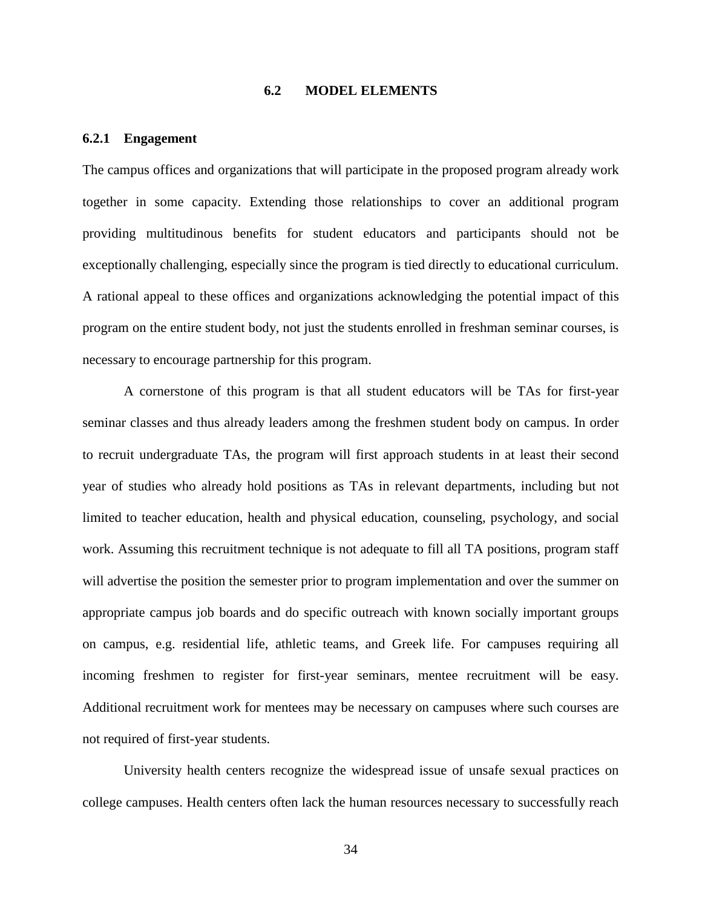# **6.2 MODEL ELEMENTS**

### **6.2.1 Engagement**

The campus offices and organizations that will participate in the proposed program already work together in some capacity. Extending those relationships to cover an additional program providing multitudinous benefits for student educators and participants should not be exceptionally challenging, especially since the program is tied directly to educational curriculum. A rational appeal to these offices and organizations acknowledging the potential impact of this program on the entire student body, not just the students enrolled in freshman seminar courses, is necessary to encourage partnership for this program.

A cornerstone of this program is that all student educators will be TAs for first-year seminar classes and thus already leaders among the freshmen student body on campus. In order to recruit undergraduate TAs, the program will first approach students in at least their second year of studies who already hold positions as TAs in relevant departments, including but not limited to teacher education, health and physical education, counseling, psychology, and social work. Assuming this recruitment technique is not adequate to fill all TA positions, program staff will advertise the position the semester prior to program implementation and over the summer on appropriate campus job boards and do specific outreach with known socially important groups on campus, e.g. residential life, athletic teams, and Greek life. For campuses requiring all incoming freshmen to register for first-year seminars, mentee recruitment will be easy. Additional recruitment work for mentees may be necessary on campuses where such courses are not required of first-year students.

University health centers recognize the widespread issue of unsafe sexual practices on college campuses. Health centers often lack the human resources necessary to successfully reach

34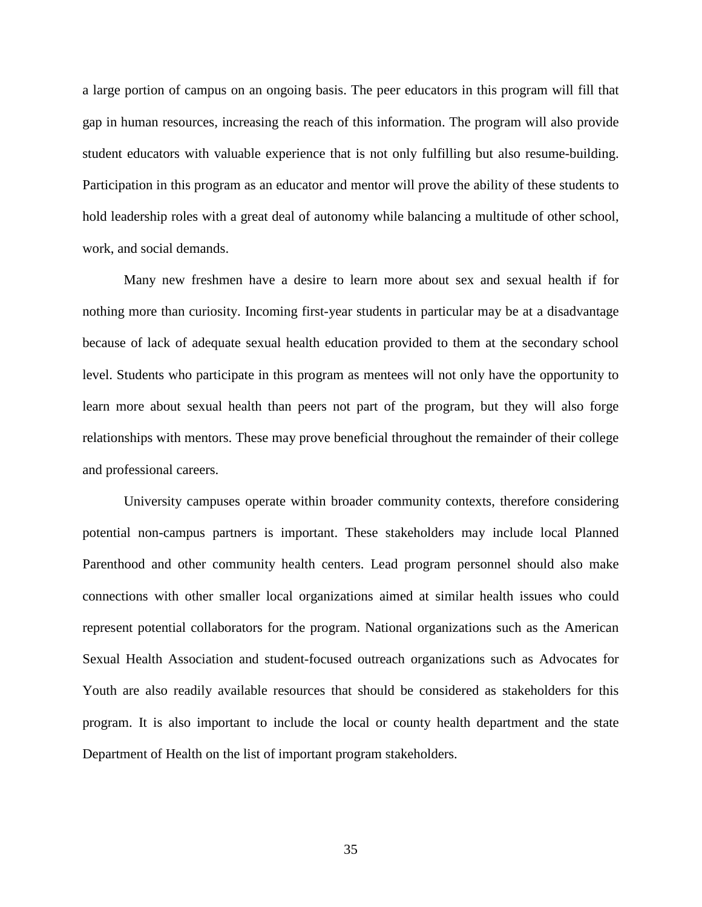a large portion of campus on an ongoing basis. The peer educators in this program will fill that gap in human resources, increasing the reach of this information. The program will also provide student educators with valuable experience that is not only fulfilling but also resume-building. Participation in this program as an educator and mentor will prove the ability of these students to hold leadership roles with a great deal of autonomy while balancing a multitude of other school, work, and social demands.

Many new freshmen have a desire to learn more about sex and sexual health if for nothing more than curiosity. Incoming first-year students in particular may be at a disadvantage because of lack of adequate sexual health education provided to them at the secondary school level. Students who participate in this program as mentees will not only have the opportunity to learn more about sexual health than peers not part of the program, but they will also forge relationships with mentors. These may prove beneficial throughout the remainder of their college and professional careers.

University campuses operate within broader community contexts, therefore considering potential non-campus partners is important. These stakeholders may include local Planned Parenthood and other community health centers. Lead program personnel should also make connections with other smaller local organizations aimed at similar health issues who could represent potential collaborators for the program. National organizations such as the American Sexual Health Association and student-focused outreach organizations such as Advocates for Youth are also readily available resources that should be considered as stakeholders for this program. It is also important to include the local or county health department and the state Department of Health on the list of important program stakeholders.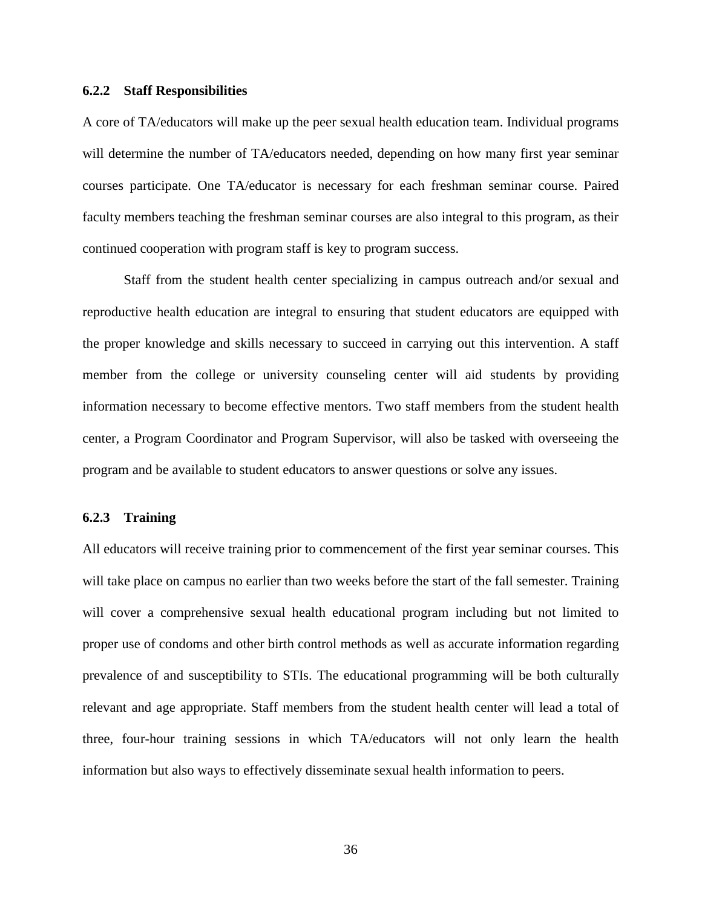## **6.2.2 Staff Responsibilities**

A core of TA/educators will make up the peer sexual health education team. Individual programs will determine the number of TA/educators needed, depending on how many first year seminar courses participate. One TA/educator is necessary for each freshman seminar course. Paired faculty members teaching the freshman seminar courses are also integral to this program, as their continued cooperation with program staff is key to program success.

Staff from the student health center specializing in campus outreach and/or sexual and reproductive health education are integral to ensuring that student educators are equipped with the proper knowledge and skills necessary to succeed in carrying out this intervention. A staff member from the college or university counseling center will aid students by providing information necessary to become effective mentors. Two staff members from the student health center, a Program Coordinator and Program Supervisor, will also be tasked with overseeing the program and be available to student educators to answer questions or solve any issues.

## **6.2.3 Training**

All educators will receive training prior to commencement of the first year seminar courses. This will take place on campus no earlier than two weeks before the start of the fall semester. Training will cover a comprehensive sexual health educational program including but not limited to proper use of condoms and other birth control methods as well as accurate information regarding prevalence of and susceptibility to STIs. The educational programming will be both culturally relevant and age appropriate. Staff members from the student health center will lead a total of three, four-hour training sessions in which TA/educators will not only learn the health information but also ways to effectively disseminate sexual health information to peers.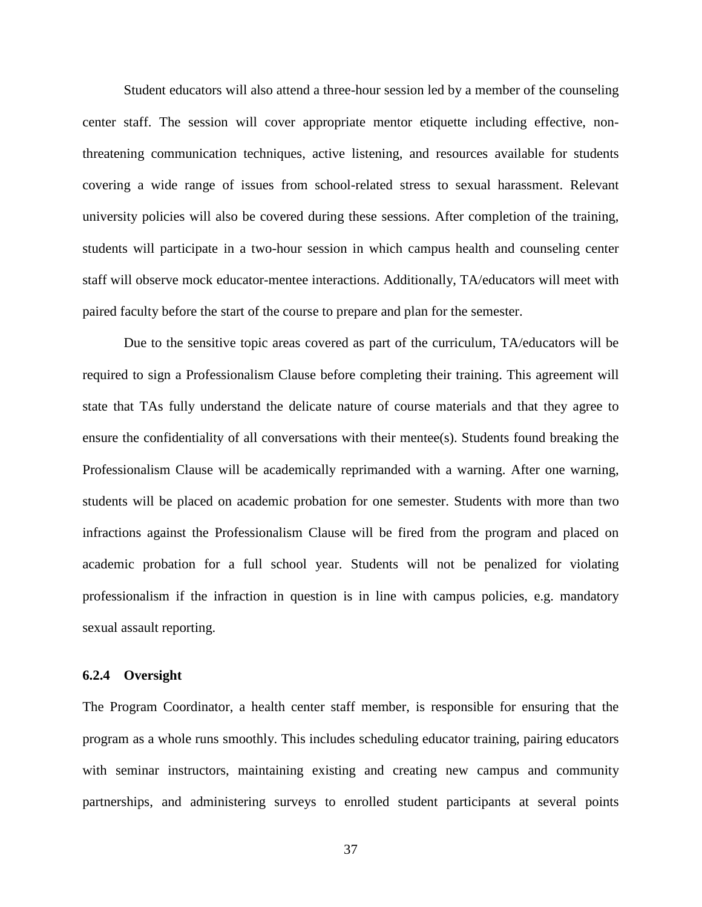Student educators will also attend a three-hour session led by a member of the counseling center staff. The session will cover appropriate mentor etiquette including effective, nonthreatening communication techniques, active listening, and resources available for students covering a wide range of issues from school-related stress to sexual harassment. Relevant university policies will also be covered during these sessions. After completion of the training, students will participate in a two-hour session in which campus health and counseling center staff will observe mock educator-mentee interactions. Additionally, TA/educators will meet with paired faculty before the start of the course to prepare and plan for the semester.

Due to the sensitive topic areas covered as part of the curriculum, TA/educators will be required to sign a Professionalism Clause before completing their training. This agreement will state that TAs fully understand the delicate nature of course materials and that they agree to ensure the confidentiality of all conversations with their mentee(s). Students found breaking the Professionalism Clause will be academically reprimanded with a warning. After one warning, students will be placed on academic probation for one semester. Students with more than two infractions against the Professionalism Clause will be fired from the program and placed on academic probation for a full school year. Students will not be penalized for violating professionalism if the infraction in question is in line with campus policies, e.g. mandatory sexual assault reporting.

## **6.2.4 Oversight**

The Program Coordinator, a health center staff member, is responsible for ensuring that the program as a whole runs smoothly. This includes scheduling educator training, pairing educators with seminar instructors, maintaining existing and creating new campus and community partnerships, and administering surveys to enrolled student participants at several points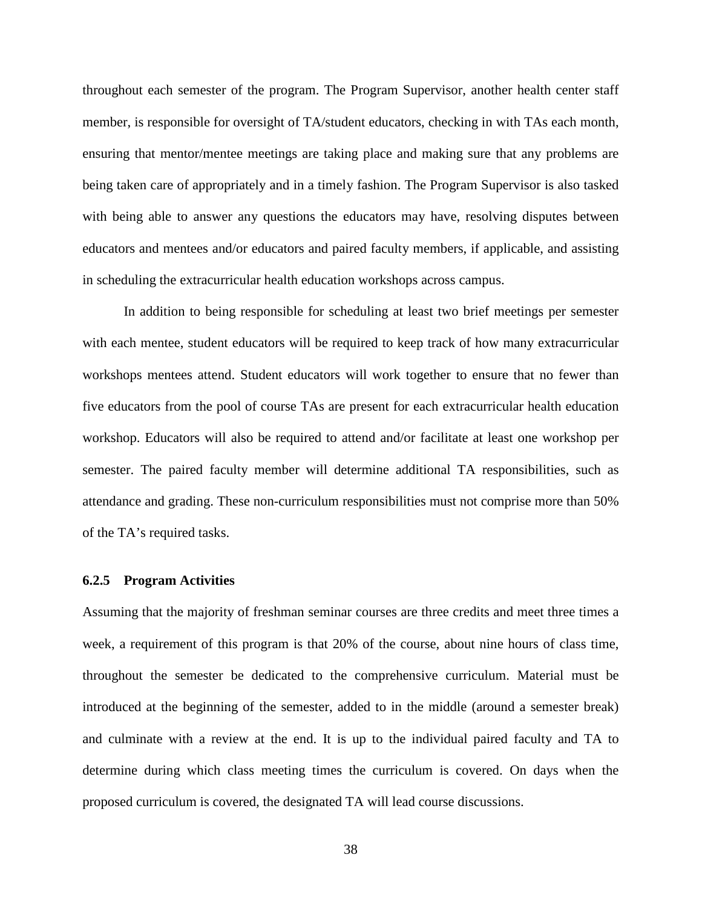throughout each semester of the program. The Program Supervisor, another health center staff member, is responsible for oversight of TA/student educators, checking in with TAs each month, ensuring that mentor/mentee meetings are taking place and making sure that any problems are being taken care of appropriately and in a timely fashion. The Program Supervisor is also tasked with being able to answer any questions the educators may have, resolving disputes between educators and mentees and/or educators and paired faculty members, if applicable, and assisting in scheduling the extracurricular health education workshops across campus.

In addition to being responsible for scheduling at least two brief meetings per semester with each mentee, student educators will be required to keep track of how many extracurricular workshops mentees attend. Student educators will work together to ensure that no fewer than five educators from the pool of course TAs are present for each extracurricular health education workshop. Educators will also be required to attend and/or facilitate at least one workshop per semester. The paired faculty member will determine additional TA responsibilities, such as attendance and grading. These non-curriculum responsibilities must not comprise more than 50% of the TA's required tasks.

#### **6.2.5 Program Activities**

Assuming that the majority of freshman seminar courses are three credits and meet three times a week, a requirement of this program is that 20% of the course, about nine hours of class time, throughout the semester be dedicated to the comprehensive curriculum. Material must be introduced at the beginning of the semester, added to in the middle (around a semester break) and culminate with a review at the end. It is up to the individual paired faculty and TA to determine during which class meeting times the curriculum is covered. On days when the proposed curriculum is covered, the designated TA will lead course discussions.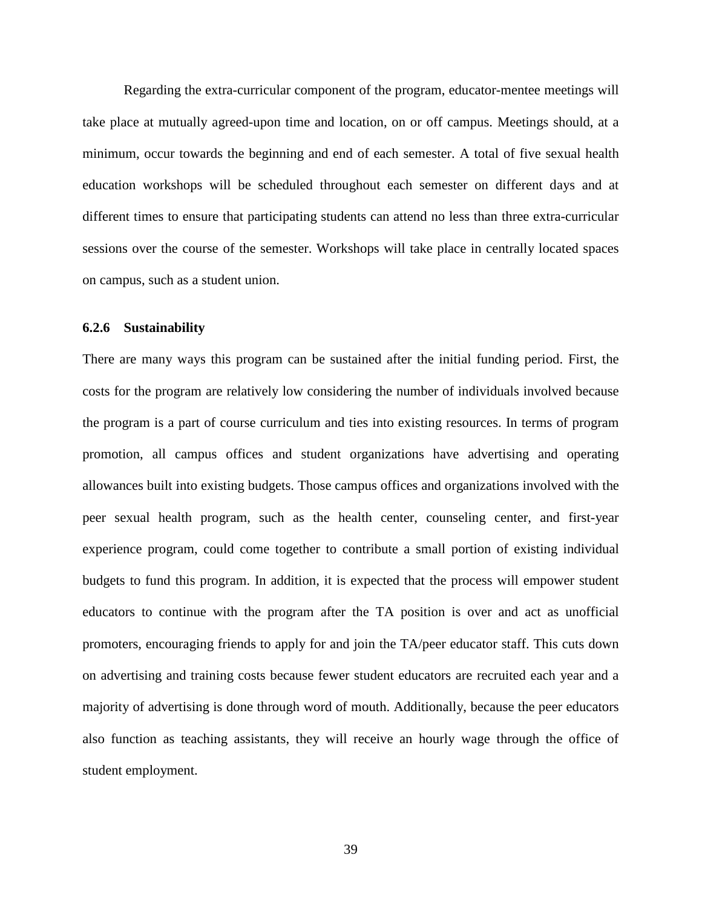Regarding the extra-curricular component of the program, educator-mentee meetings will take place at mutually agreed-upon time and location, on or off campus. Meetings should, at a minimum, occur towards the beginning and end of each semester. A total of five sexual health education workshops will be scheduled throughout each semester on different days and at different times to ensure that participating students can attend no less than three extra-curricular sessions over the course of the semester. Workshops will take place in centrally located spaces on campus, such as a student union.

### **6.2.6 Sustainability**

There are many ways this program can be sustained after the initial funding period. First, the costs for the program are relatively low considering the number of individuals involved because the program is a part of course curriculum and ties into existing resources. In terms of program promotion, all campus offices and student organizations have advertising and operating allowances built into existing budgets. Those campus offices and organizations involved with the peer sexual health program, such as the health center, counseling center, and first-year experience program, could come together to contribute a small portion of existing individual budgets to fund this program. In addition, it is expected that the process will empower student educators to continue with the program after the TA position is over and act as unofficial promoters, encouraging friends to apply for and join the TA/peer educator staff. This cuts down on advertising and training costs because fewer student educators are recruited each year and a majority of advertising is done through word of mouth. Additionally, because the peer educators also function as teaching assistants, they will receive an hourly wage through the office of student employment.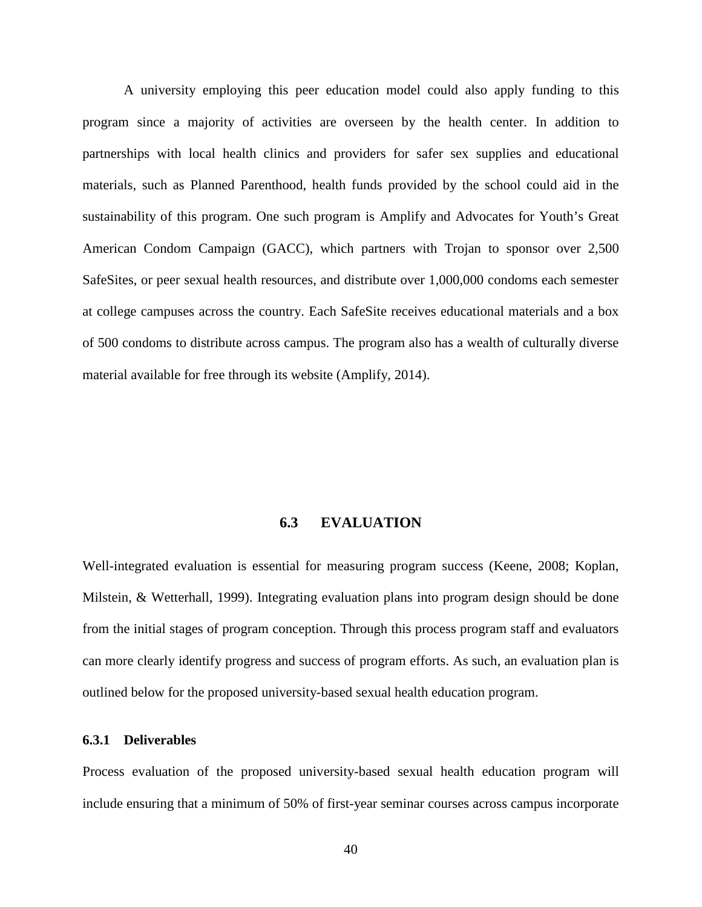A university employing this peer education model could also apply funding to this program since a majority of activities are overseen by the health center. In addition to partnerships with local health clinics and providers for safer sex supplies and educational materials, such as Planned Parenthood, health funds provided by the school could aid in the sustainability of this program. One such program is Amplify and Advocates for Youth's Great American Condom Campaign (GACC), which partners with Trojan to sponsor over 2,500 SafeSites, or peer sexual health resources, and distribute over 1,000,000 condoms each semester at college campuses across the country. Each SafeSite receives educational materials and a box of 500 condoms to distribute across campus. The program also has a wealth of culturally diverse material available for free through its website (Amplify, 2014).

# **6.3 EVALUATION**

Well-integrated evaluation is essential for measuring program success (Keene, 2008; Koplan, Milstein, & Wetterhall, 1999). Integrating evaluation plans into program design should be done from the initial stages of program conception. Through this process program staff and evaluators can more clearly identify progress and success of program efforts. As such, an evaluation plan is outlined below for the proposed university-based sexual health education program.

## **6.3.1 Deliverables**

Process evaluation of the proposed university-based sexual health education program will include ensuring that a minimum of 50% of first-year seminar courses across campus incorporate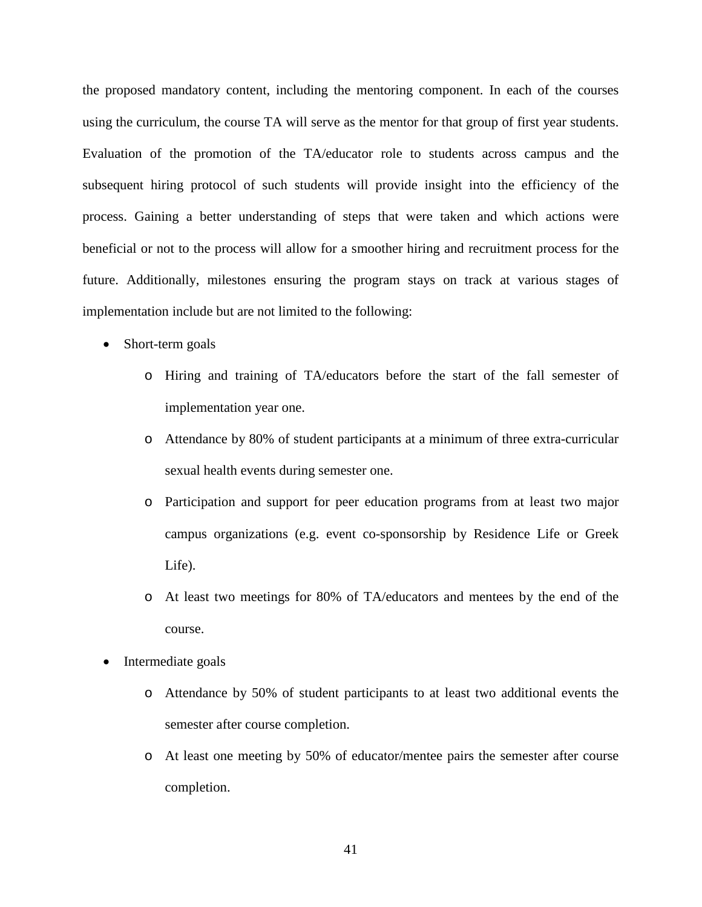the proposed mandatory content, including the mentoring component. In each of the courses using the curriculum, the course TA will serve as the mentor for that group of first year students. Evaluation of the promotion of the TA/educator role to students across campus and the subsequent hiring protocol of such students will provide insight into the efficiency of the process. Gaining a better understanding of steps that were taken and which actions were beneficial or not to the process will allow for a smoother hiring and recruitment process for the future. Additionally, milestones ensuring the program stays on track at various stages of implementation include but are not limited to the following:

- Short-term goals
	- o Hiring and training of TA/educators before the start of the fall semester of implementation year one.
	- o Attendance by 80% of student participants at a minimum of three extra-curricular sexual health events during semester one.
	- o Participation and support for peer education programs from at least two major campus organizations (e.g. event co-sponsorship by Residence Life or Greek Life).
	- o At least two meetings for 80% of TA/educators and mentees by the end of the course.
- Intermediate goals
	- o Attendance by 50% of student participants to at least two additional events the semester after course completion.
	- o At least one meeting by 50% of educator/mentee pairs the semester after course completion.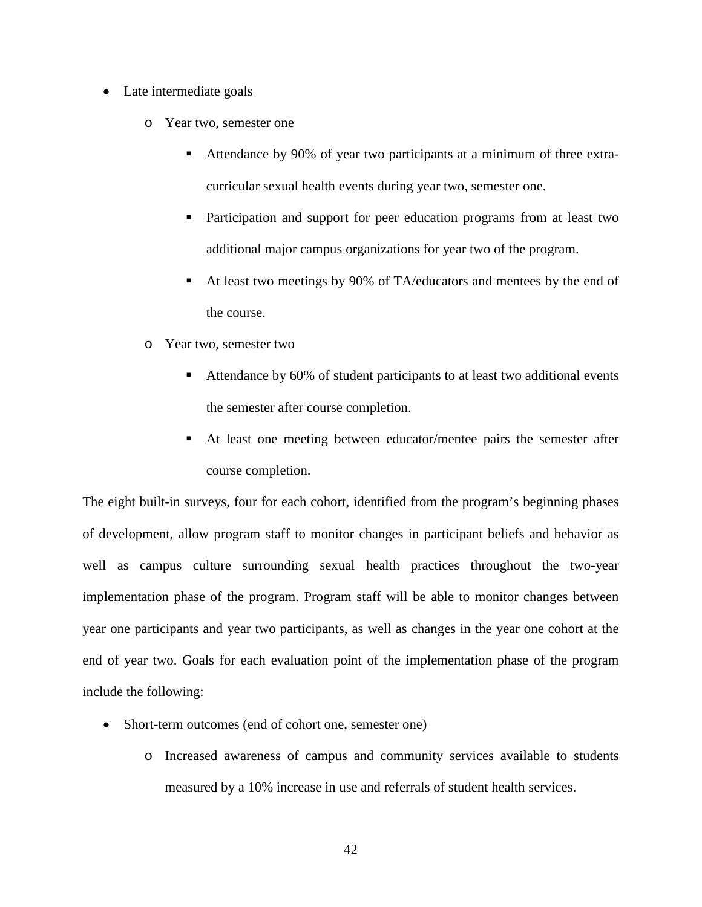- Late intermediate goals
	- o Year two, semester one
		- Attendance by 90% of year two participants at a minimum of three extracurricular sexual health events during year two, semester one.
		- Participation and support for peer education programs from at least two additional major campus organizations for year two of the program.
		- At least two meetings by 90% of TA/educators and mentees by the end of the course.
	- o Year two, semester two
		- Attendance by 60% of student participants to at least two additional events the semester after course completion.
		- At least one meeting between educator/mentee pairs the semester after course completion.

The eight built-in surveys, four for each cohort, identified from the program's beginning phases of development, allow program staff to monitor changes in participant beliefs and behavior as well as campus culture surrounding sexual health practices throughout the two-year implementation phase of the program. Program staff will be able to monitor changes between year one participants and year two participants, as well as changes in the year one cohort at the end of year two. Goals for each evaluation point of the implementation phase of the program include the following:

- Short-term outcomes (end of cohort one, semester one)
	- o Increased awareness of campus and community services available to students measured by a 10% increase in use and referrals of student health services.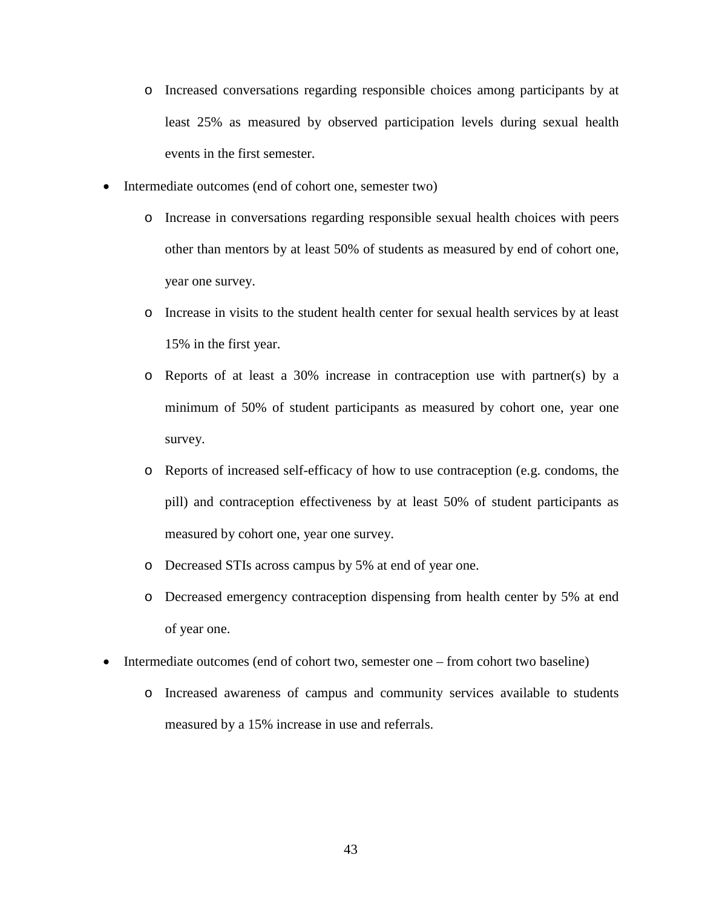- o Increased conversations regarding responsible choices among participants by at least 25% as measured by observed participation levels during sexual health events in the first semester.
- Intermediate outcomes (end of cohort one, semester two)
	- o Increase in conversations regarding responsible sexual health choices with peers other than mentors by at least 50% of students as measured by end of cohort one, year one survey.
	- o Increase in visits to the student health center for sexual health services by at least 15% in the first year.
	- o Reports of at least a 30% increase in contraception use with partner(s) by a minimum of 50% of student participants as measured by cohort one, year one survey.
	- o Reports of increased self-efficacy of how to use contraception (e.g. condoms, the pill) and contraception effectiveness by at least 50% of student participants as measured by cohort one, year one survey.
	- o Decreased STIs across campus by 5% at end of year one.
	- o Decreased emergency contraception dispensing from health center by 5% at end of year one.
- Intermediate outcomes (end of cohort two, semester one from cohort two baseline)
	- o Increased awareness of campus and community services available to students measured by a 15% increase in use and referrals.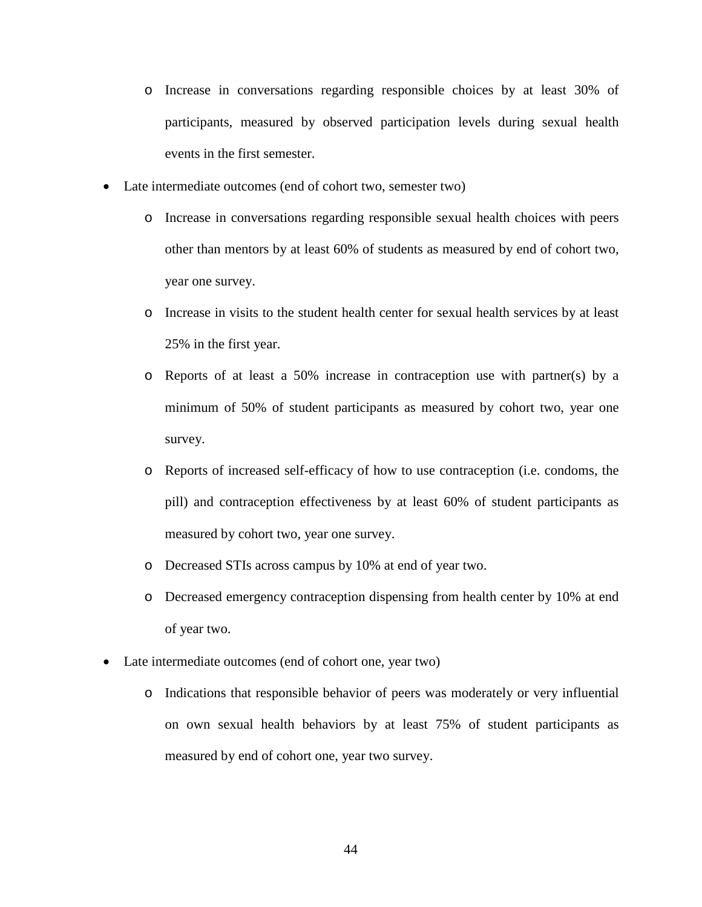- o Increase in conversations regarding responsible choices by at least 30% of participants, measured by observed participation levels during sexual health events in the first semester.
- Late intermediate outcomes (end of cohort two, semester two)
	- o Increase in conversations regarding responsible sexual health choices with peers other than mentors by at least 60% of students as measured by end of cohort two, year one survey.
	- o Increase in visits to the student health center for sexual health services by at least 25% in the first year.
	- o Reports of at least a 50% increase in contraception use with partner(s) by a minimum of 50% of student participants as measured by cohort two, year one survey.
	- o Reports of increased self-efficacy of how to use contraception (i.e. condoms, the pill) and contraception effectiveness by at least 60% of student participants as measured by cohort two, year one survey.
	- o Decreased STIs across campus by 10% at end of year two.
	- o Decreased emergency contraception dispensing from health center by 10% at end of year two.
- Late intermediate outcomes (end of cohort one, year two)
	- o Indications that responsible behavior of peers was moderately or very influential on own sexual health behaviors by at least 75% of student participants as measured by end of cohort one, year two survey.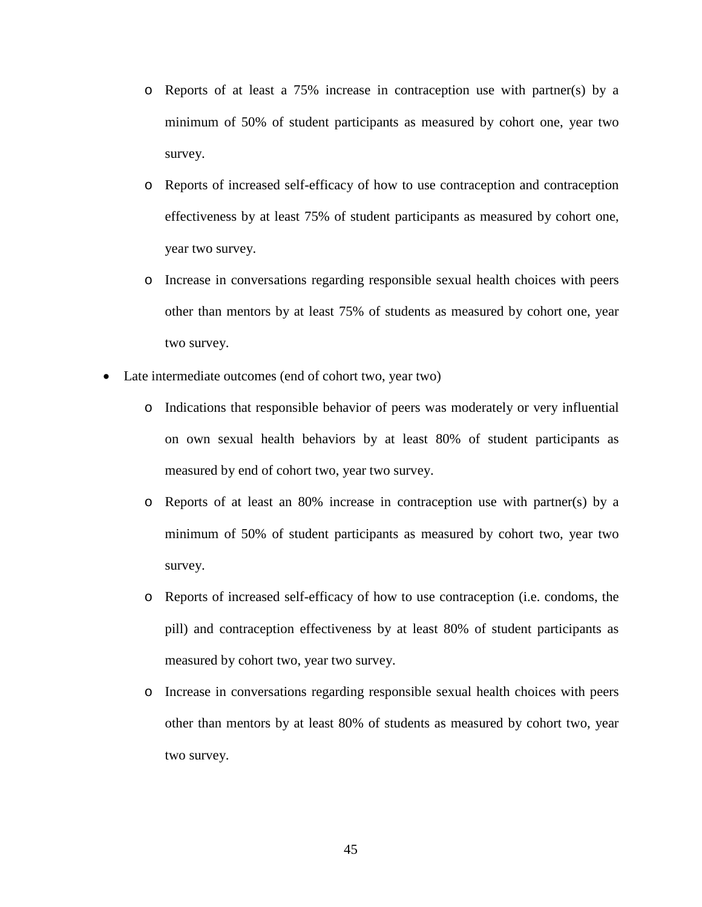- o Reports of at least a 75% increase in contraception use with partner(s) by a minimum of 50% of student participants as measured by cohort one, year two survey.
- o Reports of increased self-efficacy of how to use contraception and contraception effectiveness by at least 75% of student participants as measured by cohort one, year two survey.
- o Increase in conversations regarding responsible sexual health choices with peers other than mentors by at least 75% of students as measured by cohort one, year two survey.
- Late intermediate outcomes (end of cohort two, year two)
	- o Indications that responsible behavior of peers was moderately or very influential on own sexual health behaviors by at least 80% of student participants as measured by end of cohort two, year two survey.
	- o Reports of at least an 80% increase in contraception use with partner(s) by a minimum of 50% of student participants as measured by cohort two, year two survey.
	- o Reports of increased self-efficacy of how to use contraception (i.e. condoms, the pill) and contraception effectiveness by at least 80% of student participants as measured by cohort two, year two survey.
	- o Increase in conversations regarding responsible sexual health choices with peers other than mentors by at least 80% of students as measured by cohort two, year two survey.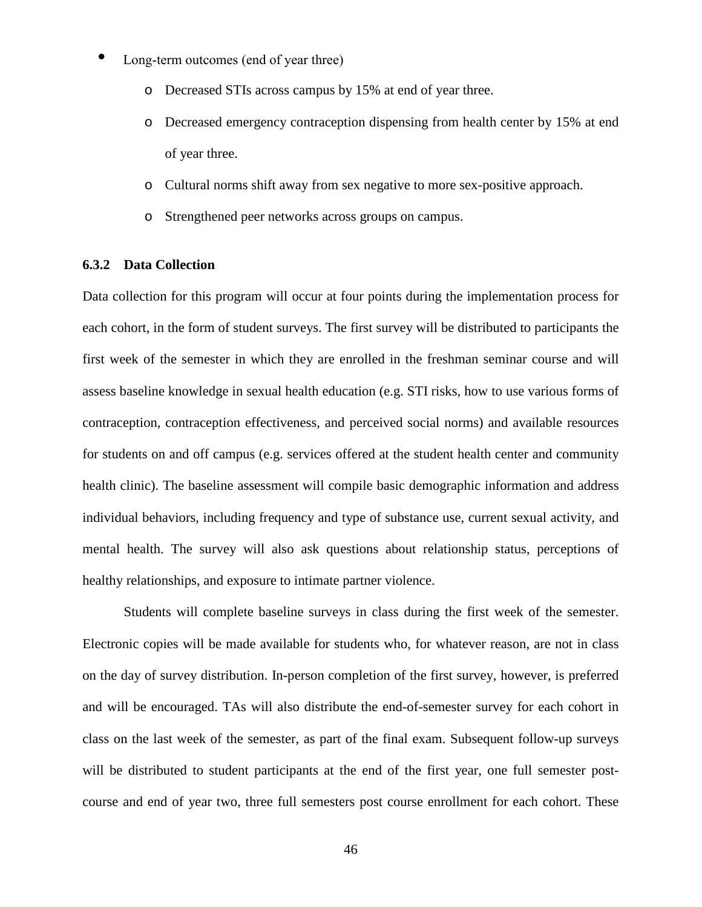- Long-term outcomes (end of year three)
	- o Decreased STIs across campus by 15% at end of year three.
	- o Decreased emergency contraception dispensing from health center by 15% at end of year three.
	- o Cultural norms shift away from sex negative to more sex-positive approach.
	- o Strengthened peer networks across groups on campus.

## **6.3.2 Data Collection**

Data collection for this program will occur at four points during the implementation process for each cohort, in the form of student surveys. The first survey will be distributed to participants the first week of the semester in which they are enrolled in the freshman seminar course and will assess baseline knowledge in sexual health education (e.g. STI risks, how to use various forms of contraception, contraception effectiveness, and perceived social norms) and available resources for students on and off campus (e.g. services offered at the student health center and community health clinic). The baseline assessment will compile basic demographic information and address individual behaviors, including frequency and type of substance use, current sexual activity, and mental health. The survey will also ask questions about relationship status, perceptions of healthy relationships, and exposure to intimate partner violence.

Students will complete baseline surveys in class during the first week of the semester. Electronic copies will be made available for students who, for whatever reason, are not in class on the day of survey distribution. In-person completion of the first survey, however, is preferred and will be encouraged. TAs will also distribute the end-of-semester survey for each cohort in class on the last week of the semester, as part of the final exam. Subsequent follow-up surveys will be distributed to student participants at the end of the first year, one full semester postcourse and end of year two, three full semesters post course enrollment for each cohort. These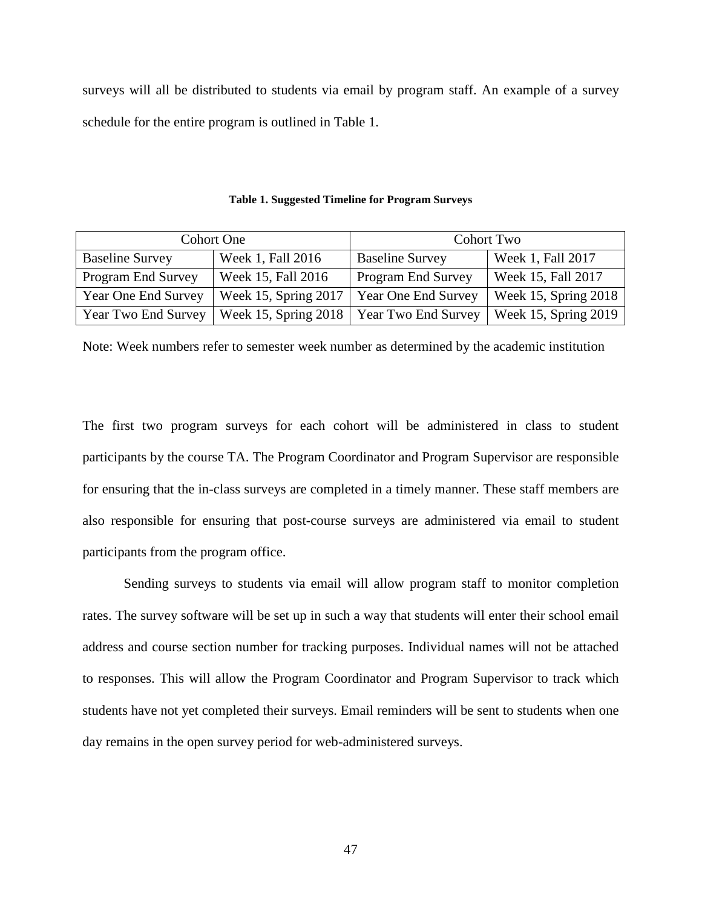surveys will all be distributed to students via email by program staff. An example of a survey schedule for the entire program is outlined in Table 1.

| <b>Cohort One</b>          |                                                                   | Cohort Two                |                      |
|----------------------------|-------------------------------------------------------------------|---------------------------|----------------------|
| <b>Baseline Survey</b>     | Week 1, Fall 2016                                                 | <b>Baseline Survey</b>    | Week 1, Fall 2017    |
| Program End Survey         | Week 15, Fall 2016                                                | <b>Program End Survey</b> | Week 15, Fall 2017   |
| <b>Year One End Survey</b> | Week 15, Spring 2017                                              | Year One End Survey       | Week 15, Spring 2018 |
| Year Two End Survey        | Week 15, Spring 2018   Year Two End Survey   Week 15, Spring 2019 |                           |                      |

**Table 1. Suggested Timeline for Program Surveys**

Note: Week numbers refer to semester week number as determined by the academic institution

The first two program surveys for each cohort will be administered in class to student participants by the course TA. The Program Coordinator and Program Supervisor are responsible for ensuring that the in-class surveys are completed in a timely manner. These staff members are also responsible for ensuring that post-course surveys are administered via email to student participants from the program office.

Sending surveys to students via email will allow program staff to monitor completion rates. The survey software will be set up in such a way that students will enter their school email address and course section number for tracking purposes. Individual names will not be attached to responses. This will allow the Program Coordinator and Program Supervisor to track which students have not yet completed their surveys. Email reminders will be sent to students when one day remains in the open survey period for web-administered surveys.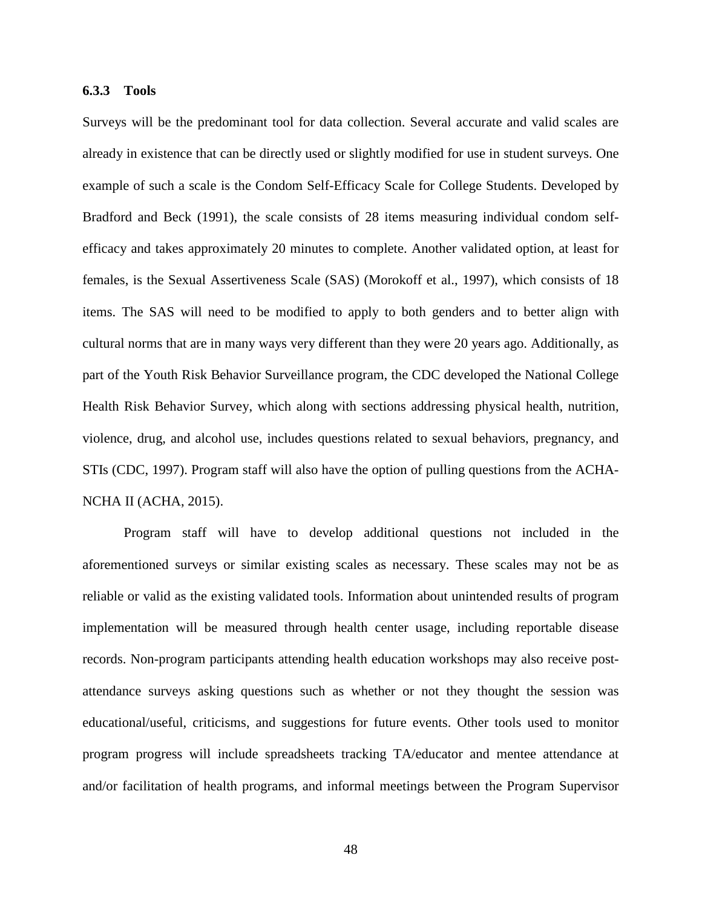## **6.3.3 Tools**

Surveys will be the predominant tool for data collection. Several accurate and valid scales are already in existence that can be directly used or slightly modified for use in student surveys. One example of such a scale is the Condom Self-Efficacy Scale for College Students. Developed by Bradford and Beck (1991), the scale consists of 28 items measuring individual condom selfefficacy and takes approximately 20 minutes to complete. Another validated option, at least for females, is the Sexual Assertiveness Scale (SAS) (Morokoff et al., 1997), which consists of 18 items. The SAS will need to be modified to apply to both genders and to better align with cultural norms that are in many ways very different than they were 20 years ago. Additionally, as part of the Youth Risk Behavior Surveillance program, the CDC developed the National College Health Risk Behavior Survey, which along with sections addressing physical health, nutrition, violence, drug, and alcohol use, includes questions related to sexual behaviors, pregnancy, and STIs (CDC, 1997). Program staff will also have the option of pulling questions from the ACHA-NCHA II (ACHA, 2015).

Program staff will have to develop additional questions not included in the aforementioned surveys or similar existing scales as necessary. These scales may not be as reliable or valid as the existing validated tools. Information about unintended results of program implementation will be measured through health center usage, including reportable disease records. Non-program participants attending health education workshops may also receive postattendance surveys asking questions such as whether or not they thought the session was educational/useful, criticisms, and suggestions for future events. Other tools used to monitor program progress will include spreadsheets tracking TA/educator and mentee attendance at and/or facilitation of health programs, and informal meetings between the Program Supervisor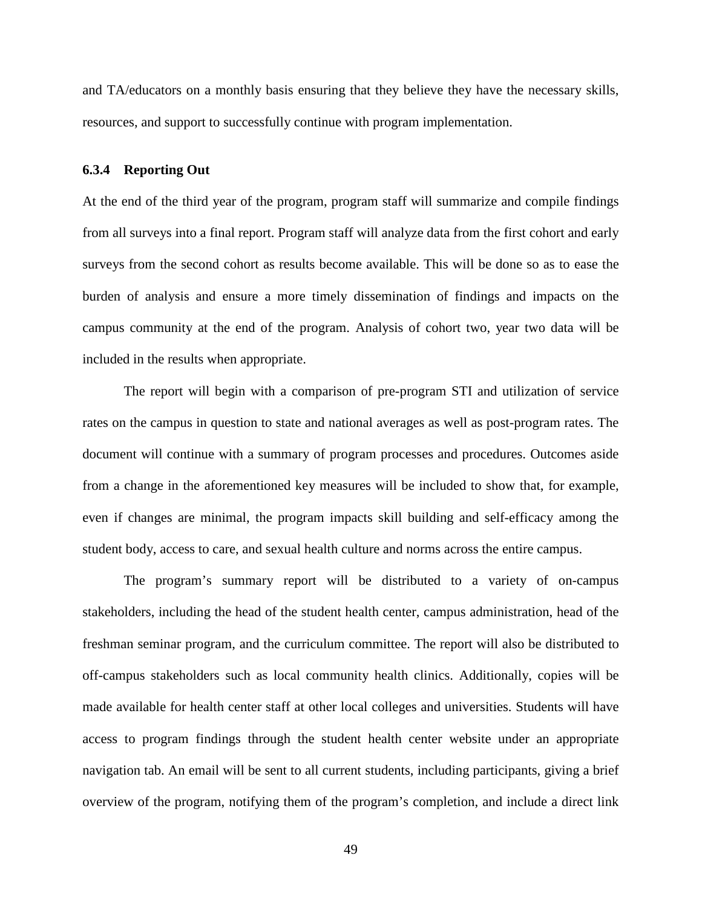and TA/educators on a monthly basis ensuring that they believe they have the necessary skills, resources, and support to successfully continue with program implementation.

## **6.3.4 Reporting Out**

At the end of the third year of the program, program staff will summarize and compile findings from all surveys into a final report. Program staff will analyze data from the first cohort and early surveys from the second cohort as results become available. This will be done so as to ease the burden of analysis and ensure a more timely dissemination of findings and impacts on the campus community at the end of the program. Analysis of cohort two, year two data will be included in the results when appropriate.

The report will begin with a comparison of pre-program STI and utilization of service rates on the campus in question to state and national averages as well as post-program rates. The document will continue with a summary of program processes and procedures. Outcomes aside from a change in the aforementioned key measures will be included to show that, for example, even if changes are minimal, the program impacts skill building and self-efficacy among the student body, access to care, and sexual health culture and norms across the entire campus.

The program's summary report will be distributed to a variety of on-campus stakeholders, including the head of the student health center, campus administration, head of the freshman seminar program, and the curriculum committee. The report will also be distributed to off-campus stakeholders such as local community health clinics. Additionally, copies will be made available for health center staff at other local colleges and universities. Students will have access to program findings through the student health center website under an appropriate navigation tab. An email will be sent to all current students, including participants, giving a brief overview of the program, notifying them of the program's completion, and include a direct link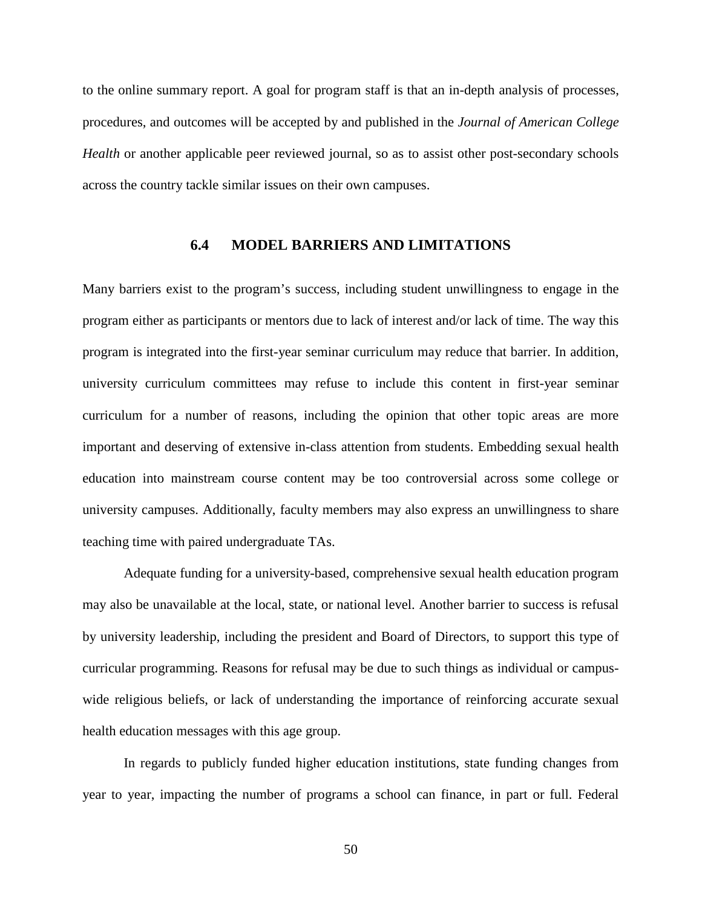to the online summary report. A goal for program staff is that an in-depth analysis of processes, procedures, and outcomes will be accepted by and published in the *Journal of American College Health* or another applicable peer reviewed journal, so as to assist other post-secondary schools across the country tackle similar issues on their own campuses.

# **6.4 MODEL BARRIERS AND LIMITATIONS**

Many barriers exist to the program's success, including student unwillingness to engage in the program either as participants or mentors due to lack of interest and/or lack of time. The way this program is integrated into the first-year seminar curriculum may reduce that barrier. In addition, university curriculum committees may refuse to include this content in first-year seminar curriculum for a number of reasons, including the opinion that other topic areas are more important and deserving of extensive in-class attention from students. Embedding sexual health education into mainstream course content may be too controversial across some college or university campuses. Additionally, faculty members may also express an unwillingness to share teaching time with paired undergraduate TAs.

Adequate funding for a university-based, comprehensive sexual health education program may also be unavailable at the local, state, or national level. Another barrier to success is refusal by university leadership, including the president and Board of Directors, to support this type of curricular programming. Reasons for refusal may be due to such things as individual or campuswide religious beliefs, or lack of understanding the importance of reinforcing accurate sexual health education messages with this age group.

In regards to publicly funded higher education institutions, state funding changes from year to year, impacting the number of programs a school can finance, in part or full. Federal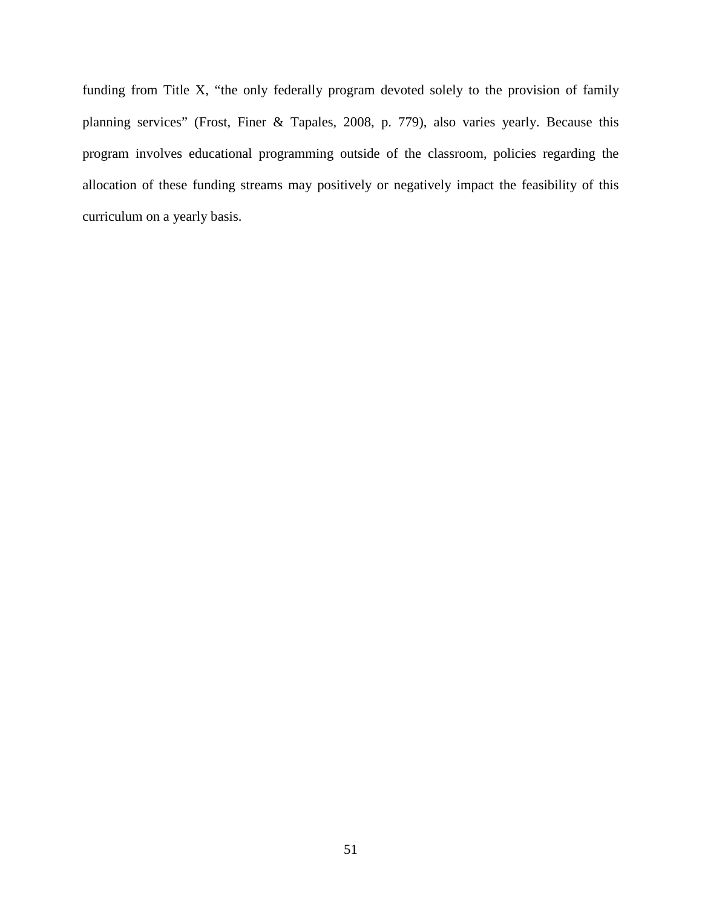funding from Title X, "the only federally program devoted solely to the provision of family planning services" (Frost, Finer & Tapales, 2008, p. 779), also varies yearly. Because this program involves educational programming outside of the classroom, policies regarding the allocation of these funding streams may positively or negatively impact the feasibility of this curriculum on a yearly basis.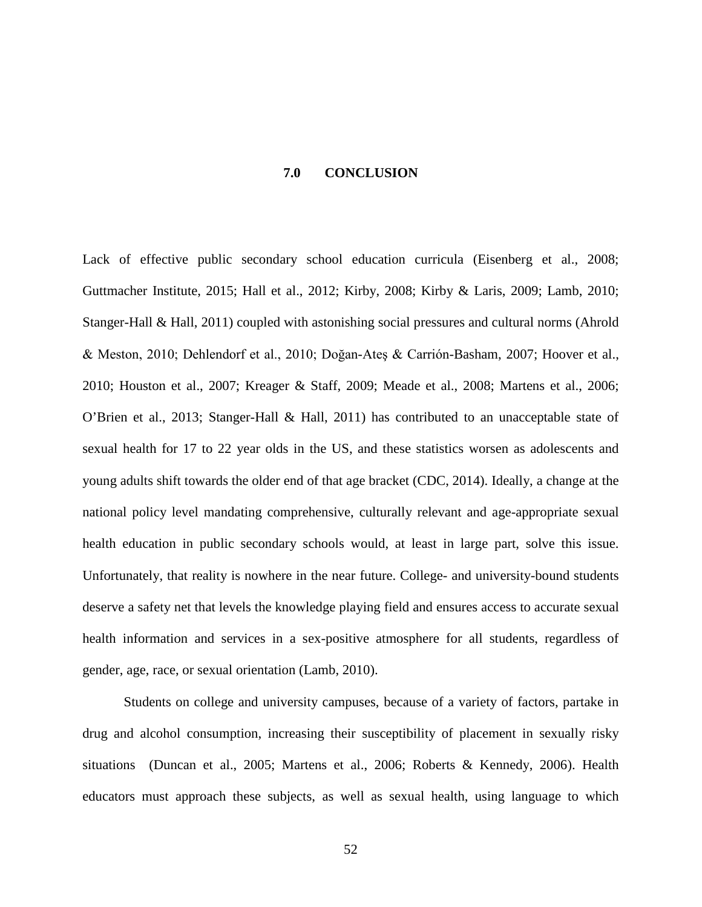### **7.0 CONCLUSION**

Lack of effective public secondary school education curricula (Eisenberg et al., 2008; Guttmacher Institute, 2015; Hall et al., 2012; Kirby, 2008; Kirby & Laris, 2009; Lamb, 2010; Stanger-Hall & Hall, 2011) coupled with astonishing social pressures and cultural norms (Ahrold & Meston, 2010; Dehlendorf et al., 2010; Doğan-Ateş & Carrión-Basham, 2007; Hoover et al., 2010; Houston et al., 2007; Kreager & Staff, 2009; Meade et al., 2008; Martens et al., 2006; O'Brien et al., 2013; Stanger-Hall & Hall, 2011) has contributed to an unacceptable state of sexual health for 17 to 22 year olds in the US, and these statistics worsen as adolescents and young adults shift towards the older end of that age bracket (CDC, 2014). Ideally, a change at the national policy level mandating comprehensive, culturally relevant and age-appropriate sexual health education in public secondary schools would, at least in large part, solve this issue. Unfortunately, that reality is nowhere in the near future. College- and university-bound students deserve a safety net that levels the knowledge playing field and ensures access to accurate sexual health information and services in a sex-positive atmosphere for all students, regardless of gender, age, race, or sexual orientation (Lamb, 2010).

Students on college and university campuses, because of a variety of factors, partake in drug and alcohol consumption, increasing their susceptibility of placement in sexually risky situations (Duncan et al., 2005; Martens et al., 2006; Roberts & Kennedy, 2006). Health educators must approach these subjects, as well as sexual health, using language to which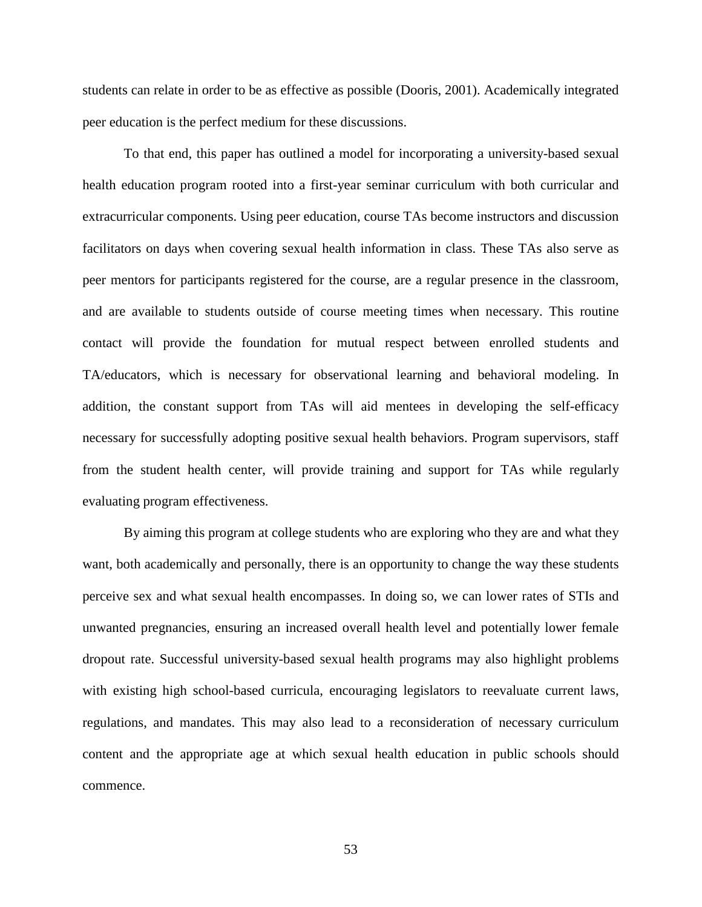students can relate in order to be as effective as possible (Dooris, 2001). Academically integrated peer education is the perfect medium for these discussions.

To that end, this paper has outlined a model for incorporating a university-based sexual health education program rooted into a first-year seminar curriculum with both curricular and extracurricular components. Using peer education, course TAs become instructors and discussion facilitators on days when covering sexual health information in class. These TAs also serve as peer mentors for participants registered for the course, are a regular presence in the classroom, and are available to students outside of course meeting times when necessary. This routine contact will provide the foundation for mutual respect between enrolled students and TA/educators, which is necessary for observational learning and behavioral modeling. In addition, the constant support from TAs will aid mentees in developing the self-efficacy necessary for successfully adopting positive sexual health behaviors. Program supervisors, staff from the student health center, will provide training and support for TAs while regularly evaluating program effectiveness.

By aiming this program at college students who are exploring who they are and what they want, both academically and personally, there is an opportunity to change the way these students perceive sex and what sexual health encompasses. In doing so, we can lower rates of STIs and unwanted pregnancies, ensuring an increased overall health level and potentially lower female dropout rate. Successful university-based sexual health programs may also highlight problems with existing high school-based curricula, encouraging legislators to reevaluate current laws, regulations, and mandates. This may also lead to a reconsideration of necessary curriculum content and the appropriate age at which sexual health education in public schools should commence.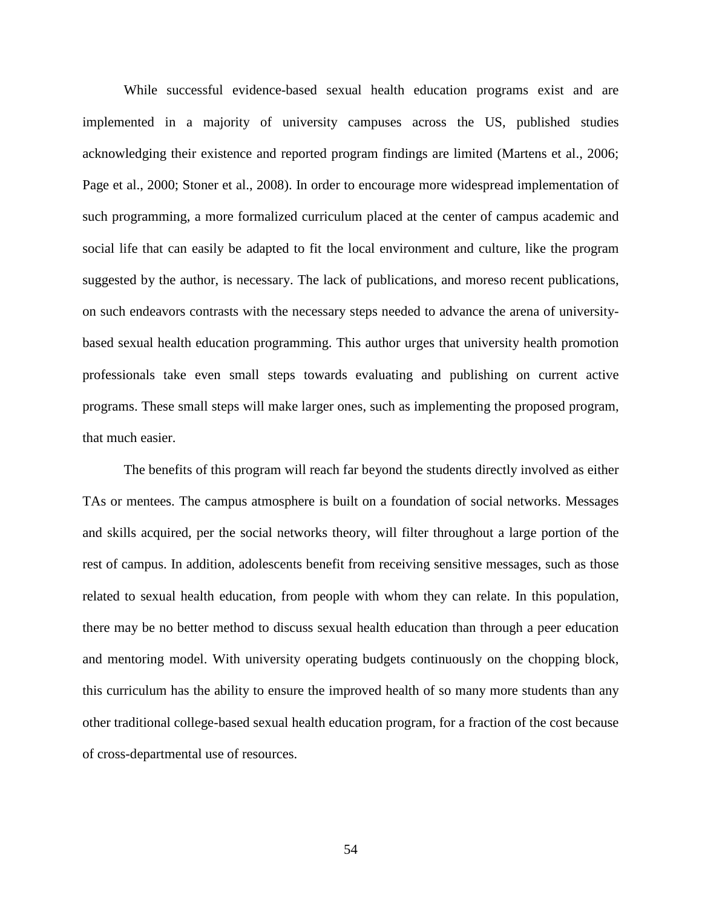While successful evidence-based sexual health education programs exist and are implemented in a majority of university campuses across the US, published studies acknowledging their existence and reported program findings are limited (Martens et al., 2006; Page et al., 2000; Stoner et al., 2008). In order to encourage more widespread implementation of such programming, a more formalized curriculum placed at the center of campus academic and social life that can easily be adapted to fit the local environment and culture, like the program suggested by the author, is necessary. The lack of publications, and moreso recent publications, on such endeavors contrasts with the necessary steps needed to advance the arena of universitybased sexual health education programming. This author urges that university health promotion professionals take even small steps towards evaluating and publishing on current active programs. These small steps will make larger ones, such as implementing the proposed program, that much easier.

The benefits of this program will reach far beyond the students directly involved as either TAs or mentees. The campus atmosphere is built on a foundation of social networks. Messages and skills acquired, per the social networks theory, will filter throughout a large portion of the rest of campus. In addition, adolescents benefit from receiving sensitive messages, such as those related to sexual health education, from people with whom they can relate. In this population, there may be no better method to discuss sexual health education than through a peer education and mentoring model. With university operating budgets continuously on the chopping block, this curriculum has the ability to ensure the improved health of so many more students than any other traditional college-based sexual health education program, for a fraction of the cost because of cross-departmental use of resources.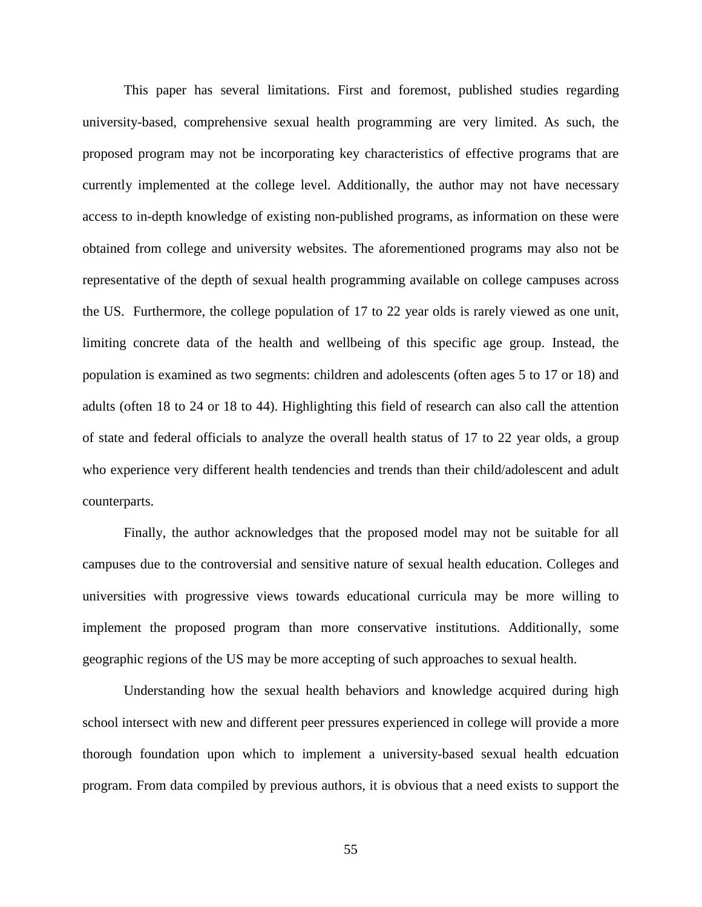This paper has several limitations. First and foremost, published studies regarding university-based, comprehensive sexual health programming are very limited. As such, the proposed program may not be incorporating key characteristics of effective programs that are currently implemented at the college level. Additionally, the author may not have necessary access to in-depth knowledge of existing non-published programs, as information on these were obtained from college and university websites. The aforementioned programs may also not be representative of the depth of sexual health programming available on college campuses across the US. Furthermore, the college population of 17 to 22 year olds is rarely viewed as one unit, limiting concrete data of the health and wellbeing of this specific age group. Instead, the population is examined as two segments: children and adolescents (often ages 5 to 17 or 18) and adults (often 18 to 24 or 18 to 44). Highlighting this field of research can also call the attention of state and federal officials to analyze the overall health status of 17 to 22 year olds, a group who experience very different health tendencies and trends than their child/adolescent and adult counterparts.

Finally, the author acknowledges that the proposed model may not be suitable for all campuses due to the controversial and sensitive nature of sexual health education. Colleges and universities with progressive views towards educational curricula may be more willing to implement the proposed program than more conservative institutions. Additionally, some geographic regions of the US may be more accepting of such approaches to sexual health.

Understanding how the sexual health behaviors and knowledge acquired during high school intersect with new and different peer pressures experienced in college will provide a more thorough foundation upon which to implement a university-based sexual health edcuation program. From data compiled by previous authors, it is obvious that a need exists to support the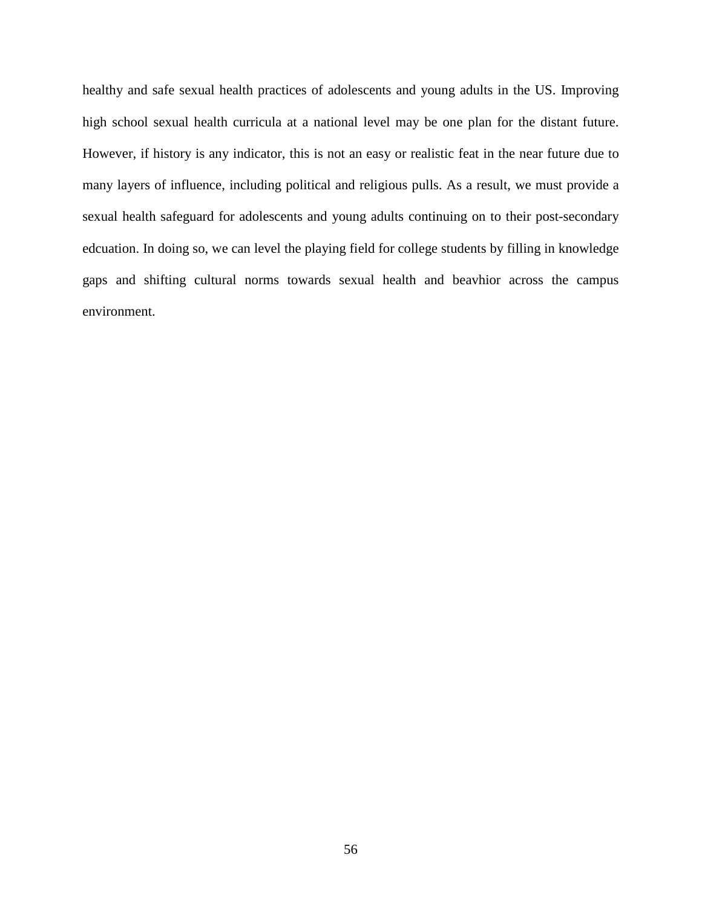healthy and safe sexual health practices of adolescents and young adults in the US. Improving high school sexual health curricula at a national level may be one plan for the distant future. However, if history is any indicator, this is not an easy or realistic feat in the near future due to many layers of influence, including political and religious pulls. As a result, we must provide a sexual health safeguard for adolescents and young adults continuing on to their post-secondary edcuation. In doing so, we can level the playing field for college students by filling in knowledge gaps and shifting cultural norms towards sexual health and beavhior across the campus environment.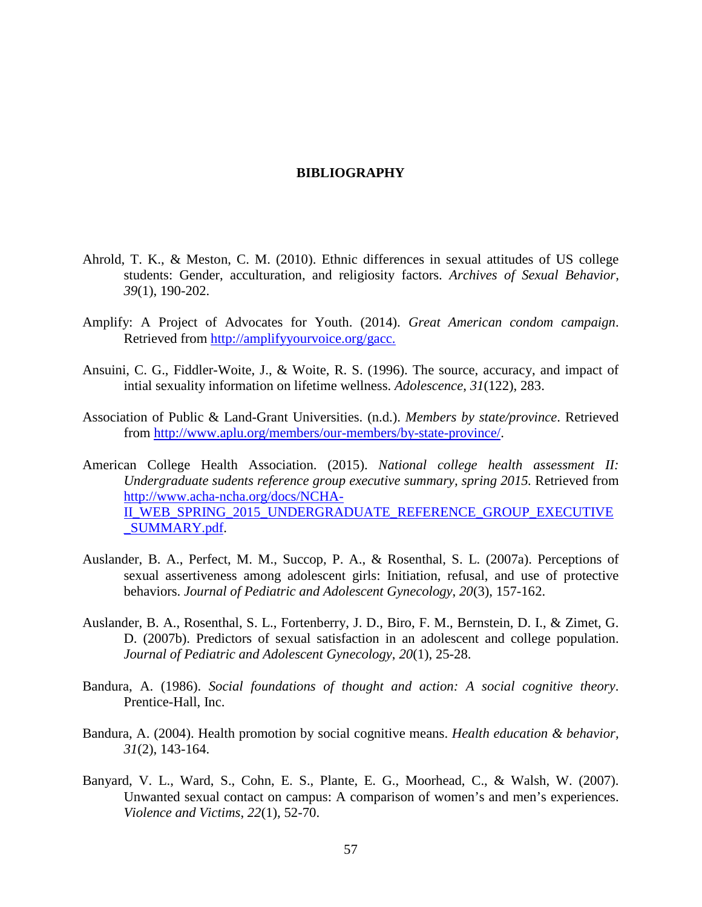## **BIBLIOGRAPHY**

- Ahrold, T. K., & Meston, C. M. (2010). Ethnic differences in sexual attitudes of US college students: Gender, acculturation, and religiosity factors. *Archives of Sexual Behavior, 39*(1), 190-202.
- Amplify: A Project of Advocates for Youth. (2014). *Great American condom campaign*. Retrieved from [http://amplifyyourvoice.org/gacc.](http://amplifyyourvoice.org/gacc)
- Ansuini, C. G., Fiddler-Woite, J., & Woite, R. S. (1996). The source, accuracy, and impact of intial sexuality information on lifetime wellness. *Adolescence*, *31*(122), 283.
- Association of Public & Land-Grant Universities. (n.d.). *Members by state/province*. Retrieved from [http://www.aplu.org/members/our-members/by-state-province/.](http://www.aplu.org/members/our-members/by-state-province/)
- American College Health Association. (2015). *National college health assessment II: Undergraduate sudents reference group executive summary, spring 2015.* Retrieved from [http://www.acha-ncha.org/docs/NCHA-](http://www.acha-ncha.org/docs/NCHA-II_WEB_SPRING_2015_UNDERGRADUATE_REFERENCE_GROUP_EXECUTIVE_SUMMARY.pdf)[II\\_WEB\\_SPRING\\_2015\\_UNDERGRADUATE\\_REFERENCE\\_GROUP\\_EXECUTIVE](http://www.acha-ncha.org/docs/NCHA-II_WEB_SPRING_2015_UNDERGRADUATE_REFERENCE_GROUP_EXECUTIVE_SUMMARY.pdf) [\\_SUMMARY.pdf.](http://www.acha-ncha.org/docs/NCHA-II_WEB_SPRING_2015_UNDERGRADUATE_REFERENCE_GROUP_EXECUTIVE_SUMMARY.pdf)
- Auslander, B. A., Perfect, M. M., Succop, P. A., & Rosenthal, S. L. (2007a). Perceptions of sexual assertiveness among adolescent girls: Initiation, refusal, and use of protective behaviors. *Journal of Pediatric and Adolescent Gynecology*, *20*(3), 157-162.
- Auslander, B. A., Rosenthal, S. L., Fortenberry, J. D., Biro, F. M., Bernstein, D. I., & Zimet, G. D. (2007b). Predictors of sexual satisfaction in an adolescent and college population. *Journal of Pediatric and Adolescent Gynecology*, *20*(1), 25-28.
- Bandura, A. (1986). *Social foundations of thought and action: A social cognitive theory*. Prentice-Hall, Inc.
- Bandura, A. (2004). Health promotion by social cognitive means. *Health education & behavior, 31*(2), 143-164.
- Banyard, V. L., Ward, S., Cohn, E. S., Plante, E. G., Moorhead, C., & Walsh, W. (2007). Unwanted sexual contact on campus: A comparison of women's and men's experiences. *Violence and Victims*, *22*(1), 52-70.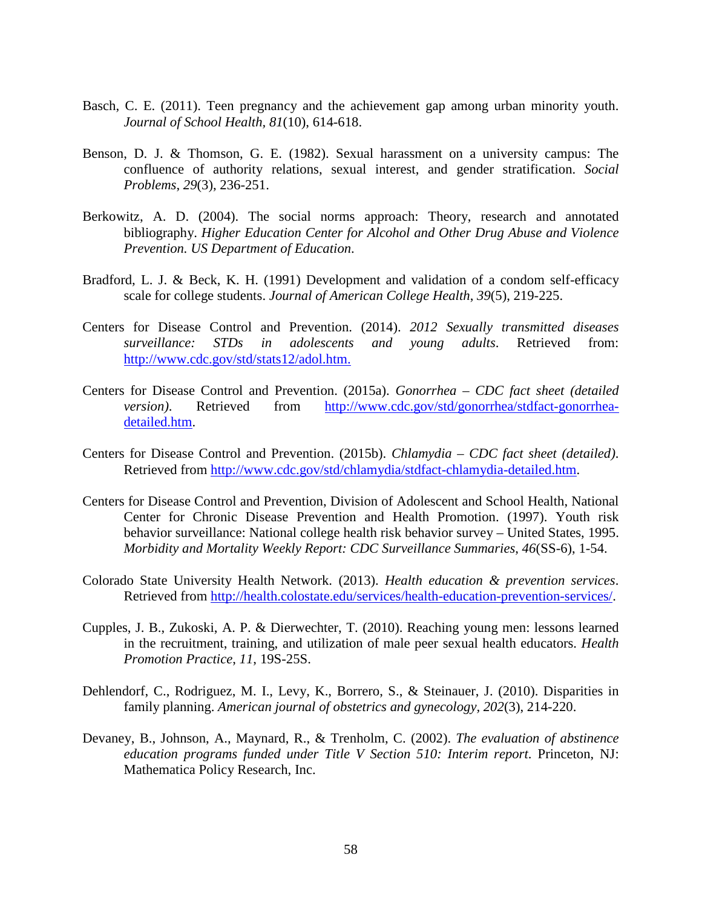- Basch, C. E. (2011). Teen pregnancy and the achievement gap among urban minority youth. *Journal of School Health, 81*(10), 614-618.
- Benson, D. J. & Thomson, G. E. (1982). Sexual harassment on a university campus: The confluence of authority relations, sexual interest, and gender stratification. *Social Problems*, *29*(3), 236-251.
- Berkowitz, A. D. (2004). The social norms approach: Theory, research and annotated bibliography. *Higher Education Center for Alcohol and Other Drug Abuse and Violence Prevention. US Department of Education*.
- Bradford, L. J. & Beck, K. H. (1991) Development and validation of a condom self-efficacy scale for college students. *Journal of American College Health*, *39*(5), 219-225.
- Centers for Disease Control and Prevention. (2014). *2012 Sexually transmitted diseases surveillance: STDs in adolescents and young adults*. Retrieved from: [http://www.cdc.gov/std/stats12/adol.htm.](http://www.cdc.gov/std/stats12/adol.htm)
- Centers for Disease Control and Prevention. (2015a). *Gonorrhea – CDC fact sheet (detailed version)*. Retrieved from [http://www.cdc.gov/std/gonorrhea/stdfact-gonorrhea](http://www.cdc.gov/std/gonorrhea/stdfact-gonorrhea-detailed.htm)[detailed.htm.](http://www.cdc.gov/std/gonorrhea/stdfact-gonorrhea-detailed.htm)
- Centers for Disease Control and Prevention. (2015b). *Chlamydia – CDC fact sheet (detailed)*. Retrieved from [http://www.cdc.gov/std/chlamydia/stdfact-chlamydia-detailed.htm.](http://www.cdc.gov/std/chlamydia/stdfact-chlamydia-detailed.htm)
- Centers for Disease Control and Prevention, Division of Adolescent and School Health, National Center for Chronic Disease Prevention and Health Promotion. (1997). Youth risk behavior surveillance: National college health risk behavior survey – United States, 1995. *Morbidity and Mortality Weekly Report: CDC Surveillance Summaries*, *46*(SS-6), 1-54.
- Colorado State University Health Network. (2013). *Health education & prevention services*. Retrieved from [http://health.colostate.edu/services/health-education-prevention-services/.](http://health.colostate.edu/services/health-education-prevention-services/)
- Cupples, J. B., Zukoski, A. P. & Dierwechter, T. (2010). Reaching young men: lessons learned in the recruitment, training, and utilization of male peer sexual health educators. *Health Promotion Practice*, *11*, 19S-25S.
- Dehlendorf, C., Rodriguez, M. I., Levy, K., Borrero, S., & Steinauer, J. (2010). Disparities in family planning. *American journal of obstetrics and gynecology, 202*(3), 214-220.
- Devaney, B., Johnson, A., Maynard, R., & Trenholm, C. (2002). *The evaluation of abstinence education programs funded under Title V Section 510: Interim report*. Princeton, NJ: Mathematica Policy Research, Inc.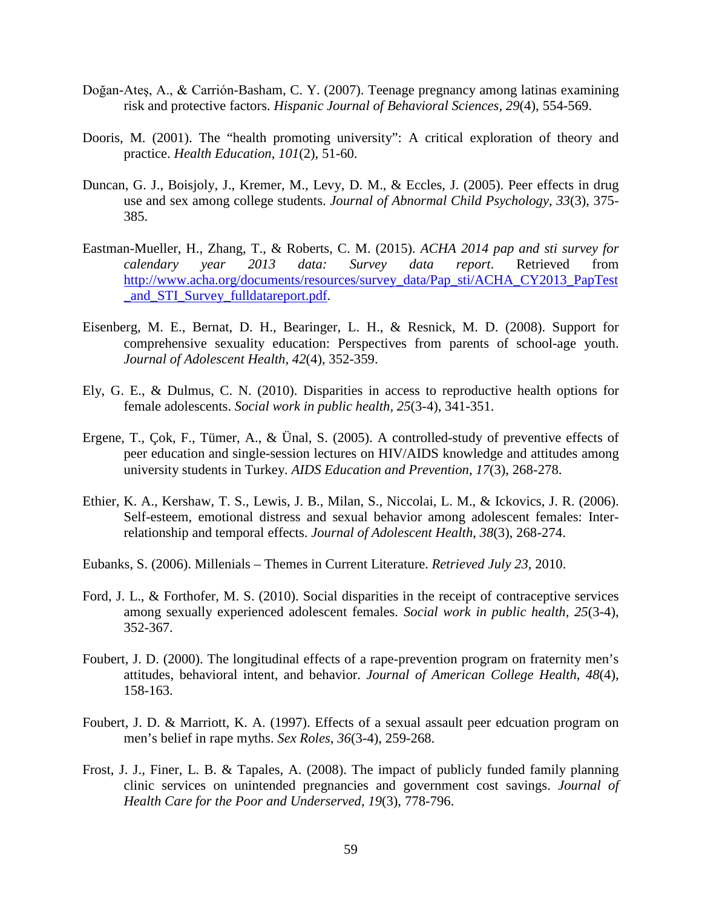- Doğan-Ateş, A., & Carrión-Basham, C. Y. (2007). Teenage pregnancy among latinas examining risk and protective factors. *Hispanic Journal of Behavioral Sciences, 29*(4), 554-569.
- Dooris, M. (2001). The "health promoting university": A critical exploration of theory and practice. *Health Education*, *101*(2), 51-60.
- Duncan, G. J., Boisjoly, J., Kremer, M., Levy, D. M., & Eccles, J. (2005). Peer effects in drug use and sex among college students. *Journal of Abnormal Child Psychology*, *33*(3), 375- 385.
- Eastman-Mueller, H., Zhang, T., & Roberts, C. M. (2015). *ACHA 2014 pap and sti survey for calendary year 2013 data: Survey data report*. Retrieved from [http://www.acha.org/documents/resources/survey\\_data/Pap\\_sti/ACHA\\_CY2013\\_PapTest](http://www.acha.org/documents/resources/survey_data/Pap_sti/ACHA_CY2013_PapTest_and_STI_Survey_fulldatareport.pdf) [\\_and\\_STI\\_Survey\\_fulldatareport.pdf.](http://www.acha.org/documents/resources/survey_data/Pap_sti/ACHA_CY2013_PapTest_and_STI_Survey_fulldatareport.pdf)
- Eisenberg, M. E., Bernat, D. H., Bearinger, L. H., & Resnick, M. D. (2008). Support for comprehensive sexuality education: Perspectives from parents of school-age youth. *Journal of Adolescent Health, 42*(4), 352-359.
- Ely, G. E., & Dulmus, C. N. (2010). Disparities in access to reproductive health options for female adolescents. *Social work in public health, 25*(3-4), 341-351.
- Ergene, T., Çok, F., Tümer, A., & Ünal, S. (2005). A controlled-study of preventive effects of peer education and single-session lectures on HIV/AIDS knowledge and attitudes among university students in Turkey. *AIDS Education and Prevention*, *17*(3), 268-278.
- Ethier, K. A., Kershaw, T. S., Lewis, J. B., Milan, S., Niccolai, L. M., & Ickovics, J. R. (2006). Self-esteem, emotional distress and sexual behavior among adolescent females: Interrelationship and temporal effects. *Journal of Adolescent Health*, *38*(3), 268-274.
- Eubanks, S. (2006). Millenials Themes in Current Literature. *Retrieved July 23,* 2010.
- Ford, J. L., & Forthofer, M. S. (2010). Social disparities in the receipt of contraceptive services among sexually experienced adolescent females. *Social work in public health, 25*(3-4), 352-367.
- Foubert, J. D. (2000). The longitudinal effects of a rape-prevention program on fraternity men's attitudes, behavioral intent, and behavior. *Journal of American College Health*, *48*(4), 158-163.
- Foubert, J. D. & Marriott, K. A. (1997). Effects of a sexual assault peer edcuation program on men's belief in rape myths. *Sex Roles*, *36*(3-4), 259-268.
- Frost, J. J., Finer, L. B. & Tapales, A. (2008). The impact of publicly funded family planning clinic services on unintended pregnancies and government cost savings. *Journal of Health Care for the Poor and Underserved*, *19*(3), 778-796.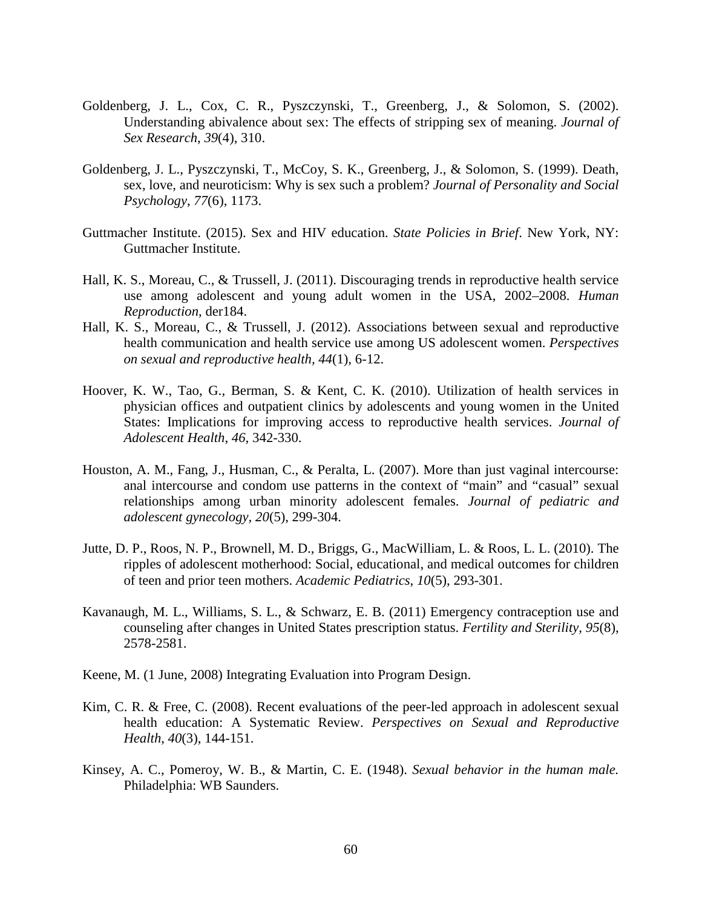- Goldenberg, J. L., Cox, C. R., Pyszczynski, T., Greenberg, J., & Solomon, S. (2002). Understanding abivalence about sex: The effects of stripping sex of meaning. *Journal of Sex Research*, *39*(4), 310.
- Goldenberg, J. L., Pyszczynski, T., McCoy, S. K., Greenberg, J., & Solomon, S. (1999). Death, sex, love, and neuroticism: Why is sex such a problem? *Journal of Personality and Social Psychology*, *77*(6), 1173.
- Guttmacher Institute. (2015). Sex and HIV education. *State Policies in Brief*. New York, NY: Guttmacher Institute.
- Hall, K. S., Moreau, C., & Trussell, J. (2011). Discouraging trends in reproductive health service use among adolescent and young adult women in the USA, 2002–2008. *Human Reproduction*, der184.
- Hall, K. S., Moreau, C., & Trussell, J. (2012). Associations between sexual and reproductive health communication and health service use among US adolescent women. *Perspectives on sexual and reproductive health, 44*(1), 6-12.
- Hoover, K. W., Tao, G., Berman, S. & Kent, C. K. (2010). Utilization of health services in physician offices and outpatient clinics by adolescents and young women in the United States: Implications for improving access to reproductive health services. *Journal of Adolescent Health*, *46*, 342-330.
- Houston, A. M., Fang, J., Husman, C., & Peralta, L. (2007). More than just vaginal intercourse: anal intercourse and condom use patterns in the context of "main" and "casual" sexual relationships among urban minority adolescent females. *Journal of pediatric and adolescent gynecology, 20*(5), 299-304.
- Jutte, D. P., Roos, N. P., Brownell, M. D., Briggs, G., MacWilliam, L. & Roos, L. L. (2010). The ripples of adolescent motherhood: Social, educational, and medical outcomes for children of teen and prior teen mothers. *Academic Pediatrics*, *10*(5), 293-301.
- Kavanaugh, M. L., Williams, S. L., & Schwarz, E. B. (2011) Emergency contraception use and counseling after changes in United States prescription status. *Fertility and Sterility, 95*(8), 2578-2581.
- Keene, M. (1 June, 2008) Integrating Evaluation into Program Design.
- Kim, C. R. & Free, C. (2008). Recent evaluations of the peer-led approach in adolescent sexual health education: A Systematic Review. *Perspectives on Sexual and Reproductive Health*, *40*(3), 144-151.
- Kinsey, A. C., Pomeroy, W. B., & Martin, C. E. (1948). *Sexual behavior in the human male.* Philadelphia: WB Saunders.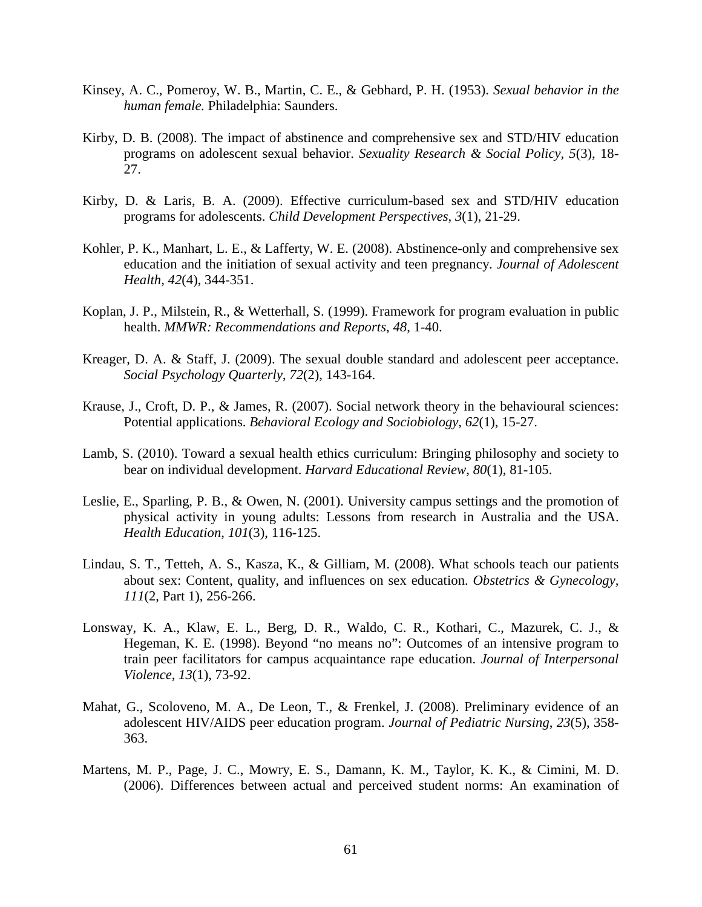- Kinsey, A. C., Pomeroy, W. B., Martin, C. E., & Gebhard, P. H. (1953). *Sexual behavior in the human female.* Philadelphia: Saunders.
- Kirby, D. B. (2008). The impact of abstinence and comprehensive sex and STD/HIV education programs on adolescent sexual behavior. *Sexuality Research & Social Policy, 5*(3), 18- 27.
- Kirby, D. & Laris, B. A. (2009). Effective curriculum-based sex and STD/HIV education programs for adolescents. *Child Development Perspectives*, *3*(1), 21-29.
- Kohler, P. K., Manhart, L. E., & Lafferty, W. E. (2008). Abstinence-only and comprehensive sex education and the initiation of sexual activity and teen pregnancy. *Journal of Adolescent Health*, *42*(4), 344-351.
- Koplan, J. P., Milstein, R., & Wetterhall, S. (1999). Framework for program evaluation in public health. *MMWR: Recommendations and Reports*, *48*, 1-40.
- Kreager, D. A. & Staff, J. (2009). The sexual double standard and adolescent peer acceptance. *Social Psychology Quarterly*, *72*(2), 143-164.
- Krause, J., Croft, D. P., & James, R. (2007). Social network theory in the behavioural sciences: Potential applications. *Behavioral Ecology and Sociobiology*, *62*(1), 15-27.
- Lamb, S. (2010). Toward a sexual health ethics curriculum: Bringing philosophy and society to bear on individual development. *Harvard Educational Review*, *80*(1), 81-105.
- Leslie, E., Sparling, P. B., & Owen, N. (2001). University campus settings and the promotion of physical activity in young adults: Lessons from research in Australia and the USA. *Health Education*, *101*(3), 116-125.
- Lindau, S. T., Tetteh, A. S., Kasza, K., & Gilliam, M. (2008). What schools teach our patients about sex: Content, quality, and influences on sex education. *Obstetrics & Gynecology, 111*(2, Part 1), 256-266.
- Lonsway, K. A., Klaw, E. L., Berg, D. R., Waldo, C. R., Kothari, C., Mazurek, C. J., & Hegeman, K. E. (1998). Beyond "no means no": Outcomes of an intensive program to train peer facilitators for campus acquaintance rape education. *Journal of Interpersonal Violence*, *13*(1), 73-92.
- Mahat, G., Scoloveno, M. A., De Leon, T., & Frenkel, J. (2008). Preliminary evidence of an adolescent HIV/AIDS peer education program. *Journal of Pediatric Nursing*, *23*(5), 358- 363.
- Martens, M. P., Page, J. C., Mowry, E. S., Damann, K. M., Taylor, K. K., & Cimini, M. D. (2006). Differences between actual and perceived student norms: An examination of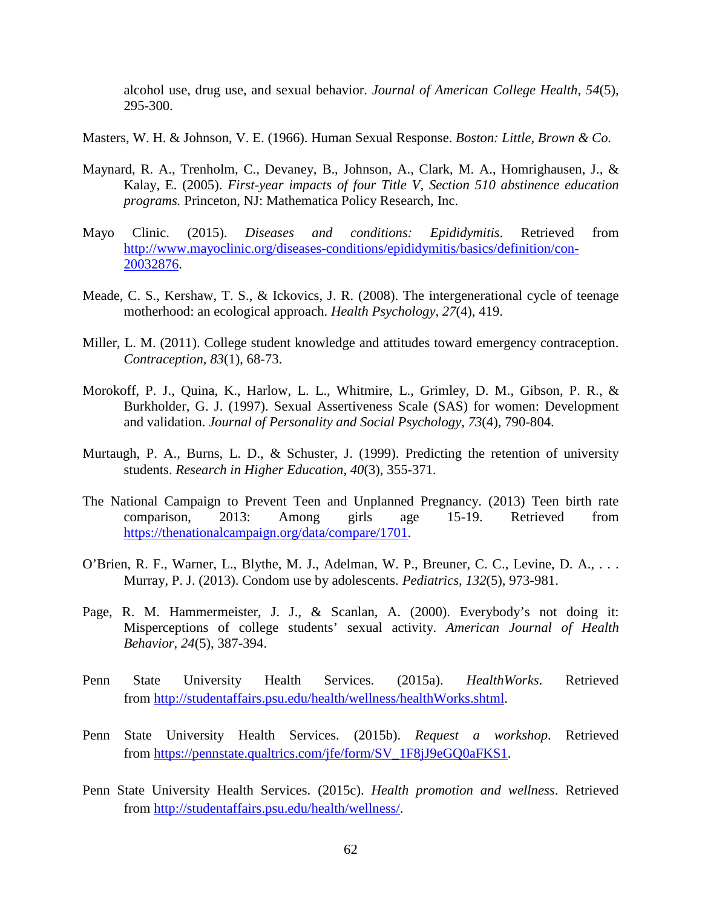alcohol use, drug use, and sexual behavior. *Journal of American College Health*, *54*(5), 295-300.

Masters, W. H. & Johnson, V. E. (1966). Human Sexual Response. *Boston: Little, Brown & Co.*

- Maynard, R. A., Trenholm, C., Devaney, B., Johnson, A., Clark, M. A., Homrighausen, J., & Kalay, E. (2005). *First-year impacts of four Title V, Section 510 abstinence education programs.* Princeton, NJ: Mathematica Policy Research, Inc.
- Mayo Clinic. (2015). *Diseases and conditions: Epididymitis*. Retrieved from [http://www.mayoclinic.org/diseases-conditions/epididymitis/basics/definition/con-](http://www.mayoclinic.org/diseases-conditions/epididymitis/basics/definition/con-20032876)[20032876.](http://www.mayoclinic.org/diseases-conditions/epididymitis/basics/definition/con-20032876)
- Meade, C. S., Kershaw, T. S., & Ickovics, J. R. (2008). The intergenerational cycle of teenage motherhood: an ecological approach. *Health Psychology, 27*(4), 419.
- Miller, L. M. (2011). College student knowledge and attitudes toward emergency contraception. *Contraception*, *83*(1), 68-73.
- Morokoff, P. J., Quina, K., Harlow, L. L., Whitmire, L., Grimley, D. M., Gibson, P. R., & Burkholder, G. J. (1997). Sexual Assertiveness Scale (SAS) for women: Development and validation. *Journal of Personality and Social Psychology*, *73*(4), 790-804.
- Murtaugh, P. A., Burns, L. D., & Schuster, J. (1999). Predicting the retention of university students. *Research in Higher Education*, *40*(3), 355-371.
- The National Campaign to Prevent Teen and Unplanned Pregnancy. (2013) Teen birth rate comparison, 2013: Among girls age 15-19. Retrieved from [https://thenationalcampaign.org/data/compare/1701.](https://thenationalcampaign.org/data/compare/1701)
- O'Brien, R. F., Warner, L., Blythe, M. J., Adelman, W. P., Breuner, C. C., Levine, D. A., . . . Murray, P. J. (2013). Condom use by adolescents. *Pediatrics, 132*(5), 973-981.
- Page, R. M. Hammermeister, J. J., & Scanlan, A. (2000). Everybody's not doing it: Misperceptions of college students' sexual activity. *American Journal of Health Behavior*, *24*(5), 387-394.
- Penn State University Health Services. (2015a). *HealthWorks*. Retrieved from [http://studentaffairs.psu.edu/health/wellness/healthWorks.shtml.](http://studentaffairs.psu.edu/health/wellness/healthWorks.shtml)
- Penn State University Health Services. (2015b). *Request a workshop*. Retrieved from https://pennstate.qualtrics.com/jfe/form/SV\_1F8jJ9eGO0aFKS1.
- Penn State University Health Services. (2015c). *Health promotion and wellness*. Retrieved from [http://studentaffairs.psu.edu/health/wellness/.](http://studentaffairs.psu.edu/health/wellness/)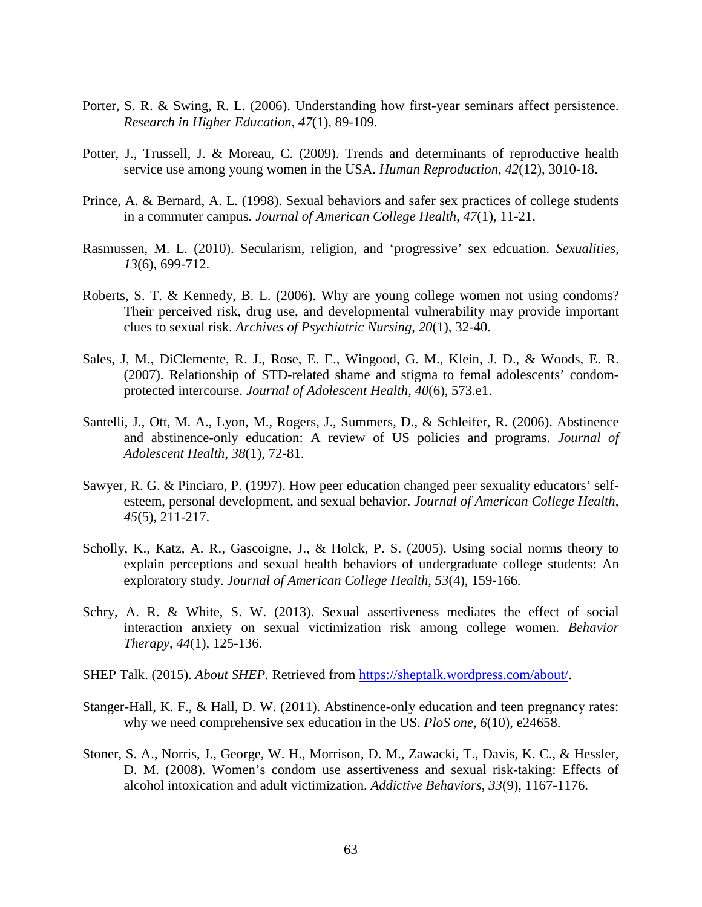- Porter, S. R. & Swing, R. L. (2006). Understanding how first-year seminars affect persistence. *Research in Higher Education*, *47*(1), 89-109.
- Potter, J., Trussell, J. & Moreau, C. (2009). Trends and determinants of reproductive health service use among young women in the USA. *Human Reproduction*, *42*(12), 3010-18.
- Prince, A. & Bernard, A. L. (1998). Sexual behaviors and safer sex practices of college students in a commuter campus. *Journal of American College Health*, *47*(1), 11-21.
- Rasmussen, M. L. (2010). Secularism, religion, and 'progressive' sex edcuation. *Sexualities*, *13*(6), 699-712.
- Roberts, S. T. & Kennedy, B. L. (2006). Why are young college women not using condoms? Their perceived risk, drug use, and developmental vulnerability may provide important clues to sexual risk. *Archives of Psychiatric Nursing*, *20*(1), 32-40.
- Sales, J, M., DiClemente, R. J., Rose, E. E., Wingood, G. M., Klein, J. D., & Woods, E. R. (2007). Relationship of STD-related shame and stigma to femal adolescents' condomprotected intercourse. *Journal of Adolescent Health*, *40*(6), 573.e1.
- Santelli, J., Ott, M. A., Lyon, M., Rogers, J., Summers, D., & Schleifer, R. (2006). Abstinence and abstinence-only education: A review of US policies and programs. *Journal of Adolescent Health*, *38*(1), 72-81.
- Sawyer, R. G. & Pinciaro, P. (1997). How peer education changed peer sexuality educators' selfesteem, personal development, and sexual behavior. *Journal of American College Health*, *45*(5), 211-217.
- Scholly, K., Katz, A. R., Gascoigne, J., & Holck, P. S. (2005). Using social norms theory to explain perceptions and sexual health behaviors of undergraduate college students: An exploratory study. *Journal of American College Health*, *53*(4), 159-166.
- Schry, A. R. & White, S. W. (2013). Sexual assertiveness mediates the effect of social interaction anxiety on sexual victimization risk among college women. *Behavior Therapy*, *44*(1), 125-136.
- SHEP Talk. (2015). *About SHEP*. Retrieved from [https://sheptalk.wordpress.com/about/.](https://sheptalk.wordpress.com/about/)
- Stanger-Hall, K. F., & Hall, D. W. (2011). Abstinence-only education and teen pregnancy rates: why we need comprehensive sex education in the US. *PloS one, 6*(10), e24658.
- Stoner, S. A., Norris, J., George, W. H., Morrison, D. M., Zawacki, T., Davis, K. C., & Hessler, D. M. (2008). Women's condom use assertiveness and sexual risk-taking: Effects of alcohol intoxication and adult victimization. *Addictive Behaviors*, *33*(9), 1167-1176.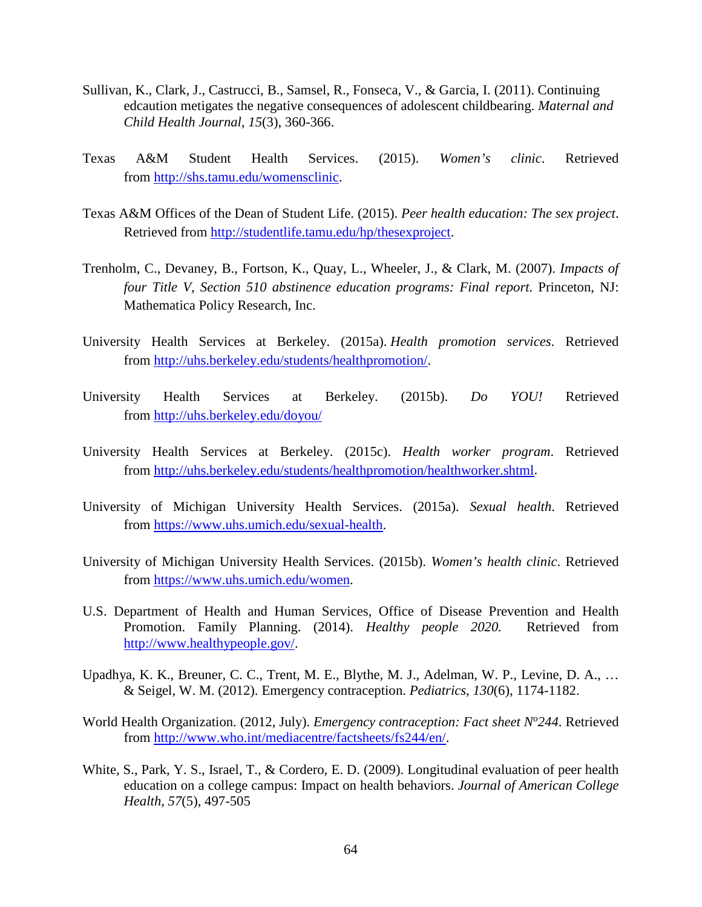- Sullivan, K., Clark, J., Castrucci, B., Samsel, R., Fonseca, V., & Garcia, I. (2011). Continuing edcaution metigates the negative consequences of adolescent childbearing. *Maternal and Child Health Journal*, *15*(3), 360-366.
- Texas A&M Student Health Services. (2015). *Women's clinic*. Retrieved from [http://shs.tamu.edu/womensclinic.](http://shs.tamu.edu/womensclinic)
- Texas A&M Offices of the Dean of Student Life. (2015). *Peer health education: The sex project*. Retrieved from [http://studentlife.tamu.edu/hp/thesexproject.](http://studentlife.tamu.edu/hp/thesexproject)
- Trenholm, C., Devaney, B., Fortson, K., Quay, L., Wheeler, J., & Clark, M. (2007). *Impacts of four Title V, Section 510 abstinence education programs: Final report.* Princeton, NJ: Mathematica Policy Research, Inc.
- University Health Services at Berkeley. (2015a). *Health promotion services*. Retrieved from [http://uhs.berkeley.edu/students/healthpromotion/.](http://uhs.berkeley.edu/students/healthpromotion/)
- University Health Services at Berkeley. (2015b). *Do YOU!* Retrieved from <http://uhs.berkeley.edu/doyou/>
- University Health Services at Berkeley. (2015c). *Health worker program*. Retrieved from [http://uhs.berkeley.edu/students/healthpromotion/healthworker.shtml.](http://uhs.berkeley.edu/students/healthpromotion/healthworker.shtml)
- University of Michigan University Health Services. (2015a). *Sexual health*. Retrieved from [https://www.uhs.umich.edu/sexual-health.](https://www.uhs.umich.edu/sexual-health)
- University of Michigan University Health Services. (2015b). *Women's health clinic*. Retrieved from [https://www.uhs.umich.edu/women.](https://www.uhs.umich.edu/women)
- U.S. Department of Health and Human Services, Office of Disease Prevention and Health Promotion. Family Planning. (2014). *Healthy people 2020.* Retrieved from [http://www.healthypeople.gov/.](http://www.healthypeople.gov/)
- Upadhya, K. K., Breuner, C. C., Trent, M. E., Blythe, M. J., Adelman, W. P., Levine, D. A., … & Seigel, W. M. (2012). Emergency contraception. *Pediatrics*, *130*(6), 1174-1182.
- World Health Organization. (2012, July). *Emergency contraception: Fact sheet N<sup>o</sup> 244*. Retrieved from [http://www.who.int/mediacentre/factsheets/fs244/en/.](http://www.who.int/mediacentre/factsheets/fs244/en/)
- White, S., Park, Y. S., Israel, T., & Cordero, E. D. (2009). Longitudinal evaluation of peer health education on a college campus: Impact on health behaviors. *Journal of American College Health*, *57*(5), 497-505